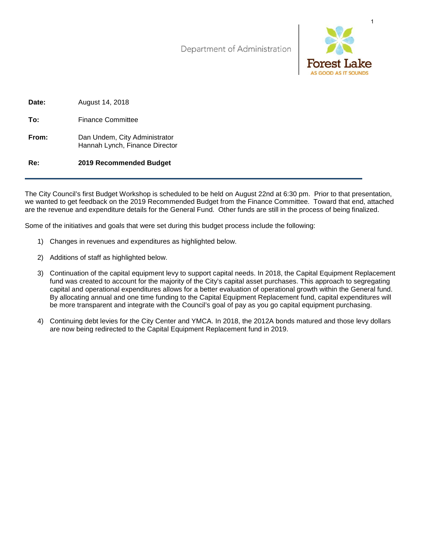Department of Administration



| Re:   | 2019 Recommended Budget                                         |
|-------|-----------------------------------------------------------------|
| From: | Dan Undem, City Administrator<br>Hannah Lynch, Finance Director |
| To:   | <b>Finance Committee</b>                                        |
| Date: | August 14, 2018                                                 |

The City Council's first Budget Workshop is scheduled to be held on August 22nd at 6:30 pm. Prior to that presentation, we wanted to get feedback on the 2019 Recommended Budget from the Finance Committee. Toward that end, attached are the revenue and expenditure details for the General Fund. Other funds are still in the process of being finalized.

Some of the initiatives and goals that were set during this budget process include the following:

- 1) Changes in revenues and expenditures as highlighted below.
- 2) Additions of staff as highlighted below.
- 3) Continuation of the capital equipment levy to support capital needs. In 2018, the Capital Equipment Replacement fund was created to account for the majority of the City's capital asset purchases. This approach to segregating capital and operational expenditures allows for a better evaluation of operational growth within the General fund. By allocating annual and one time funding to the Capital Equipment Replacement fund, capital expenditures will be more transparent and integrate with the Council's goal of pay as you go capital equipment purchasing.
- 4) Continuing debt levies for the City Center and YMCA. In 2018, the 2012A bonds matured and those levy dollars are now being redirected to the Capital Equipment Replacement fund in 2019.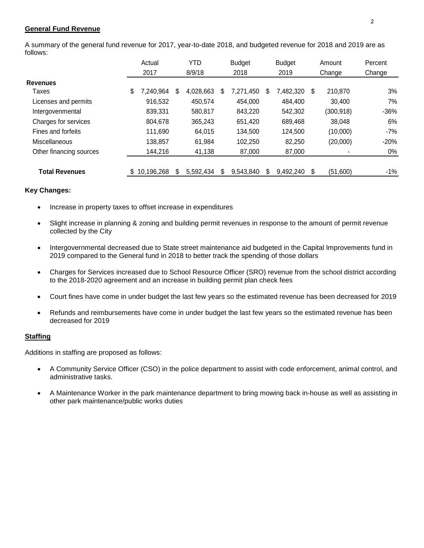### **General Fund Revenue**

A summary of the general fund revenue for 2017, year-to-date 2018, and budgeted revenue for 2018 and 2019 are as follows:

|                         | Actual          |     | YTD       |   | <b>Budget</b> |   | <b>Budget</b> |     | Amount     | Percent |
|-------------------------|-----------------|-----|-----------|---|---------------|---|---------------|-----|------------|---------|
|                         | 2017            |     | 8/9/18    |   | 2018          |   | 2019          |     | Change     | Change  |
| <b>Revenues</b>         |                 |     |           |   |               |   |               |     |            |         |
| Taxes                   | \$<br>7,240,964 | \$  | 4,028,663 | S | 7,271,450     | S | 7,482,320     | \$  | 210,870    | 3%      |
| Licenses and permits    | 916,532         |     | 450,574   |   | 454,000       |   | 484,400       |     | 30,400     | 7%      |
| Intergovenmental        | 839,331         |     | 580,817   |   | 843,220       |   | 542,302       |     | (300, 918) | $-36%$  |
| Charges for services    | 804,678         |     | 365,243   |   | 651,420       |   | 689,468       |     | 38,048     | 6%      |
| Fines and forfeits      | 111,690         |     | 64,015    |   | 134,500       |   | 124,500       |     | (10,000)   | $-7%$   |
| <b>Miscellaneous</b>    | 138,857         |     | 61,984    |   | 102,250       |   | 82,250        |     | (20,000)   | $-20%$  |
| Other financing sources | 144,216         |     | 41,138    |   | 87,000        |   | 87,000        |     |            | 0%      |
| <b>Total Revenues</b>   | 10,196,268      | \$. | 5,592,434 | S | 9,543,840     | S | 9,492,240     | \$. | (51,600)   | -1%     |

#### **Key Changes:**

- Increase in property taxes to offset increase in expenditures
- Slight increase in planning & zoning and building permit revenues in response to the amount of permit revenue collected by the City
- Intergovernmental decreased due to State street maintenance aid budgeted in the Capital Improvements fund in 2019 compared to the General fund in 2018 to better track the spending of those dollars
- Charges for Services increased due to School Resource Officer (SRO) revenue from the school district according to the 2018-2020 agreement and an increase in building permit plan check fees
- Court fines have come in under budget the last few years so the estimated revenue has been decreased for 2019
- Refunds and reimbursements have come in under budget the last few years so the estimated revenue has been decreased for 2019

### **Staffing**

Additions in staffing are proposed as follows:

- A Community Service Officer (CSO) in the police department to assist with code enforcement, animal control, and administrative tasks.
- A Maintenance Worker in the park maintenance department to bring mowing back in-house as well as assisting in other park maintenance/public works duties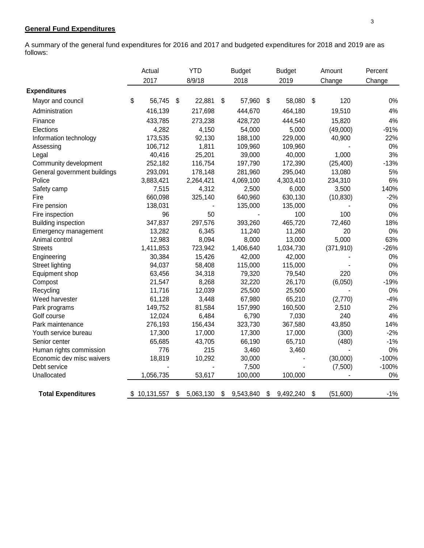### **General Fund Expenditures**

A summary of the general fund expenditures for 2016 and 2017 and budgeted expenditures for 2018 and 2019 are as follows:

|                              | Actual           | <b>YTD</b>      | <b>Budget</b>   | <b>Budget</b>   | Amount         | Percent |
|------------------------------|------------------|-----------------|-----------------|-----------------|----------------|---------|
|                              | 2017             | 8/9/18          | 2018            | 2019            | Change         | Change  |
| <b>Expenditures</b>          |                  |                 |                 |                 |                |         |
| Mayor and council            | \$<br>56,745     | \$<br>22,881    | \$<br>57,960    | \$<br>58,080    | \$<br>120      | 0%      |
| Administration               | 416,139          | 217,698         | 444,670         | 464,180         | 19,510         | 4%      |
| Finance                      | 433,785          | 273,238         | 428,720         | 444,540         | 15,820         | 4%      |
| Elections                    | 4,282            | 4,150           | 54,000          | 5,000           | (49,000)       | $-91%$  |
| Information technology       | 173,535          | 92,130          | 188,100         | 229,000         | 40,900         | 22%     |
| Assessing                    | 106,712          | 1,811           | 109,960         | 109,960         |                | 0%      |
| Legal                        | 40,416           | 25,201          | 39,000          | 40,000          | 1,000          | 3%      |
| Community development        | 252,182          | 116,754         | 197,790         | 172,390         | (25, 400)      | $-13%$  |
| General government buildings | 293,091          | 178,148         | 281,960         | 295,040         | 13,080         | 5%      |
| Police                       | 3,883,421        | 2,264,421       | 4,069,100       | 4,303,410       | 234,310        | 6%      |
| Safety camp                  | 7,515            | 4,312           | 2,500           | 6,000           | 3,500          | 140%    |
| Fire                         | 660,098          | 325,140         | 640,960         | 630,130         | (10, 830)      | $-2%$   |
| Fire pension                 | 138,031          |                 | 135,000         | 135,000         |                | 0%      |
| Fire inspection              | 96               | 50              |                 | 100             | 100            | 0%      |
| <b>Building inspection</b>   | 347,837          | 297,576         | 393,260         | 465,720         | 72,460         | 18%     |
| Emergency management         | 13,282           | 6,345           | 11,240          | 11,260          | 20             | 0%      |
| Animal control               | 12,983           | 8,094           | 8,000           | 13,000          | 5,000          | 63%     |
| <b>Streets</b>               | 1,411,853        | 723,942         | 1,406,640       | 1,034,730       | (371, 910)     | $-26%$  |
| Engineering                  | 30,384           | 15,426          | 42,000          | 42,000          |                | 0%      |
| <b>Street lighting</b>       | 94,037           | 58,408          | 115,000         | 115,000         |                | 0%      |
| Equipment shop               | 63,456           | 34,318          | 79,320          | 79,540          | 220            | 0%      |
| Compost                      | 21,547           | 8,268           | 32,220          | 26,170          | (6,050)        | $-19%$  |
| Recycling                    | 11,716           | 12,039          | 25,500          | 25,500          |                | 0%      |
| Weed harvester               | 61,128           | 3,448           | 67,980          | 65,210          | (2,770)        | $-4%$   |
| Park programs                | 149,752          | 81,584          | 157,990         | 160,500         | 2,510          | 2%      |
| Golf course                  | 12,024           | 6,484           | 6,790           | 7,030           | 240            | 4%      |
| Park maintenance             | 276,193          | 156,434         | 323,730         | 367,580         | 43,850         | 14%     |
| Youth service bureau         | 17,300           | 17,000          | 17,300          | 17,000          | (300)          | $-2%$   |
| Senior center                | 65,685           | 43,705          | 66,190          | 65,710          | (480)          | $-1%$   |
| Human rights commission      | 776              | 215             | 3,460           | 3,460           | $\sim$         | 0%      |
| Economic dev misc waivers    | 18,819           | 10,292          | 30,000          |                 | (30,000)       | $-100%$ |
| Debt service                 |                  |                 | 7,500           |                 | (7,500)        | $-100%$ |
| Unallocated                  | 1,056,735        | 53,617          | 100,000         | 100,000         |                | 0%      |
| <b>Total Expenditures</b>    | \$<br>10,131,557 | \$<br>5,063,130 | \$<br>9,543,840 | \$<br>9,492,240 | \$<br>(51,600) | $-1%$   |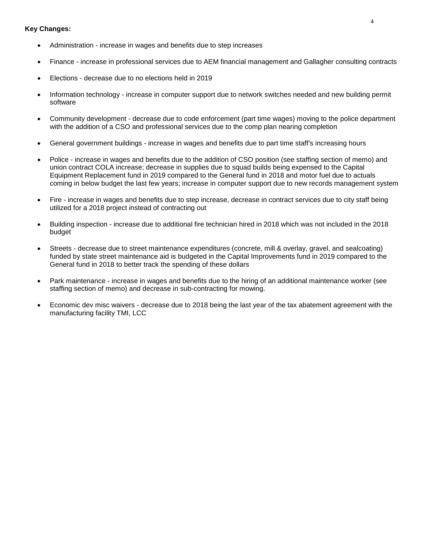- Administration increase in wages and benefits due to step increases
- Finance increase in professional services due to AEM financial management and Gallagher consulting contracts
- Elections decrease due to no elections held in 2019
- Information technology increase in computer support due to network switches needed and new building permit software
- Community development decrease due to code enforcement (part time wages) moving to the police department with the addition of a CSO and professional services due to the comp plan nearing completion
- General government buildings increase in wages and benefits due to part time staff's increasing hours
- Police increase in wages and benefits due to the addition of CSO position (see staffing section of memo) and union contract COLA increase; decrease in supplies due to squad builds being expensed to the Capital Equipment Replacement fund in 2019 compared to the General fund in 2018 and motor fuel due to actuals coming in below budget the last few years; increase in computer support due to new records management system
- Fire increase in wages and benefits due to step increase, decrease in contract services due to city staff being utilized for a 2018 project instead of contracting out
- Building inspection increase due to additional fire technician hired in 2018 which was not included in the 2018 budget
- Streets decrease due to street maintenance expenditures (concrete, mill & overlay, gravel, and sealcoating) funded by state street maintenance aid is budgeted in the Capital Improvements fund in 2019 compared to the General fund in 2018 to better track the spending of these dollars
- Park maintenance increase in wages and benefits due to the hiring of an additional maintenance worker (see staffing section of memo) and decrease in sub-contracting for mowing.
- Economic dev misc waivers decrease due to 2018 being the last year of the tax abatement agreement with the manufacturing facility TMI, LCC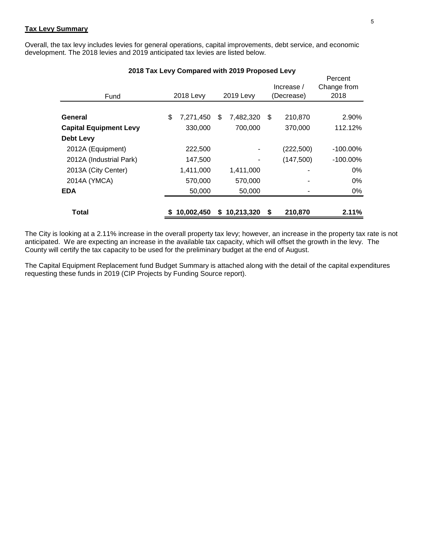#### **Tax Levy Summary**

Overall, the tax levy includes levies for general operations, capital improvements, debt service, and economic development. The 2018 levies and 2019 anticipated tax levies are listed below.

| Fund                          |    | 2018 Levy  |    | 2019 Levy  |    | Increase /<br>(Decrease) | Percent<br>Change from<br>2018 |
|-------------------------------|----|------------|----|------------|----|--------------------------|--------------------------------|
|                               |    |            |    |            |    |                          |                                |
| General                       | \$ | 7,271,450  | \$ | 7,482,320  | \$ | 210,870                  | 2.90%                          |
| <b>Capital Equipment Levy</b> |    | 330,000    |    | 700,000    |    | 370,000                  | 112.12%                        |
| Debt Levy                     |    |            |    |            |    |                          |                                |
| 2012A (Equipment)             |    | 222,500    |    |            |    | (222,500)                | $-100.00\%$                    |
| 2012A (Industrial Park)       |    | 147,500    |    |            |    | (147,500)                | $-100.00\%$                    |
| 2013A (City Center)           |    | 1,411,000  |    | 1,411,000  |    |                          | 0%                             |
| 2014A (YMCA)                  |    | 570,000    |    | 570,000    |    |                          | 0%                             |
| <b>EDA</b>                    |    | 50,000     |    | 50,000     |    |                          | 0%                             |
| <b>Total</b>                  | S. | 10,002,450 | S. | 10,213,320 | S  | 210,870                  | 2.11%                          |

#### **2018 Tax Levy Compared with 2019 Proposed Levy**

The City is looking at a 2.11% increase in the overall property tax levy; however, an increase in the property tax rate is not anticipated. We are expecting an increase in the available tax capacity, which will offset the growth in the levy. The County will certify the tax capacity to be used for the preliminary budget at the end of August.

The Capital Equipment Replacement fund Budget Summary is attached along with the detail of the capital expenditures requesting these funds in 2019 (CIP Projects by Funding Source report).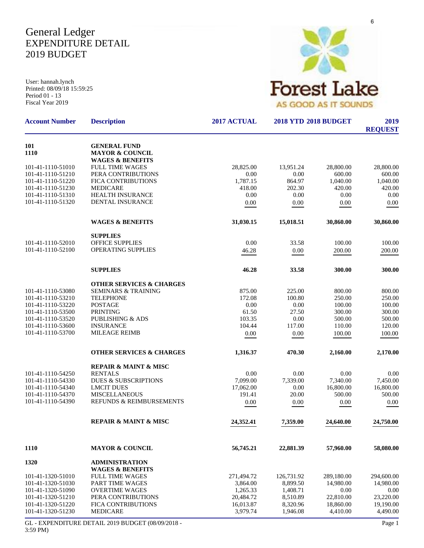## General Ledger EXPENDITURE DETAIL 2019 BUDGET

User: hannah.lynch Printed: 08/09/18 15:59:25 Period 01 - 13 Fiscal Year 2019



| <b>Account Number</b>                  | <b>Description</b>                                                               | 2017 ACTUAL            | <b>2018 YTD 2018 BUDGET</b> | 2019<br><b>REQUEST</b> |                        |
|----------------------------------------|----------------------------------------------------------------------------------|------------------------|-----------------------------|------------------------|------------------------|
| 101<br>1110                            | <b>GENERAL FUND</b><br><b>MAYOR &amp; COUNCIL</b><br><b>WAGES &amp; BENEFITS</b> |                        |                             |                        |                        |
| 101-41-1110-51010                      | <b>FULL TIME WAGES</b>                                                           | 28,825.00              | 13,951.24                   | 28,800.00              | 28,800.00              |
| 101-41-1110-51210                      | PERA CONTRIBUTIONS                                                               | 0.00                   | 0.00                        | 600.00                 | 600.00                 |
| 101-41-1110-51220                      | FICA CONTRIBUTIONS                                                               | 1,787.15               | 864.97                      | 1,040.00               | 1,040.00               |
| 101-41-1110-51230                      | <b>MEDICARE</b>                                                                  | 418.00                 | 202.30                      | 420.00                 | 420.00                 |
| 101-41-1110-51310                      | <b>HEALTH INSURANCE</b>                                                          | 0.00                   | 0.00                        | 0.00                   | 0.00                   |
| 101-41-1110-51320                      | <b>DENTAL INSURANCE</b>                                                          | 0.00                   | 0.00                        | 0.00                   | 0.00                   |
|                                        | <b>WAGES &amp; BENEFITS</b>                                                      | 31,030.15              | 15,018.51                   | 30,860.00              | 30,860.00              |
|                                        | <b>SUPPLIES</b>                                                                  |                        |                             |                        |                        |
| 101-41-1110-52010                      | OFFICE SUPPLIES                                                                  | 0.00                   | 33.58                       | 100.00                 | 100.00                 |
| 101-41-1110-52100                      | <b>OPERATING SUPPLIES</b>                                                        | 46.28                  | 0.00                        | 200.00                 | 200.00                 |
|                                        | <b>SUPPLIES</b>                                                                  | 46.28                  | 33.58                       | 300.00                 | 300.00                 |
|                                        | <b>OTHER SERVICES &amp; CHARGES</b>                                              |                        |                             |                        |                        |
| 101-41-1110-53080                      | <b>SEMINARS &amp; TRAINING</b>                                                   | 875.00                 | 225.00                      | 800.00                 | 800.00                 |
| 101-41-1110-53210                      | <b>TELEPHONE</b>                                                                 | 172.08                 | 100.80                      | 250.00                 | 250.00                 |
| 101-41-1110-53220                      | <b>POSTAGE</b>                                                                   | 0.00                   | 0.00                        | 100.00                 | 100.00                 |
| 101-41-1110-53500<br>101-41-1110-53520 | <b>PRINTING</b><br><b>PUBLISHING &amp; ADS</b>                                   | 61.50<br>103.35        | 27.50<br>0.00               | 300.00<br>500.00       | 300.00<br>500.00       |
| 101-41-1110-53600                      | <b>INSURANCE</b>                                                                 | 104.44                 | 117.00                      | 110.00                 | 120.00                 |
| 101-41-1110-53700                      | <b>MILEAGE REIMB</b>                                                             | 0.00                   | 0.00                        | 100.00                 | 100.00                 |
|                                        | <b>OTHER SERVICES &amp; CHARGES</b>                                              | 1,316.37               | 470.30                      | 2,160.00               | 2,170.00               |
|                                        |                                                                                  |                        |                             |                        |                        |
| 101-41-1110-54250                      | <b>REPAIR &amp; MAINT &amp; MISC</b><br><b>RENTALS</b>                           | 0.00                   | 0.00                        | 0.00                   | 0.00                   |
| 101-41-1110-54330                      | <b>DUES &amp; SUBSCRIPTIONS</b>                                                  | 7,099.00               | 7,339.00                    | 7,340.00               | 7,450.00               |
| 101-41-1110-54340                      | <b>LMCIT DUES</b>                                                                | 17.062.00              | 0.00                        | 16,800.00              | 16,800.00              |
| 101-41-1110-54370                      | <b>MISCELLANEOUS</b>                                                             | 191.41                 | 20.00                       | 500.00                 | 500.00                 |
| 101-41-1110-54390                      | REFUNDS & REIMBURSEMENTS                                                         | 0.00                   | 0.00                        | 0.00                   | 0.00                   |
|                                        | REPAIR & MAINT & MISC                                                            | 24,352.41              | 7,359.00                    | 24,640.00              | 24,750.00              |
| 1110                                   | <b>MAYOR &amp; COUNCIL</b>                                                       | 56,745.21              | 22,881.39                   | 57,960.00              | 58,080.00              |
| 1320                                   | <b>ADMINISTRATION</b>                                                            |                        |                             |                        |                        |
|                                        | <b>WAGES &amp; BENEFITS</b>                                                      |                        |                             |                        |                        |
| 101-41-1320-51010                      | <b>FULL TIME WAGES</b>                                                           | 271,494.72             | 126,731.92                  | 289,180.00             | 294,600.00             |
| 101-41-1320-51030                      | PART TIME WAGES                                                                  | 3,864.00               | 8,899.50                    | 14,980.00              | 14,980.00              |
| 101-41-1320-51090                      | <b>OVERTIME WAGES</b>                                                            | 1,265.33               | 1,408.71                    | 0.00                   | 0.00                   |
| 101-41-1320-51210<br>101-41-1320-51220 | PERA CONTRIBUTIONS<br>FICA CONTRIBUTIONS                                         | 20,484.72<br>16,013.87 | 8,510.89<br>8,320.96        | 22,810.00<br>18,860.00 | 23,220.00<br>19,190.00 |
| 101-41-1320-51230                      | MEDICARE                                                                         | 3,979.74               | 1,946.08                    | 4,410.00               | 4,490.00               |
|                                        |                                                                                  |                        |                             |                        |                        |

GL - EXPENDITURE DETAIL 2019 BUDGET (08/09/2018 - 3:59 PM)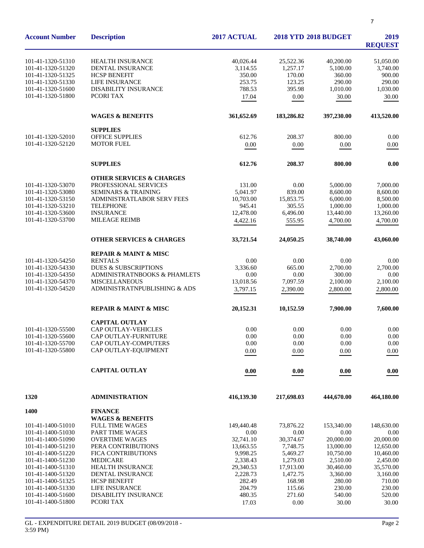| <b>Account Number</b>                  | <b>Description</b>                          | 2017 ACTUAL           | <b>2018 YTD 2018 BUDGET</b> | 2019<br><b>REQUEST</b> |                        |
|----------------------------------------|---------------------------------------------|-----------------------|-----------------------------|------------------------|------------------------|
| 101-41-1320-51310                      | HEALTH INSURANCE                            | 40,026.44             | 25,522.36                   | 40,200.00              | 51,050.00              |
| 101-41-1320-51320                      | DENTAL INSURANCE                            | 3,114.55              | 1,257.17                    | 5,100.00               | 3,740.00               |
| 101-41-1320-51325                      | <b>HCSP BENEFIT</b>                         | 350.00                | 170.00                      | 360.00                 | 900.00                 |
| 101-41-1320-51330                      | LIFE INSURANCE                              | 253.75                | 123.25                      | 290.00                 | 290.00                 |
| 101-41-1320-51600                      | <b>DISABILITY INSURANCE</b>                 | 788.53                | 395.98                      | 1,010.00               | 1,030.00               |
| 101-41-1320-51800                      | PCORI TAX                                   | 17.04                 | 0.00                        | 30.00                  | 30.00                  |
|                                        |                                             |                       |                             |                        |                        |
|                                        | <b>WAGES &amp; BENEFITS</b>                 | 361,652.69            | 183,286.82                  | 397,230.00             | 413,520.00             |
|                                        | <b>SUPPLIES</b>                             |                       |                             |                        |                        |
| 101-41-1320-52010                      | <b>OFFICE SUPPLIES</b>                      | 612.76                | 208.37                      | 800.00                 | 0.00                   |
| 101-41-1320-52120                      | <b>MOTOR FUEL</b>                           | 0.00                  | 0.00                        | 0.00                   | 0.00                   |
|                                        | <b>SUPPLIES</b>                             | 612.76                | 208.37                      | 800.00                 | 0.00                   |
|                                        | <b>OTHER SERVICES &amp; CHARGES</b>         |                       |                             |                        |                        |
| 101-41-1320-53070                      | PROFESSIONAL SERVICES                       | 131.00                | 0.00                        | 5,000.00               | 7,000.00               |
| 101-41-1320-53080                      | <b>SEMINARS &amp; TRAINING</b>              | 5,041.97              | 839.00                      | 8,600.00               | 8,600.00               |
| 101-41-1320-53150                      | ADMINISTRATLABOR SERV FEES                  | 10,703.00             | 15,853.75                   | 6,000.00               | 8,500.00               |
| 101-41-1320-53210                      | <b>TELEPHONE</b>                            | 945.41                | 305.55                      | 1,000.00               | 1.000.00               |
| 101-41-1320-53600                      | <b>INSURANCE</b>                            | 12,478.00             | 6,496.00                    | 13,440.00              | 13,260.00              |
| 101-41-1320-53700                      | <b>MILEAGE REIMB</b>                        | 4,422.16              | 555.95                      | 4,700.00               | 4,700.00               |
|                                        | <b>OTHER SERVICES &amp; CHARGES</b>         | 33,721.54             | 24,050.25                   | 38,740.00              | 43,060.00              |
|                                        | REPAIR & MAINT & MISC                       |                       |                             |                        |                        |
| 101-41-1320-54250                      | <b>RENTALS</b>                              | 0.00                  | 0.00                        | 0.00                   | 0.00                   |
| 101-41-1320-54330                      | <b>DUES &amp; SUBSCRIPTIONS</b>             | 3,336.60              | 665.00                      | 2,700.00               | 2,700.00               |
| 101-41-1320-54350                      | ADMINISTRATNBOOKS & PHAMLETS                | 0.00                  | 0.00                        | 300.00                 | 0.00                   |
| 101-41-1320-54370                      | <b>MISCELLANEOUS</b>                        | 13,018.56             | 7,097.59                    | 2,100.00               | 2,100.00               |
| 101-41-1320-54520                      | ADMINISTRATNPUBLISHING & ADS                | 3,797.15              | 2,390.00                    | 2,800.00               | 2,800.00               |
|                                        | <b>REPAIR &amp; MAINT &amp; MISC</b>        | 20,152.31             | 10,152.59                   | 7,900.00               | 7,600.00               |
|                                        | <b>CAPITAL OUTLAY</b>                       |                       |                             |                        |                        |
| 101-41-1320-55500                      | CAP OUTLAY-VEHICLES                         | 0.00                  | 0.00                        | 0.00                   | 0.00                   |
| 101-41-1320-55600                      | CAP OUTLAY-FURNITURE                        | 0.00                  | 0.00                        | 0.00                   | 0.00                   |
| 101-41-1320-55700                      | CAP OUTLAY-COMPUTERS                        | 0.00                  | 0.00                        | 0.00                   | 0.00                   |
| 101-41-1320-55800                      | CAP OUTLAY-EQUIPMENT                        | 0.00                  | 0.00                        | 0.00                   | 0.00                   |
|                                        |                                             |                       |                             |                        |                        |
|                                        | <b>CAPITAL OUTLAY</b>                       | 0.00                  | 0.00                        | 0.00                   | 0.00                   |
| 1320                                   | <b>ADMINISTRATION</b>                       | 416,139.30            | 217,698.03                  | 444,670.00             | 464,180.00             |
| 1400                                   | <b>FINANCE</b>                              |                       |                             |                        |                        |
|                                        | <b>WAGES &amp; BENEFITS</b>                 |                       |                             |                        |                        |
| 101-41-1400-51010                      | <b>FULL TIME WAGES</b>                      | 149,440.48            | 73,876.22                   | 153,340.00             | 148,630.00             |
| 101-41-1400-51030                      | PART TIME WAGES                             | 0.00                  | 0.00                        | 0.00                   | 0.00                   |
| 101-41-1400-51090<br>101-41-1400-51210 | <b>OVERTIME WAGES</b><br>PERA CONTRIBUTIONS | 32,741.10             | 30,374.67                   | 20,000.00              | 20,000.00              |
| 101-41-1400-51220                      | FICA CONTRIBUTIONS                          | 13,663.55<br>9,998.25 | 7,748.75<br>5,469.27        | 13,000.00<br>10,750.00 | 12,650.00<br>10,460.00 |
| 101-41-1400-51230                      | <b>MEDICARE</b>                             | 2,338.43              | 1,279.03                    | 2,510.00               | 2,450.00               |
| 101-41-1400-51310                      | <b>HEALTH INSURANCE</b>                     | 29,340.53             | 17,913.00                   | 30,460.00              | 35,570.00              |
| 101-41-1400-51320                      | DENTAL INSURANCE                            | 2,228.73              | 1,472.75                    | 3,360.00               | 3,160.00               |
| 101-41-1400-51325                      | <b>HCSP BENEFIT</b>                         | 282.49                | 168.98                      | 280.00                 | 710.00                 |
| 101-41-1400-51330                      | <b>LIFE INSURANCE</b>                       | 204.79                | 115.66                      | 230.00                 | 230.00                 |
| 101-41-1400-51600                      | DISABILITY INSURANCE                        | 480.35                | 271.60                      | 540.00                 | 520.00                 |
| 101-41-1400-51800                      | PCORI TAX                                   | 17.03                 | 0.00                        | 30.00                  | 30.00                  |
|                                        |                                             |                       |                             |                        |                        |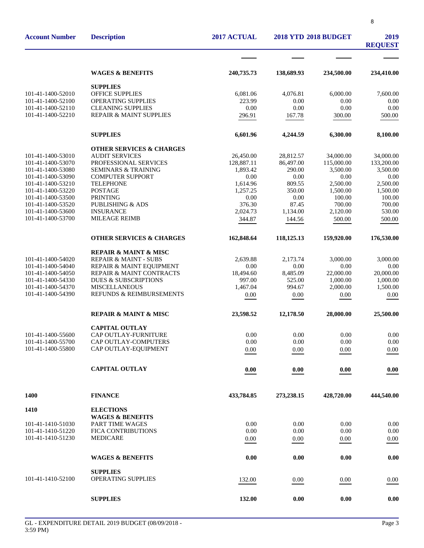| <b>WAGES &amp; BENEFITS</b><br>138,689.93<br>234,500.00<br>240,735.73<br><b>SUPPLIES</b><br>101-41-1400-52010<br>OFFICE SUPPLIES<br>6,081.06<br>4,076.81<br>6,000.00<br>101-41-1400-52100<br><b>OPERATING SUPPLIES</b><br>223.99<br>0.00<br>0.00<br><b>CLEANING SUPPLIES</b><br>0.00<br>0.00<br>0.00<br>101-41-1400-52110<br>0.00<br><b>REPAIR &amp; MAINT SUPPLIES</b><br>101-41-1400-52210<br>500.00<br>296.91<br>167.78<br>300.00<br><b>SUPPLIES</b><br>6,300.00<br>6,601.96<br>4,244.59<br><b>OTHER SERVICES &amp; CHARGES</b><br><b>AUDIT SERVICES</b><br>101-41-1400-53010<br>26,450.00<br>28,812.57<br>34,000.00<br>34,000.00<br>101-41-1400-53070<br>PROFESSIONAL SERVICES<br>128,887.11<br>86,497.00<br>115,000.00<br>133,200.00<br>101-41-1400-53080<br><b>SEMINARS &amp; TRAINING</b><br>1,893.42<br>290.00<br>3,500.00<br>3,500.00<br>101-41-1400-53090<br><b>COMPUTER SUPPORT</b><br>0.00<br>0.00<br>0.00<br><b>TELEPHONE</b><br>1,614.96<br>809.55<br>2,500.00<br>101-41-1400-53210<br><b>POSTAGE</b><br>350.00<br>101-41-1400-53220<br>1.257.25<br>1,500.00<br><b>PRINTING</b><br>0.00<br>0.00<br>100.00<br>101-41-1400-53500<br><b>PUBLISHING &amp; ADS</b><br>376.30<br>87.45<br>700.00<br>700.00<br>101-41-1400-53520<br><b>INSURANCE</b><br>530.00<br>101-41-1400-53600<br>2.024.73<br>1,134.00<br>2,120.00<br>101-41-1400-53700<br><b>MILEAGE REIMB</b><br>344.87<br>144.56<br>500.00<br>500.00<br><b>OTHER SERVICES &amp; CHARGES</b><br>162,848.64<br>118,125.13<br>159,920.00<br><b>REPAIR &amp; MAINT &amp; MISC</b><br>101-41-1400-54020<br><b>REPAIR &amp; MAINT - SUBS</b><br>3,000.00<br>2,639.88<br>2,173.74<br>101-41-1400-54040<br>0.00<br>0.00<br>0.00<br>0.00<br>REPAIR & MAINT EQUIPMENT<br><b>REPAIR &amp; MAINT CONTRACTS</b><br>18,494.60<br>8,485.09<br>22,000.00<br>20,000.00<br>101-41-1400-54050<br>101-41-1400-54330<br><b>DUES &amp; SUBSCRIPTIONS</b><br>997.00<br>525.00<br>1,000.00<br>1,000.00<br><b>MISCELLANEOUS</b><br>994.67<br>2,000.00<br>1,500.00<br>101-41-1400-54370<br>1,467.04<br>REFUNDS & REIMBURSEMENTS<br>101-41-1400-54390<br>0.00<br>0.00<br>0.00<br><b>REPAIR &amp; MAINT &amp; MISC</b><br>23,598.52<br>12,178.50<br>28,000.00<br><b>CAPITAL OUTLAY</b><br>CAP OUTLAY-FURNITURE<br>0.00<br>0.00<br>101-41-1400-55600<br>0.00<br>CAP OUTLAY-COMPUTERS<br>101-41-1400-55700<br>0.00<br>0.00<br>0.00<br>101-41-1400-55800<br>CAP OUTLAY-EQUIPMENT<br>0.00<br>0.00<br>0.00<br><b>CAPITAL OUTLAY</b><br>0.00<br>0.00<br>0.00<br>1400<br><b>FINANCE</b><br>433,784.85<br>273,238.15<br>428,720.00<br>1410<br><b>ELECTIONS</b><br><b>WAGES &amp; BENEFITS</b><br>101-41-1410-51030<br><b>PART TIME WAGES</b><br>0.00<br>0.00<br>0.00<br>0.00<br>101-41-1410-51220<br>FICA CONTRIBUTIONS<br>0.00<br>0.00<br>0.00<br>0.00<br>101-41-1410-51230<br><b>MEDICARE</b><br>0.00<br>0.00<br>0.00<br>0.00<br><b>WAGES &amp; BENEFITS</b><br>0.00<br>0.00<br>0.00<br><b>SUPPLIES</b><br>101-41-1410-52100<br>OPERATING SUPPLIES<br>132.00<br>0.00<br>0.00<br><b>SUPPLIES</b><br>132.00<br>0.00<br>0.00 | <b>Account Number</b> | <b>Description</b> | 2017 ACTUAL | <b>2018 YTD 2018 BUDGET</b> | 2019<br><b>REQUEST</b> |            |
|--------------------------------------------------------------------------------------------------------------------------------------------------------------------------------------------------------------------------------------------------------------------------------------------------------------------------------------------------------------------------------------------------------------------------------------------------------------------------------------------------------------------------------------------------------------------------------------------------------------------------------------------------------------------------------------------------------------------------------------------------------------------------------------------------------------------------------------------------------------------------------------------------------------------------------------------------------------------------------------------------------------------------------------------------------------------------------------------------------------------------------------------------------------------------------------------------------------------------------------------------------------------------------------------------------------------------------------------------------------------------------------------------------------------------------------------------------------------------------------------------------------------------------------------------------------------------------------------------------------------------------------------------------------------------------------------------------------------------------------------------------------------------------------------------------------------------------------------------------------------------------------------------------------------------------------------------------------------------------------------------------------------------------------------------------------------------------------------------------------------------------------------------------------------------------------------------------------------------------------------------------------------------------------------------------------------------------------------------------------------------------------------------------------------------------------------------------------------------------------------------------------------------------------------------------------------------------------------------------------------------------------------------------------------------------------------------------------------------------------------------------------------------------------------------------------------------------------------------------------------------------------------------------------------------------------------------------------------------------------------------------------------------------------------------------|-----------------------|--------------------|-------------|-----------------------------|------------------------|------------|
|                                                                                                                                                                                                                                                                                                                                                                                                                                                                                                                                                                                                                                                                                                                                                                                                                                                                                                                                                                                                                                                                                                                                                                                                                                                                                                                                                                                                                                                                                                                                                                                                                                                                                                                                                                                                                                                                                                                                                                                                                                                                                                                                                                                                                                                                                                                                                                                                                                                                                                                                                                                                                                                                                                                                                                                                                                                                                                                                                                                                                                                        |                       |                    |             |                             |                        |            |
|                                                                                                                                                                                                                                                                                                                                                                                                                                                                                                                                                                                                                                                                                                                                                                                                                                                                                                                                                                                                                                                                                                                                                                                                                                                                                                                                                                                                                                                                                                                                                                                                                                                                                                                                                                                                                                                                                                                                                                                                                                                                                                                                                                                                                                                                                                                                                                                                                                                                                                                                                                                                                                                                                                                                                                                                                                                                                                                                                                                                                                                        |                       |                    |             |                             |                        | 234,410.00 |
|                                                                                                                                                                                                                                                                                                                                                                                                                                                                                                                                                                                                                                                                                                                                                                                                                                                                                                                                                                                                                                                                                                                                                                                                                                                                                                                                                                                                                                                                                                                                                                                                                                                                                                                                                                                                                                                                                                                                                                                                                                                                                                                                                                                                                                                                                                                                                                                                                                                                                                                                                                                                                                                                                                                                                                                                                                                                                                                                                                                                                                                        |                       |                    |             |                             |                        |            |
|                                                                                                                                                                                                                                                                                                                                                                                                                                                                                                                                                                                                                                                                                                                                                                                                                                                                                                                                                                                                                                                                                                                                                                                                                                                                                                                                                                                                                                                                                                                                                                                                                                                                                                                                                                                                                                                                                                                                                                                                                                                                                                                                                                                                                                                                                                                                                                                                                                                                                                                                                                                                                                                                                                                                                                                                                                                                                                                                                                                                                                                        |                       |                    |             |                             |                        | 7,600.00   |
|                                                                                                                                                                                                                                                                                                                                                                                                                                                                                                                                                                                                                                                                                                                                                                                                                                                                                                                                                                                                                                                                                                                                                                                                                                                                                                                                                                                                                                                                                                                                                                                                                                                                                                                                                                                                                                                                                                                                                                                                                                                                                                                                                                                                                                                                                                                                                                                                                                                                                                                                                                                                                                                                                                                                                                                                                                                                                                                                                                                                                                                        |                       |                    |             |                             |                        | 0.00       |
|                                                                                                                                                                                                                                                                                                                                                                                                                                                                                                                                                                                                                                                                                                                                                                                                                                                                                                                                                                                                                                                                                                                                                                                                                                                                                                                                                                                                                                                                                                                                                                                                                                                                                                                                                                                                                                                                                                                                                                                                                                                                                                                                                                                                                                                                                                                                                                                                                                                                                                                                                                                                                                                                                                                                                                                                                                                                                                                                                                                                                                                        |                       |                    |             |                             |                        |            |
|                                                                                                                                                                                                                                                                                                                                                                                                                                                                                                                                                                                                                                                                                                                                                                                                                                                                                                                                                                                                                                                                                                                                                                                                                                                                                                                                                                                                                                                                                                                                                                                                                                                                                                                                                                                                                                                                                                                                                                                                                                                                                                                                                                                                                                                                                                                                                                                                                                                                                                                                                                                                                                                                                                                                                                                                                                                                                                                                                                                                                                                        |                       |                    |             |                             |                        |            |
|                                                                                                                                                                                                                                                                                                                                                                                                                                                                                                                                                                                                                                                                                                                                                                                                                                                                                                                                                                                                                                                                                                                                                                                                                                                                                                                                                                                                                                                                                                                                                                                                                                                                                                                                                                                                                                                                                                                                                                                                                                                                                                                                                                                                                                                                                                                                                                                                                                                                                                                                                                                                                                                                                                                                                                                                                                                                                                                                                                                                                                                        |                       |                    |             |                             |                        | 8,100.00   |
|                                                                                                                                                                                                                                                                                                                                                                                                                                                                                                                                                                                                                                                                                                                                                                                                                                                                                                                                                                                                                                                                                                                                                                                                                                                                                                                                                                                                                                                                                                                                                                                                                                                                                                                                                                                                                                                                                                                                                                                                                                                                                                                                                                                                                                                                                                                                                                                                                                                                                                                                                                                                                                                                                                                                                                                                                                                                                                                                                                                                                                                        |                       |                    |             |                             |                        |            |
|                                                                                                                                                                                                                                                                                                                                                                                                                                                                                                                                                                                                                                                                                                                                                                                                                                                                                                                                                                                                                                                                                                                                                                                                                                                                                                                                                                                                                                                                                                                                                                                                                                                                                                                                                                                                                                                                                                                                                                                                                                                                                                                                                                                                                                                                                                                                                                                                                                                                                                                                                                                                                                                                                                                                                                                                                                                                                                                                                                                                                                                        |                       |                    |             |                             |                        |            |
|                                                                                                                                                                                                                                                                                                                                                                                                                                                                                                                                                                                                                                                                                                                                                                                                                                                                                                                                                                                                                                                                                                                                                                                                                                                                                                                                                                                                                                                                                                                                                                                                                                                                                                                                                                                                                                                                                                                                                                                                                                                                                                                                                                                                                                                                                                                                                                                                                                                                                                                                                                                                                                                                                                                                                                                                                                                                                                                                                                                                                                                        |                       |                    |             |                             |                        |            |
|                                                                                                                                                                                                                                                                                                                                                                                                                                                                                                                                                                                                                                                                                                                                                                                                                                                                                                                                                                                                                                                                                                                                                                                                                                                                                                                                                                                                                                                                                                                                                                                                                                                                                                                                                                                                                                                                                                                                                                                                                                                                                                                                                                                                                                                                                                                                                                                                                                                                                                                                                                                                                                                                                                                                                                                                                                                                                                                                                                                                                                                        |                       |                    |             |                             |                        | 0.00       |
|                                                                                                                                                                                                                                                                                                                                                                                                                                                                                                                                                                                                                                                                                                                                                                                                                                                                                                                                                                                                                                                                                                                                                                                                                                                                                                                                                                                                                                                                                                                                                                                                                                                                                                                                                                                                                                                                                                                                                                                                                                                                                                                                                                                                                                                                                                                                                                                                                                                                                                                                                                                                                                                                                                                                                                                                                                                                                                                                                                                                                                                        |                       |                    |             |                             |                        | 2,500.00   |
|                                                                                                                                                                                                                                                                                                                                                                                                                                                                                                                                                                                                                                                                                                                                                                                                                                                                                                                                                                                                                                                                                                                                                                                                                                                                                                                                                                                                                                                                                                                                                                                                                                                                                                                                                                                                                                                                                                                                                                                                                                                                                                                                                                                                                                                                                                                                                                                                                                                                                                                                                                                                                                                                                                                                                                                                                                                                                                                                                                                                                                                        |                       |                    |             |                             |                        | 1,500.00   |
|                                                                                                                                                                                                                                                                                                                                                                                                                                                                                                                                                                                                                                                                                                                                                                                                                                                                                                                                                                                                                                                                                                                                                                                                                                                                                                                                                                                                                                                                                                                                                                                                                                                                                                                                                                                                                                                                                                                                                                                                                                                                                                                                                                                                                                                                                                                                                                                                                                                                                                                                                                                                                                                                                                                                                                                                                                                                                                                                                                                                                                                        |                       |                    |             |                             |                        | 100.00     |
|                                                                                                                                                                                                                                                                                                                                                                                                                                                                                                                                                                                                                                                                                                                                                                                                                                                                                                                                                                                                                                                                                                                                                                                                                                                                                                                                                                                                                                                                                                                                                                                                                                                                                                                                                                                                                                                                                                                                                                                                                                                                                                                                                                                                                                                                                                                                                                                                                                                                                                                                                                                                                                                                                                                                                                                                                                                                                                                                                                                                                                                        |                       |                    |             |                             |                        |            |
|                                                                                                                                                                                                                                                                                                                                                                                                                                                                                                                                                                                                                                                                                                                                                                                                                                                                                                                                                                                                                                                                                                                                                                                                                                                                                                                                                                                                                                                                                                                                                                                                                                                                                                                                                                                                                                                                                                                                                                                                                                                                                                                                                                                                                                                                                                                                                                                                                                                                                                                                                                                                                                                                                                                                                                                                                                                                                                                                                                                                                                                        |                       |                    |             |                             |                        |            |
|                                                                                                                                                                                                                                                                                                                                                                                                                                                                                                                                                                                                                                                                                                                                                                                                                                                                                                                                                                                                                                                                                                                                                                                                                                                                                                                                                                                                                                                                                                                                                                                                                                                                                                                                                                                                                                                                                                                                                                                                                                                                                                                                                                                                                                                                                                                                                                                                                                                                                                                                                                                                                                                                                                                                                                                                                                                                                                                                                                                                                                                        |                       |                    |             |                             |                        |            |
|                                                                                                                                                                                                                                                                                                                                                                                                                                                                                                                                                                                                                                                                                                                                                                                                                                                                                                                                                                                                                                                                                                                                                                                                                                                                                                                                                                                                                                                                                                                                                                                                                                                                                                                                                                                                                                                                                                                                                                                                                                                                                                                                                                                                                                                                                                                                                                                                                                                                                                                                                                                                                                                                                                                                                                                                                                                                                                                                                                                                                                                        |                       |                    |             |                             |                        | 176,530.00 |
|                                                                                                                                                                                                                                                                                                                                                                                                                                                                                                                                                                                                                                                                                                                                                                                                                                                                                                                                                                                                                                                                                                                                                                                                                                                                                                                                                                                                                                                                                                                                                                                                                                                                                                                                                                                                                                                                                                                                                                                                                                                                                                                                                                                                                                                                                                                                                                                                                                                                                                                                                                                                                                                                                                                                                                                                                                                                                                                                                                                                                                                        |                       |                    |             |                             |                        |            |
|                                                                                                                                                                                                                                                                                                                                                                                                                                                                                                                                                                                                                                                                                                                                                                                                                                                                                                                                                                                                                                                                                                                                                                                                                                                                                                                                                                                                                                                                                                                                                                                                                                                                                                                                                                                                                                                                                                                                                                                                                                                                                                                                                                                                                                                                                                                                                                                                                                                                                                                                                                                                                                                                                                                                                                                                                                                                                                                                                                                                                                                        |                       |                    |             |                             |                        | 3,000.00   |
|                                                                                                                                                                                                                                                                                                                                                                                                                                                                                                                                                                                                                                                                                                                                                                                                                                                                                                                                                                                                                                                                                                                                                                                                                                                                                                                                                                                                                                                                                                                                                                                                                                                                                                                                                                                                                                                                                                                                                                                                                                                                                                                                                                                                                                                                                                                                                                                                                                                                                                                                                                                                                                                                                                                                                                                                                                                                                                                                                                                                                                                        |                       |                    |             |                             |                        |            |
|                                                                                                                                                                                                                                                                                                                                                                                                                                                                                                                                                                                                                                                                                                                                                                                                                                                                                                                                                                                                                                                                                                                                                                                                                                                                                                                                                                                                                                                                                                                                                                                                                                                                                                                                                                                                                                                                                                                                                                                                                                                                                                                                                                                                                                                                                                                                                                                                                                                                                                                                                                                                                                                                                                                                                                                                                                                                                                                                                                                                                                                        |                       |                    |             |                             |                        |            |
|                                                                                                                                                                                                                                                                                                                                                                                                                                                                                                                                                                                                                                                                                                                                                                                                                                                                                                                                                                                                                                                                                                                                                                                                                                                                                                                                                                                                                                                                                                                                                                                                                                                                                                                                                                                                                                                                                                                                                                                                                                                                                                                                                                                                                                                                                                                                                                                                                                                                                                                                                                                                                                                                                                                                                                                                                                                                                                                                                                                                                                                        |                       |                    |             |                             |                        |            |
|                                                                                                                                                                                                                                                                                                                                                                                                                                                                                                                                                                                                                                                                                                                                                                                                                                                                                                                                                                                                                                                                                                                                                                                                                                                                                                                                                                                                                                                                                                                                                                                                                                                                                                                                                                                                                                                                                                                                                                                                                                                                                                                                                                                                                                                                                                                                                                                                                                                                                                                                                                                                                                                                                                                                                                                                                                                                                                                                                                                                                                                        |                       |                    |             |                             |                        | 0.00       |
|                                                                                                                                                                                                                                                                                                                                                                                                                                                                                                                                                                                                                                                                                                                                                                                                                                                                                                                                                                                                                                                                                                                                                                                                                                                                                                                                                                                                                                                                                                                                                                                                                                                                                                                                                                                                                                                                                                                                                                                                                                                                                                                                                                                                                                                                                                                                                                                                                                                                                                                                                                                                                                                                                                                                                                                                                                                                                                                                                                                                                                                        |                       |                    |             |                             |                        | 25,500.00  |
|                                                                                                                                                                                                                                                                                                                                                                                                                                                                                                                                                                                                                                                                                                                                                                                                                                                                                                                                                                                                                                                                                                                                                                                                                                                                                                                                                                                                                                                                                                                                                                                                                                                                                                                                                                                                                                                                                                                                                                                                                                                                                                                                                                                                                                                                                                                                                                                                                                                                                                                                                                                                                                                                                                                                                                                                                                                                                                                                                                                                                                                        |                       |                    |             |                             |                        |            |
|                                                                                                                                                                                                                                                                                                                                                                                                                                                                                                                                                                                                                                                                                                                                                                                                                                                                                                                                                                                                                                                                                                                                                                                                                                                                                                                                                                                                                                                                                                                                                                                                                                                                                                                                                                                                                                                                                                                                                                                                                                                                                                                                                                                                                                                                                                                                                                                                                                                                                                                                                                                                                                                                                                                                                                                                                                                                                                                                                                                                                                                        |                       |                    |             |                             |                        | 0.00       |
|                                                                                                                                                                                                                                                                                                                                                                                                                                                                                                                                                                                                                                                                                                                                                                                                                                                                                                                                                                                                                                                                                                                                                                                                                                                                                                                                                                                                                                                                                                                                                                                                                                                                                                                                                                                                                                                                                                                                                                                                                                                                                                                                                                                                                                                                                                                                                                                                                                                                                                                                                                                                                                                                                                                                                                                                                                                                                                                                                                                                                                                        |                       |                    |             |                             |                        | 0.00       |
|                                                                                                                                                                                                                                                                                                                                                                                                                                                                                                                                                                                                                                                                                                                                                                                                                                                                                                                                                                                                                                                                                                                                                                                                                                                                                                                                                                                                                                                                                                                                                                                                                                                                                                                                                                                                                                                                                                                                                                                                                                                                                                                                                                                                                                                                                                                                                                                                                                                                                                                                                                                                                                                                                                                                                                                                                                                                                                                                                                                                                                                        |                       |                    |             |                             |                        | $0.00\,$   |
|                                                                                                                                                                                                                                                                                                                                                                                                                                                                                                                                                                                                                                                                                                                                                                                                                                                                                                                                                                                                                                                                                                                                                                                                                                                                                                                                                                                                                                                                                                                                                                                                                                                                                                                                                                                                                                                                                                                                                                                                                                                                                                                                                                                                                                                                                                                                                                                                                                                                                                                                                                                                                                                                                                                                                                                                                                                                                                                                                                                                                                                        |                       |                    |             |                             |                        | 0.00       |
|                                                                                                                                                                                                                                                                                                                                                                                                                                                                                                                                                                                                                                                                                                                                                                                                                                                                                                                                                                                                                                                                                                                                                                                                                                                                                                                                                                                                                                                                                                                                                                                                                                                                                                                                                                                                                                                                                                                                                                                                                                                                                                                                                                                                                                                                                                                                                                                                                                                                                                                                                                                                                                                                                                                                                                                                                                                                                                                                                                                                                                                        |                       |                    |             |                             |                        | 444,540.00 |
|                                                                                                                                                                                                                                                                                                                                                                                                                                                                                                                                                                                                                                                                                                                                                                                                                                                                                                                                                                                                                                                                                                                                                                                                                                                                                                                                                                                                                                                                                                                                                                                                                                                                                                                                                                                                                                                                                                                                                                                                                                                                                                                                                                                                                                                                                                                                                                                                                                                                                                                                                                                                                                                                                                                                                                                                                                                                                                                                                                                                                                                        |                       |                    |             |                             |                        |            |
|                                                                                                                                                                                                                                                                                                                                                                                                                                                                                                                                                                                                                                                                                                                                                                                                                                                                                                                                                                                                                                                                                                                                                                                                                                                                                                                                                                                                                                                                                                                                                                                                                                                                                                                                                                                                                                                                                                                                                                                                                                                                                                                                                                                                                                                                                                                                                                                                                                                                                                                                                                                                                                                                                                                                                                                                                                                                                                                                                                                                                                                        |                       |                    |             |                             |                        |            |
|                                                                                                                                                                                                                                                                                                                                                                                                                                                                                                                                                                                                                                                                                                                                                                                                                                                                                                                                                                                                                                                                                                                                                                                                                                                                                                                                                                                                                                                                                                                                                                                                                                                                                                                                                                                                                                                                                                                                                                                                                                                                                                                                                                                                                                                                                                                                                                                                                                                                                                                                                                                                                                                                                                                                                                                                                                                                                                                                                                                                                                                        |                       |                    |             |                             |                        |            |
|                                                                                                                                                                                                                                                                                                                                                                                                                                                                                                                                                                                                                                                                                                                                                                                                                                                                                                                                                                                                                                                                                                                                                                                                                                                                                                                                                                                                                                                                                                                                                                                                                                                                                                                                                                                                                                                                                                                                                                                                                                                                                                                                                                                                                                                                                                                                                                                                                                                                                                                                                                                                                                                                                                                                                                                                                                                                                                                                                                                                                                                        |                       |                    |             |                             |                        |            |
|                                                                                                                                                                                                                                                                                                                                                                                                                                                                                                                                                                                                                                                                                                                                                                                                                                                                                                                                                                                                                                                                                                                                                                                                                                                                                                                                                                                                                                                                                                                                                                                                                                                                                                                                                                                                                                                                                                                                                                                                                                                                                                                                                                                                                                                                                                                                                                                                                                                                                                                                                                                                                                                                                                                                                                                                                                                                                                                                                                                                                                                        |                       |                    |             |                             |                        |            |
|                                                                                                                                                                                                                                                                                                                                                                                                                                                                                                                                                                                                                                                                                                                                                                                                                                                                                                                                                                                                                                                                                                                                                                                                                                                                                                                                                                                                                                                                                                                                                                                                                                                                                                                                                                                                                                                                                                                                                                                                                                                                                                                                                                                                                                                                                                                                                                                                                                                                                                                                                                                                                                                                                                                                                                                                                                                                                                                                                                                                                                                        |                       |                    |             |                             |                        | 0.00       |
|                                                                                                                                                                                                                                                                                                                                                                                                                                                                                                                                                                                                                                                                                                                                                                                                                                                                                                                                                                                                                                                                                                                                                                                                                                                                                                                                                                                                                                                                                                                                                                                                                                                                                                                                                                                                                                                                                                                                                                                                                                                                                                                                                                                                                                                                                                                                                                                                                                                                                                                                                                                                                                                                                                                                                                                                                                                                                                                                                                                                                                                        |                       |                    |             |                             |                        |            |
|                                                                                                                                                                                                                                                                                                                                                                                                                                                                                                                                                                                                                                                                                                                                                                                                                                                                                                                                                                                                                                                                                                                                                                                                                                                                                                                                                                                                                                                                                                                                                                                                                                                                                                                                                                                                                                                                                                                                                                                                                                                                                                                                                                                                                                                                                                                                                                                                                                                                                                                                                                                                                                                                                                                                                                                                                                                                                                                                                                                                                                                        |                       |                    |             |                             |                        | 0.00       |
|                                                                                                                                                                                                                                                                                                                                                                                                                                                                                                                                                                                                                                                                                                                                                                                                                                                                                                                                                                                                                                                                                                                                                                                                                                                                                                                                                                                                                                                                                                                                                                                                                                                                                                                                                                                                                                                                                                                                                                                                                                                                                                                                                                                                                                                                                                                                                                                                                                                                                                                                                                                                                                                                                                                                                                                                                                                                                                                                                                                                                                                        |                       |                    |             |                             |                        | 0.00       |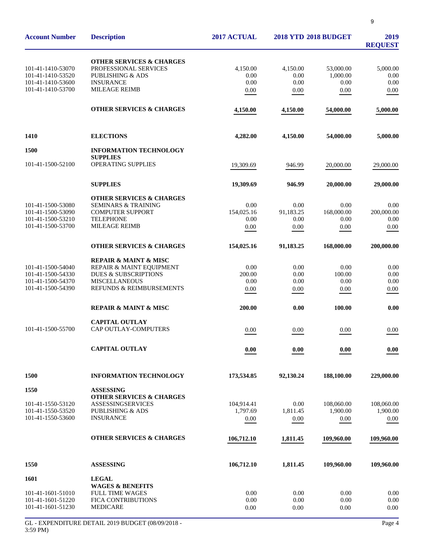| <b>Account Number</b>                                       | <b>Description</b>                                                                                              | 2017 ACTUAL              |                          | <b>2018 YTD 2018 BUDGET</b>   | 2019<br><b>REQUEST</b>   |
|-------------------------------------------------------------|-----------------------------------------------------------------------------------------------------------------|--------------------------|--------------------------|-------------------------------|--------------------------|
| 101-41-1410-53070<br>101-41-1410-53520<br>101-41-1410-53600 | <b>OTHER SERVICES &amp; CHARGES</b><br>PROFESSIONAL SERVICES<br><b>PUBLISHING &amp; ADS</b><br><b>INSURANCE</b> | 4.150.00<br>0.00<br>0.00 | 4,150.00<br>0.00<br>0.00 | 53,000.00<br>1,000.00<br>0.00 | 5,000.00<br>0.00<br>0.00 |
| 101-41-1410-53700                                           | <b>MILEAGE REIMB</b>                                                                                            | 0.00                     | $0.00\,$                 | 0.00                          | 0.00                     |
|                                                             | <b>OTHER SERVICES &amp; CHARGES</b>                                                                             | 4,150.00                 | 4,150.00                 | 54,000.00                     | 5,000.00                 |
| 1410                                                        | <b>ELECTIONS</b>                                                                                                | 4,282.00                 | 4,150.00                 | 54,000.00                     | 5,000.00                 |
| 1500                                                        | <b>INFORMATION TECHNOLOGY</b><br><b>SUPPLIES</b>                                                                |                          |                          |                               |                          |
| 101-41-1500-52100                                           | OPERATING SUPPLIES                                                                                              | 19,309.69                | 946.99                   | 20,000.00                     | 29,000.00                |
|                                                             | <b>SUPPLIES</b>                                                                                                 | 19,309.69                | 946.99                   | 20,000.00                     | 29,000.00                |
|                                                             | <b>OTHER SERVICES &amp; CHARGES</b>                                                                             |                          |                          |                               |                          |
| 101-41-1500-53080                                           | <b>SEMINARS &amp; TRAINING</b>                                                                                  | 0.00                     | 0.00                     | 0.00                          | 0.00                     |
| 101-41-1500-53090<br>101-41-1500-53210                      | <b>COMPUTER SUPPORT</b><br><b>TELEPHONE</b>                                                                     | 154,025.16<br>0.00       | 91,183.25<br>0.00        | 168,000.00<br>0.00            | 200,000.00<br>0.00       |
| 101-41-1500-53700                                           | <b>MILEAGE REIMB</b>                                                                                            | 0.00                     | 0.00                     | 0.00                          | 0.00                     |
|                                                             | <b>OTHER SERVICES &amp; CHARGES</b>                                                                             | 154,025.16               | 91,183.25                | 168,000.00                    | 200,000.00               |
|                                                             | <b>REPAIR &amp; MAINT &amp; MISC</b>                                                                            |                          |                          |                               |                          |
| 101-41-1500-54040                                           | REPAIR & MAINT EQUIPMENT                                                                                        | 0.00                     | 0.00                     | 0.00                          | 0.00                     |
| 101-41-1500-54330                                           | <b>DUES &amp; SUBSCRIPTIONS</b>                                                                                 | 200.00                   | 0.00                     | 100.00                        | 0.00                     |
| 101-41-1500-54370                                           | <b>MISCELLANEOUS</b>                                                                                            | 0.00                     | 0.00                     | 0.00                          | 0.00                     |
| 101-41-1500-54390                                           | REFUNDS & REIMBURSEMENTS                                                                                        | 0.00                     | 0.00                     | 0.00                          | 0.00                     |
|                                                             | <b>REPAIR &amp; MAINT &amp; MISC</b>                                                                            | 200.00                   | 0.00                     | 100.00                        | 0.00                     |
|                                                             | <b>CAPITAL OUTLAY</b>                                                                                           |                          |                          |                               |                          |
| 101-41-1500-55700                                           | CAP OUTLAY-COMPUTERS                                                                                            | 0.00                     | 0.00                     | 0.00                          | 0.00                     |
|                                                             | <b>CAPITAL OUTLAY</b>                                                                                           | 0.00                     | 0.00                     | 0.00                          | 0.00                     |
| 1500                                                        | <b>INFORMATION TECHNOLOGY</b>                                                                                   | 173,534.85               | 92,130.24                | 188,100.00                    | 229,000.00               |
| 1550                                                        | <b>ASSESSING</b>                                                                                                |                          |                          |                               |                          |
|                                                             | <b>OTHER SERVICES &amp; CHARGES</b>                                                                             |                          |                          |                               |                          |
| 101-41-1550-53120<br>101-41-1550-53520                      | ASSESSINGSERVICES<br><b>PUBLISHING &amp; ADS</b>                                                                | 104,914.41<br>1,797.69   | 0.00<br>1,811.45         | 108,060.00<br>1,900.00        | 108,060.00<br>1,900.00   |
| 101-41-1550-53600                                           | <b>INSURANCE</b>                                                                                                | 0.00                     | 0.00                     | 0.00                          | 0.00                     |
|                                                             |                                                                                                                 |                          |                          |                               |                          |
|                                                             | <b>OTHER SERVICES &amp; CHARGES</b>                                                                             | 106,712.10               | 1,811.45                 | 109,960.00                    | 109,960.00               |
| 1550                                                        | <b>ASSESSING</b>                                                                                                | 106,712.10               | 1,811.45                 | 109,960.00                    | 109,960.00               |
| 1601                                                        | <b>LEGAL</b>                                                                                                    |                          |                          |                               |                          |
| 101-41-1601-51010                                           | <b>WAGES &amp; BENEFITS</b><br><b>FULL TIME WAGES</b>                                                           | 0.00                     | 0.00                     | 0.00                          |                          |
| 101-41-1601-51220                                           | <b>FICA CONTRIBUTIONS</b>                                                                                       | 0.00                     | 0.00                     | 0.00                          | 0.00<br>0.00             |
| 101-41-1601-51230                                           | <b>MEDICARE</b>                                                                                                 | 0.00                     | 0.00                     | 0.00                          | 0.00                     |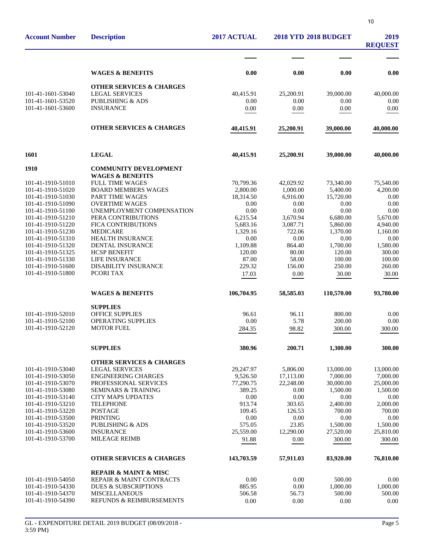| <b>Account Number</b>                  | <b>Description</b>                                      | 2017 ACTUAL           | <b>2018 YTD 2018 BUDGET</b> | 2019<br><b>REQUEST</b> |                       |
|----------------------------------------|---------------------------------------------------------|-----------------------|-----------------------------|------------------------|-----------------------|
|                                        |                                                         |                       |                             |                        |                       |
|                                        | <b>WAGES &amp; BENEFITS</b>                             | 0.00                  | 0.00                        | 0.00                   | 0.00                  |
|                                        | <b>OTHER SERVICES &amp; CHARGES</b>                     |                       |                             |                        |                       |
| 101-41-1601-53040<br>101-41-1601-53520 | <b>LEGAL SERVICES</b><br><b>PUBLISHING &amp; ADS</b>    | 40,415.91<br>0.00     | 25,200.91<br>0.00           | 39,000.00<br>0.00      | 40,000.00<br>0.00     |
| 101-41-1601-53600                      | <b>INSURANCE</b>                                        | 0.00                  | 0.00                        | 0.00                   | 0.00                  |
|                                        |                                                         |                       |                             |                        |                       |
|                                        | <b>OTHER SERVICES &amp; CHARGES</b>                     | 40,415.91             | 25,200.91                   | 39,000.00              | 40,000.00             |
| 1601                                   | <b>LEGAL</b>                                            | 40,415.91             | 25,200.91                   | 39,000.00              | 40,000.00             |
| 1910                                   | <b>COMMUNITY DEVELOPMENT</b>                            |                       |                             |                        |                       |
|                                        | <b>WAGES &amp; BENEFITS</b>                             |                       |                             |                        |                       |
| 101-41-1910-51010                      | <b>FULL TIME WAGES</b>                                  | 70,799.36             | 42,029.92                   | 73,340.00              | 75,540.00             |
| 101-41-1910-51020                      | <b>BOARD MEMBERS WAGES</b>                              | 2,800.00              | 1,000.00                    | 5,400.00               | 4,200.00              |
| 101-41-1910-51030<br>101-41-1910-51090 | PART TIME WAGES<br><b>OVERTIME WAGES</b>                | 18,314.50             | 6,916.00<br>0.00            | 15,720.00<br>0.00      | 0.00<br>0.00          |
| 101-41-1910-51100                      | UNEMPLOYMENT COMPENSATION                               | 0.00<br>0.00          | 0.00                        | 0.00                   | 0.00                  |
| 101-41-1910-51210                      | PERA CONTRIBUTIONS                                      | 6,215.54              | 3,670.94                    | 6,680.00               | 5,670.00              |
| 101-41-1910-51220                      | <b>FICA CONTRIBUTIONS</b>                               | 5,683.16              | 3,087.71                    | 5,860.00               | 4,940.00              |
| 101-41-1910-51230                      | <b>MEDICARE</b>                                         | 1,329.16              | 722.06                      | 1,370.00               | 1,160.00              |
| 101-41-1910-51310                      | HEALTH INSURANCE                                        | 0.00                  | 0.00                        | 0.00                   | 0.00                  |
| 101-41-1910-51320                      | DENTAL INSURANCE                                        | 1,109.88              | 864.40                      | 1,700.00               | 1,580.00              |
| 101-41-1910-51325                      | <b>HCSP BENEFIT</b>                                     | 120.00                | 80.00                       | 120.00                 | 300.00                |
| 101-41-1910-51330                      | <b>LIFE INSURANCE</b>                                   | 87.00                 | 58.00                       | 100.00                 | 100.00                |
| 101-41-1910-51600<br>101-41-1910-51800 | <b>DISABILITY INSURANCE</b><br>PCORI TAX                | 229.32                | 156.00                      | 250.00                 | 260.00                |
|                                        |                                                         | 17.03                 | 0.00                        | 30.00                  | 30.00                 |
|                                        | <b>WAGES &amp; BENEFITS</b>                             | 106,704.95            | 58,585.03                   | 110,570.00             | 93,780.00             |
|                                        | <b>SUPPLIES</b>                                         |                       |                             |                        |                       |
| 101-41-1910-52010                      | OFFICE SUPPLIES                                         | 96.61                 | 96.11                       | 800.00                 | 0.00                  |
| 101-41-1910-52100<br>101-41-1910-52120 | <b>OPERATING SUPPLIES</b><br><b>MOTOR FUEL</b>          | 0.00                  | 5.78                        | 200.00                 | 0.00                  |
|                                        |                                                         | 284.35                | 98.82                       | 300.00                 | 300.00                |
|                                        | <b>SUPPLIES</b>                                         | 380.96                | 200.71                      | 1,300.00               | 300.00                |
|                                        | <b>OTHER SERVICES &amp; CHARGES</b>                     |                       |                             |                        |                       |
| 101-41-1910-53040<br>101-41-1910-53050 | <b>LEGAL SERVICES</b><br><b>ENGINEERING CHARGES</b>     | 29,247.97<br>9,526.50 | 5,806.00<br>17,113.00       | 13,000.00<br>7,000.00  | 13,000.00<br>7,000.00 |
| 101-41-1910-53070                      | PROFESSIONAL SERVICES                                   | 77,290.75             | 22,248.00                   | 30,000.00              | 25,000.00             |
| 101-41-1910-53080                      | <b>SEMINARS &amp; TRAINING</b>                          | 389.25                | 0.00                        | 1,500.00               | 1.500.00              |
| 101-41-1910-53140                      | <b>CITY MAPS UPDATES</b>                                | 0.00                  | 0.00                        | 0.00                   | 0.00                  |
| 101-41-1910-53210                      | <b>TELEPHONE</b>                                        | 913.74                | 303.65                      | 2,400.00               | 2,000.00              |
| 101-41-1910-53220                      | <b>POSTAGE</b>                                          | 109.45                | 126.53                      | 700.00                 | 700.00                |
| 101-41-1910-53500                      | <b>PRINTING</b>                                         | 0.00                  | 0.00                        | 0.00                   | 0.00                  |
| 101-41-1910-53520                      | PUBLISHING & ADS                                        | 575.05                | 23.85                       | 1,500.00               | 1,500.00              |
| 101-41-1910-53600<br>101-41-1910-53700 | <b>INSURANCE</b><br>MILEAGE REIMB                       | 25,559.00             | 12,290.00<br>0.00           | 27,520.00<br>300.00    | 25,810.00<br>300.00   |
|                                        |                                                         | 91.88                 |                             |                        |                       |
|                                        | <b>OTHER SERVICES &amp; CHARGES</b>                     | 143,703.59            | 57,911.03                   | 83,920.00              | 76,810.00             |
|                                        | <b>REPAIR &amp; MAINT &amp; MISC</b>                    |                       |                             |                        |                       |
| 101-41-1910-54050                      | REPAIR & MAINT CONTRACTS                                | 0.00                  | 0.00                        | 500.00                 | 0.00                  |
| 101-41-1910-54330<br>101-41-1910-54370 | <b>DUES &amp; SUBSCRIPTIONS</b><br><b>MISCELLANEOUS</b> | 885.95<br>506.58      | 0.00<br>56.73               | 1,000.00<br>500.00     | 1,000.00<br>500.00    |
| 101-41-1910-54390                      | REFUNDS & REIMBURSEMENTS                                | 0.00                  | 0.00                        | 0.00                   | 0.00                  |
|                                        |                                                         |                       |                             |                        |                       |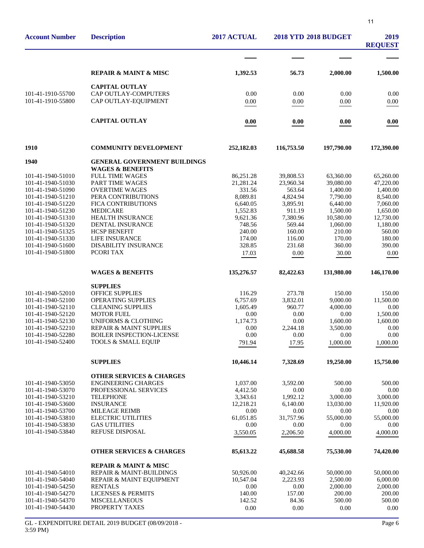| <b>Account Number</b>                  | <b>Description</b>                                                 | 2017 ACTUAL        | <b>2018 YTD 2018 BUDGET</b> | 2019<br><b>REQUEST</b> |                       |
|----------------------------------------|--------------------------------------------------------------------|--------------------|-----------------------------|------------------------|-----------------------|
|                                        |                                                                    |                    |                             |                        |                       |
|                                        | <b>REPAIR &amp; MAINT &amp; MISC</b>                               | 1,392.53           | 56.73                       | 2,000.00               | 1,500.00              |
|                                        | <b>CAPITAL OUTLAY</b>                                              |                    |                             |                        |                       |
| 101-41-1910-55700                      | CAP OUTLAY-COMPUTERS                                               | 0.00               | 0.00                        | 0.00                   | 0.00                  |
| 101-41-1910-55800                      | CAP OUTLAY-EQUIPMENT                                               | 0.00               | $0.00\,$                    | 0.00                   | $0.00\,$              |
|                                        | <b>CAPITAL OUTLAY</b>                                              | 0.00               | 0.00                        | 0.00                   | 0.00                  |
| 1910                                   | <b>COMMUNITY DEVELOPMENT</b>                                       | 252,182.03         | 116,753.50                  | 197,790.00             | 172,390.00            |
| 1940                                   | <b>GENERAL GOVERNMENT BUILDINGS</b><br><b>WAGES &amp; BENEFITS</b> |                    |                             |                        |                       |
| 101-41-1940-51010                      | <b>FULL TIME WAGES</b>                                             | 86,251.28          | 39,808.53                   | 63,360.00              | 65,260.00             |
| 101-41-1940-51030                      | PART TIME WAGES                                                    | 21,281.24          | 23,960.34                   | 39,080.00              | 47,220.00             |
| 101-41-1940-51090                      | <b>OVERTIME WAGES</b>                                              | 331.56             | 563.64                      | 1,400.00               | 1,400.00              |
| 101-41-1940-51210                      | PERA CONTRIBUTIONS                                                 | 8,089.81           | 4,824.94                    | 7,790.00               | 8,540.00              |
| 101-41-1940-51220                      | FICA CONTRIBUTIONS                                                 | 6,640.05           | 3,895.91                    | 6,440.00               | 7,060.00              |
| 101-41-1940-51230                      | <b>MEDICARE</b><br>HEALTH INSURANCE                                | 1,552.83           | 911.19                      | 1,500.00               | 1,650.00              |
| 101-41-1940-51310<br>101-41-1940-51320 | <b>DENTAL INSURANCE</b>                                            | 9,621.36<br>748.56 | 7,380.96<br>569.44          | 10,580.00<br>1,060.00  | 12,730.00<br>1.180.00 |
| 101-41-1940-51325                      | <b>HCSP BENEFIT</b>                                                | 240.00             | 160.00                      | 210.00                 | 560.00                |
| 101-41-1940-51330                      | LIFE INSURANCE                                                     | 174.00             | 116.00                      | 170.00                 | 180.00                |
| 101-41-1940-51600                      | DISABILITY INSURANCE                                               | 328.85             | 231.68                      | 360.00                 | 390.00                |
| 101-41-1940-51800                      | PCORI TAX                                                          | 17.03              | 0.00                        | 30.00                  | 0.00                  |
|                                        | <b>WAGES &amp; BENEFITS</b>                                        | 135,276.57         | 82,422.63                   | 131,980.00             | 146,170.00            |
|                                        | <b>SUPPLIES</b>                                                    |                    |                             |                        |                       |
| 101-41-1940-52010                      | <b>OFFICE SUPPLIES</b>                                             | 116.29             | 273.78                      | 150.00                 | 150.00                |
| 101-41-1940-52100                      | OPERATING SUPPLIES                                                 | 6,757.69           | 3,832.01                    | 9,000.00               | 11,500.00             |
| 101-41-1940-52110                      | <b>CLEANING SUPPLIES</b><br><b>MOTOR FUEL</b>                      | 1,605.49           | 960.77                      | 4,000.00               | 0.00                  |
| 101-41-1940-52120<br>101-41-1940-52130 | <b>UNIFORMS &amp; CLOTHING</b>                                     | 0.00<br>1,174.73   | 0.00<br>0.00                | 0.00<br>1,600.00       | 1,500.00<br>1,600.00  |
| 101-41-1940-52210                      | REPAIR & MAINT SUPPLIES                                            | 0.00               | 2.244.18                    | 3,500.00               | 0.00                  |
| 101-41-1940-52280                      | <b>BOILER INSPECTION-LICENSE</b>                                   | 0.00               | 0.00                        | 0.00                   | 0.00                  |
| 101-41-1940-52400                      | TOOLS & SMALL EQUIP                                                | 791.94             | 17.95                       | 1,000.00               | 1,000.00              |
|                                        | <b>SUPPLIES</b>                                                    | 10,446.14          | 7,328.69                    | 19,250.00              | 15,750.00             |
|                                        | <b>OTHER SERVICES &amp; CHARGES</b>                                |                    |                             |                        |                       |
| 101-41-1940-53050                      | <b>ENGINEERING CHARGES</b>                                         | 1,037.00           | 3,592.00                    | 500.00                 | 500.00                |
| 101-41-1940-53070                      | PROFESSIONAL SERVICES                                              | 4,412.50           | 0.00                        | 0.00                   | 0.00                  |
| 101-41-1940-53210<br>101-41-1940-53600 | <b>TELEPHONE</b><br><b>INSURANCE</b>                               | 3,343.61           | 1,992.12                    | 3,000.00               | 3,000.00              |
| 101-41-1940-53700                      | <b>MILEAGE REIMB</b>                                               | 12,218.21<br>0.00  | 6,140.00<br>0.00            | 13,030.00<br>0.00      | 11,920.00<br>0.00     |
| 101-41-1940-53810                      | <b>ELECTRIC UTILITIES</b>                                          | 61,051.85          | 31,757.96                   | 55,000.00              | 55,000.00             |
| 101-41-1940-53830                      | <b>GAS UTILITIES</b>                                               | 0.00               | 0.00                        | 0.00                   | 0.00                  |
| 101-41-1940-53840                      | REFUSE DISPOSAL                                                    | 3,550.05           | 2,206.50                    | 4,000.00               | 4,000.00              |
|                                        | <b>OTHER SERVICES &amp; CHARGES</b>                                | 85,613.22          | 45,688.58                   | 75,530.00              | 74,420.00             |
|                                        | <b>REPAIR &amp; MAINT &amp; MISC</b>                               |                    |                             |                        |                       |
| 101-41-1940-54010                      | <b>REPAIR &amp; MAINT-BUILDINGS</b>                                | 50,926.00          | 40,242.66                   | 50,000.00              | 50,000.00             |
| 101-41-1940-54040                      | REPAIR & MAINT EQUIPMENT                                           | 10,547.04          | 2,223.93                    | 2,500.00               | 6,000.00              |
| 101-41-1940-54250                      | <b>RENTALS</b>                                                     | 0.00               | 0.00                        | 2,000.00               | 2,000.00              |
| 101-41-1940-54270<br>101-41-1940-54370 | <b>LICENSES &amp; PERMITS</b><br><b>MISCELLANEOUS</b>              | 140.00<br>142.52   | 157.00<br>84.36             | 200.00<br>500.00       | 200.00<br>500.00      |
| 101-41-1940-54430                      | PROPERTY TAXES                                                     | 0.00               | 0.00                        | 0.00                   | 0.00                  |
|                                        |                                                                    |                    |                             |                        |                       |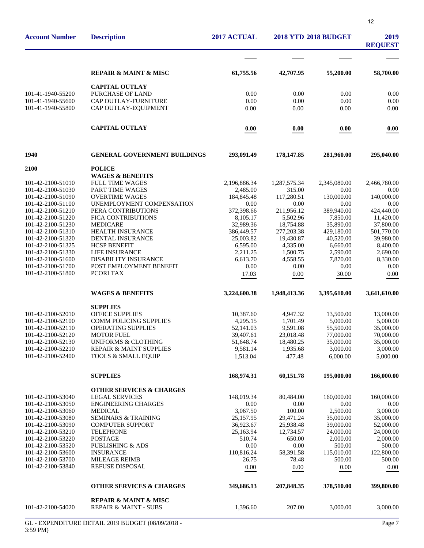| <b>Account Number</b>                  | <b>Description</b>                                                   | 2017 ACTUAL            |                        | <b>2018 YTD 2018 BUDGET</b> | 2019<br><b>REQUEST</b>  |
|----------------------------------------|----------------------------------------------------------------------|------------------------|------------------------|-----------------------------|-------------------------|
|                                        |                                                                      |                        |                        |                             |                         |
|                                        | <b>REPAIR &amp; MAINT &amp; MISC</b>                                 | 61,755.56              | 42,707.95              | 55,200.00                   | 58,700.00               |
|                                        | <b>CAPITAL OUTLAY</b>                                                |                        |                        |                             |                         |
| 101-41-1940-55200                      | PURCHASE OF LAND                                                     | 0.00                   | 0.00                   | 0.00                        | 0.00                    |
| 101-41-1940-55600                      | CAP OUTLAY-FURNITURE                                                 | 0.00                   | 0.00                   | 0.00                        | 0.00                    |
| 101-41-1940-55800                      | CAP OUTLAY-EQUIPMENT                                                 | 0.00                   | 0.00                   | 0.00                        | 0.00                    |
|                                        | <b>CAPITAL OUTLAY</b>                                                | 0.00                   | 0.00                   | 0.00                        | 0.00                    |
| 1940                                   | <b>GENERAL GOVERNMENT BUILDINGS</b>                                  | 293,091.49             | 178, 147.85            | 281,960.00                  | 295,040.00              |
| 2100                                   | <b>POLICE</b>                                                        |                        |                        |                             |                         |
|                                        | <b>WAGES &amp; BENEFITS</b>                                          |                        |                        |                             |                         |
| 101-42-2100-51010                      | <b>FULL TIME WAGES</b>                                               | 2,196,886.34           | 1,287,575.34           | 2,345,080.00                | 2,466,780.00            |
| 101-42-2100-51030                      | <b>PART TIME WAGES</b>                                               | 2,485.00               | 315.00                 | 0.00                        | 0.00                    |
| 101-42-2100-51090                      | <b>OVERTIME WAGES</b>                                                | 184,845.48             | 117,280.51             | 130,000.00                  | 140,000.00              |
| 101-42-2100-51100                      | UNEMPLOYMENT COMPENSATION                                            | 0.00                   | 0.00                   | 0.00                        | 0.00                    |
| 101-42-2100-51210<br>101-42-2100-51220 | PERA CONTRIBUTIONS<br><b>FICA CONTRIBUTIONS</b>                      | 372,398.66<br>8,105.17 | 211,956.12<br>5,502.96 | 389,940.00                  | 424,440.00<br>11,420.00 |
| 101-42-2100-51230                      | <b>MEDICARE</b>                                                      | 32,989.36              | 18,754.88              | 7,850.00<br>35,890.00       | 37,800.00               |
| 101-42-2100-51310                      | HEALTH INSURANCE                                                     | 386,449.57             | 277,203.38             | 429,180.00                  | 501,770.00              |
| 101-42-2100-51320                      | <b>DENTAL INSURANCE</b>                                              | 25,003.82              | 19,430.87              | 40,520.00                   | 39,980.00               |
| 101-42-2100-51325                      | <b>HCSP BENEFIT</b>                                                  | 6,595.00               | 4,335.00               | 6,660.00                    | 8,400.00                |
| 101-42-2100-51330                      | LIFE INSURANCE                                                       | 2,211.25               | 1,500.75               | 2,590.00                    | 2,690.00                |
| 101-42-2100-51600                      | <b>DISABILITY INSURANCE</b>                                          | 6,613.70               | 4,558.55               | 7,870.00                    | 8,330.00                |
| 101-42-2100-51700                      | POST EMPLOYMENT BENEFIT                                              | 0.00                   | 0.00                   | 0.00                        | 0.00                    |
| 101-42-2100-51800                      | PCORI TAX                                                            | 17.03                  | 0.00                   | 30.00                       | 0.00                    |
|                                        | <b>WAGES &amp; BENEFITS</b>                                          | 3,224,600.38           | 1,948,413.36           | 3,395,610.00                | 3,641,610.00            |
|                                        | <b>SUPPLIES</b>                                                      |                        |                        |                             |                         |
| 101-42-2100-52010                      | <b>OFFICE SUPPLIES</b>                                               | 10,387.60              | 4,947.32               | 13,500.00                   | 13,000.00               |
| 101-42-2100-52100                      | <b>COMM POLICING SUPPLIES</b>                                        | 4,295.15               | 1,701.49               | 5,000.00                    | 5,000.00                |
| 101-42-2100-52110                      | OPERATING SUPPLIES                                                   | 52,141.03              | 9,591.08               | 55,500.00                   | 35,000.00               |
| 101-42-2100-52120                      | <b>MOTOR FUEL</b>                                                    | 39,407.61              | 23,018.48              | 77,000.00                   | 70,000.00               |
| 101-42-2100-52130<br>101-42-2100-52210 | <b>UNIFORMS &amp; CLOTHING</b><br><b>REPAIR &amp; MAINT SUPPLIES</b> | 51,648.74<br>9,581.14  | 18,480.25<br>1,935.68  | 35,000.00<br>3,000.00       | 35,000.00<br>3,000.00   |
| 101-42-2100-52400                      | <b>TOOLS &amp; SMALL EQUIP</b>                                       | 1.513.04               | 477.48                 | 6,000.00                    | 5,000.00                |
|                                        |                                                                      |                        |                        |                             |                         |
|                                        | <b>SUPPLIES</b>                                                      | 168,974.31             | 60,151.78              | 195,000.00                  | 166,000.00              |
|                                        | <b>OTHER SERVICES &amp; CHARGES</b>                                  |                        |                        |                             |                         |
| 101-42-2100-53040                      | <b>LEGAL SERVICES</b>                                                | 148,019.34             | 80,484.00              | 160,000.00                  | 160,000.00              |
| 101-42-2100-53050                      | <b>ENGINEERING CHARGES</b>                                           | 0.00                   | 0.00                   | 0.00                        | 0.00                    |
| 101-42-2100-53060                      | <b>MEDICAL</b>                                                       | 3,067.50               | 100.00                 | 2,500.00                    | 3,000.00                |
| 101-42-2100-53080<br>101-42-2100-53090 | <b>SEMINARS &amp; TRAINING</b><br><b>COMPUTER SUPPORT</b>            | 25,157.95<br>36,923.67 | 29,471.24<br>25,938.48 | 35,000.00<br>39,000.00      | 35,000.00<br>52,000.00  |
| 101-42-2100-53210                      | <b>TELEPHONE</b>                                                     | 25,163.94              | 12,734.57              | 24,000.00                   | 24,000.00               |
| 101-42-2100-53220                      | <b>POSTAGE</b>                                                       | 510.74                 | 650.00                 | 2,000.00                    | 2,000.00                |
| 101-42-2100-53520                      | PUBLISHING & ADS                                                     | 0.00                   | 0.00                   | 500.00                      | 500.00                  |
| 101-42-2100-53600                      | <b>INSURANCE</b>                                                     | 110,816.24             | 58,391.58              | 115,010.00                  | 122,800.00              |
| 101-42-2100-53700                      | <b>MILEAGE REIMB</b>                                                 | 26.75                  | 78.48                  | 500.00                      | 500.00                  |
| 101-42-2100-53840                      | <b>REFUSE DISPOSAL</b>                                               | 0.00                   | 0.00                   | 0.00                        | 0.00                    |
|                                        | <b>OTHER SERVICES &amp; CHARGES</b>                                  | 349,686.13             | 207,848.35             | 378,510.00                  | 399,800.00              |
| 101-42-2100-54020                      | <b>REPAIR &amp; MAINT &amp; MISC</b><br>REPAIR & MAINT - SUBS        |                        |                        |                             |                         |
|                                        |                                                                      | 1,396.60               | 207.00                 | 3,000.00                    | 3,000.00                |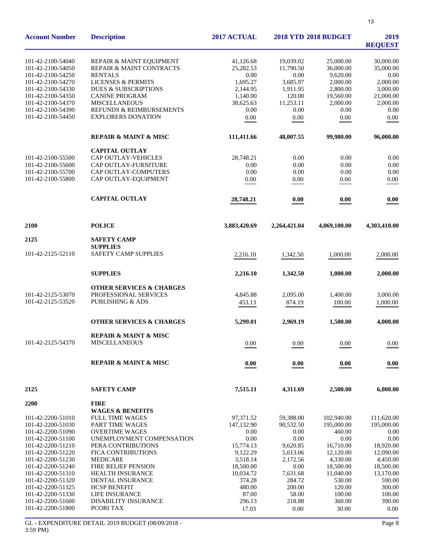| <b>Account Number</b>                  | <b>Description</b>                     | 2017 ACTUAL          | <b>2018 YTD 2018 BUDGET</b> | 2019<br><b>REQUEST</b> |                       |
|----------------------------------------|----------------------------------------|----------------------|-----------------------------|------------------------|-----------------------|
| 101-42-2100-54040                      | REPAIR & MAINT EQUIPMENT               | 41,126.68            | 19,039.02                   | 25,000.00              | 30,000.00             |
| 101-42-2100-54050                      | REPAIR & MAINT CONTRACTS               | 25,282.53            | 11,790.50                   | 36,000.00              | 35,000.00             |
| 101-42-2100-54250                      | <b>RENTALS</b>                         | 0.00                 | 0.00                        | 9.620.00               | 0.00                  |
| 101-42-2100-54270                      | <b>LICENSES &amp; PERMITS</b>          | 1,695.27             | 3,685.97                    | 2,000.00               | 2,000.00              |
| 101-42-2100-54330                      | <b>DUES &amp; SUBSCRIPTIONS</b>        | 2,144.95             | 1,911.95                    | 2,800.00               | 3,000.00              |
| 101-42-2100-54350                      | <b>CANINE PROGRAM</b>                  | 1,140.00             | 120.00                      | 19,560.00              | 21,000.00             |
| 101-42-2100-54370                      | <b>MISCELLANEOUS</b>                   | 38,625.63            | 11,253.11                   | 2,000.00               | 2,000.00              |
| 101-42-2100-54390                      | REFUNDS & REIMBURSEMENTS               | 0.00                 | 0.00                        | 0.00                   | 0.00                  |
| 101-42-2100-54450                      | <b>EXPLORERS DONATION</b>              | 0.00                 | $0.00\,$                    | 0.00                   | 0.00                  |
|                                        | <b>REPAIR &amp; MAINT &amp; MISC</b>   | 111,411.66           | 48,007.55                   | 99,980.00              | 96,000.00             |
|                                        | <b>CAPITAL OUTLAY</b>                  |                      |                             |                        |                       |
| 101-42-2100-55500                      | <b>CAP OUTLAY-VEHICLES</b>             | 28,748.21            | 0.00                        | 0.00                   | 0.00                  |
| 101-42-2100-55600                      | CAP OUTLAY-FURNITURE                   | 0.00                 | 0.00                        | 0.00                   | 0.00                  |
| 101-42-2100-55700                      | CAP OUTLAY-COMPUTERS                   | 0.00                 | 0.00                        | 0.00                   | 0.00                  |
| 101-42-2100-55800                      | CAP OUTLAY-EQUIPMENT                   | 0.00                 | 0.00                        | 0.00                   | 0.00                  |
|                                        | <b>CAPITAL OUTLAY</b>                  | 28,748.21            | 0.00                        | 0.00                   | 0.00                  |
| 2100                                   | <b>POLICE</b>                          | 3,883,420.69         | 2,264,421.04                | 4,069,100.00           | 4,303,410.00          |
| 2125                                   | <b>SAFETY CAMP</b>                     |                      |                             |                        |                       |
|                                        | <b>SUPPLIES</b>                        |                      |                             |                        |                       |
| 101-42-2125-52110                      | SAFETY CAMP SUPPLIES                   | 2,216.10             | 1,342.50                    | 1,000.00               | 2,000.00              |
|                                        | <b>SUPPLIES</b>                        | 2,216.10             | 1,342.50                    | 1,000.00               | 2,000.00              |
|                                        | <b>OTHER SERVICES &amp; CHARGES</b>    |                      |                             |                        |                       |
| 101-42-2125-53070                      | PROFESSIONAL SERVICES                  | 4,845.88             | 2,095.00                    | 1,400.00               | 3,000.00              |
| 101-42-2125-53520                      | <b>PUBLISHING &amp; ADS</b>            | 453.13               | 874.19                      | 100.00                 | 1,000.00              |
|                                        | <b>OTHER SERVICES &amp; CHARGES</b>    | 5,299.01             | 2,969.19                    | 1,500.00               | 4,000.00              |
|                                        | <b>REPAIR &amp; MAINT &amp; MISC</b>   |                      |                             |                        |                       |
| 101-42-2125-54370                      | <b>MISCELLANEOUS</b>                   | 0.00                 | 0.00                        | 0.00                   | $0.00\,$              |
|                                        | <b>REPAIR &amp; MAINT &amp; MISC</b>   | 0.00                 | 0.00                        | 0.00                   | 0.00                  |
|                                        |                                        |                      |                             |                        |                       |
| 2125                                   | <b>SAFETY CAMP</b>                     | 7,515.11             | 4,311.69                    | 2,500.00               | 6,000.00              |
| <b>2200</b>                            | <b>FIRE</b>                            |                      |                             |                        |                       |
|                                        | <b>WAGES &amp; BENEFITS</b>            |                      |                             |                        |                       |
| 101-42-2200-51010                      | <b>FULL TIME WAGES</b>                 | 97,371.52            | 59,388.00                   | 102,940.00             | 111,620.00            |
| 101-42-2200-51030                      | PART TIME WAGES                        | 147,132.90           | 90,532.50                   | 195,000.00             | 195,000.00            |
| 101-42-2200-51090                      | <b>OVERTIME WAGES</b>                  | 0.00                 | 0.00                        | 460.00                 | 0.00                  |
| 101-42-2200-51100                      | UNEMPLOYMENT COMPENSATION              | 0.00                 | 0.00                        | 0.00                   | 0.00                  |
| 101-42-2200-51210                      | PERA CONTRIBUTIONS                     | 15,774.13            | 9,620.85                    | 16,710.00              | 18,920.00             |
| 101-42-2200-51220                      | <b>FICA CONTRIBUTIONS</b>              | 9,122.29<br>3,518.14 | 5,613.06                    | 12,120.00              | 12,090.00             |
| 101-42-2200-51230<br>101-42-2200-51240 | <b>MEDICARE</b><br>FIRE RELIEF PENSION | 18,500.00            | 2,172.56<br>$0.00\,$        | 4,330.00<br>18,500.00  | 4,450.00<br>18,500.00 |
| 101-42-2200-51310                      | <b>HEALTH INSURANCE</b>                | 10,034.72            | 7,631.68                    | 11,040.00              | 13,170.00             |
| 101-42-2200-51320                      | DENTAL INSURANCE                       | 374.28               | 284.72                      | 530.00                 | 590.00                |
| 101-42-2200-51325                      | <b>HCSP BENEFIT</b>                    | 480.00               | 200.00                      | 120.00                 | 300.00                |
| 101-42-2200-51330                      | <b>LIFE INSURANCE</b>                  | 87.00                | 58.00                       | 100.00                 | 100.00                |
| 101-42-2200-51600                      | <b>DISABILITY INSURANCE</b>            | 296.13               | 218.88                      | 360.00                 | 390.00                |
| 101-42-2200-51800                      | PCORI TAX                              | 17.03                | 0.00                        | 30.00                  | $0.00\,$              |
|                                        |                                        |                      |                             |                        |                       |

GL - EXPENDITURE DETAIL 2019 BUDGET (08/09/2018 - 3:59 PM)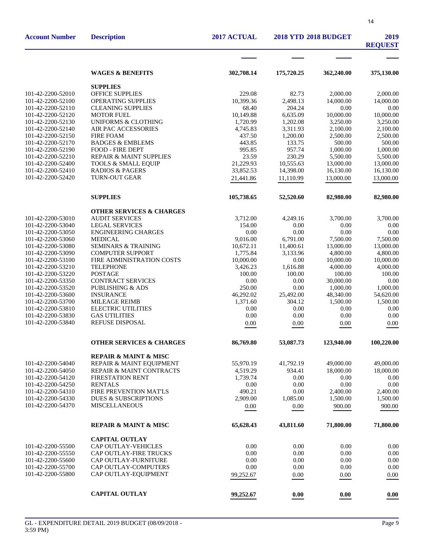| <b>Description</b>                   | 2017 ACTUAL                                                                                                                                                                                                                                                                                                                                                                                                                                                                                                                                                                                                                                                                                                                                                                  | <b>2018 YTD 2018 BUDGET</b>                                                                                                                                                                                                                                                                   |                                                                                                                                                                                                                                                                                                 | 2019<br><b>REQUEST</b>                                                                                                                                                                                                                                                                                            |
|--------------------------------------|------------------------------------------------------------------------------------------------------------------------------------------------------------------------------------------------------------------------------------------------------------------------------------------------------------------------------------------------------------------------------------------------------------------------------------------------------------------------------------------------------------------------------------------------------------------------------------------------------------------------------------------------------------------------------------------------------------------------------------------------------------------------------|-----------------------------------------------------------------------------------------------------------------------------------------------------------------------------------------------------------------------------------------------------------------------------------------------|-------------------------------------------------------------------------------------------------------------------------------------------------------------------------------------------------------------------------------------------------------------------------------------------------|-------------------------------------------------------------------------------------------------------------------------------------------------------------------------------------------------------------------------------------------------------------------------------------------------------------------|
|                                      |                                                                                                                                                                                                                                                                                                                                                                                                                                                                                                                                                                                                                                                                                                                                                                              |                                                                                                                                                                                                                                                                                               |                                                                                                                                                                                                                                                                                                 |                                                                                                                                                                                                                                                                                                                   |
| <b>WAGES &amp; BENEFITS</b>          | 302,708.14                                                                                                                                                                                                                                                                                                                                                                                                                                                                                                                                                                                                                                                                                                                                                                   | 175,720.25                                                                                                                                                                                                                                                                                    | 362,240.00                                                                                                                                                                                                                                                                                      | 375,130.00                                                                                                                                                                                                                                                                                                        |
|                                      |                                                                                                                                                                                                                                                                                                                                                                                                                                                                                                                                                                                                                                                                                                                                                                              |                                                                                                                                                                                                                                                                                               |                                                                                                                                                                                                                                                                                                 |                                                                                                                                                                                                                                                                                                                   |
|                                      |                                                                                                                                                                                                                                                                                                                                                                                                                                                                                                                                                                                                                                                                                                                                                                              |                                                                                                                                                                                                                                                                                               |                                                                                                                                                                                                                                                                                                 | 2,000.00                                                                                                                                                                                                                                                                                                          |
| <b>OPERATING SUPPLIES</b>            | 10,399.36                                                                                                                                                                                                                                                                                                                                                                                                                                                                                                                                                                                                                                                                                                                                                                    |                                                                                                                                                                                                                                                                                               | 14,000.00                                                                                                                                                                                                                                                                                       | 14,000.00                                                                                                                                                                                                                                                                                                         |
| <b>CLEANING SUPPLIES</b>             | 68.40                                                                                                                                                                                                                                                                                                                                                                                                                                                                                                                                                                                                                                                                                                                                                                        | 204.24                                                                                                                                                                                                                                                                                        | 0.00                                                                                                                                                                                                                                                                                            | 0.00                                                                                                                                                                                                                                                                                                              |
| <b>MOTOR FUEL</b>                    | 10,149.88                                                                                                                                                                                                                                                                                                                                                                                                                                                                                                                                                                                                                                                                                                                                                                    | 6,635.09                                                                                                                                                                                                                                                                                      | 10,000.00                                                                                                                                                                                                                                                                                       | 10,000.00                                                                                                                                                                                                                                                                                                         |
| <b>UNIFORMS &amp; CLOTHING</b>       | 1,720.99                                                                                                                                                                                                                                                                                                                                                                                                                                                                                                                                                                                                                                                                                                                                                                     | 1,202.08                                                                                                                                                                                                                                                                                      | 3,250.00                                                                                                                                                                                                                                                                                        | 3,250.00                                                                                                                                                                                                                                                                                                          |
|                                      | 4,745.83                                                                                                                                                                                                                                                                                                                                                                                                                                                                                                                                                                                                                                                                                                                                                                     |                                                                                                                                                                                                                                                                                               | 2,100.00                                                                                                                                                                                                                                                                                        | 2,100.00                                                                                                                                                                                                                                                                                                          |
|                                      |                                                                                                                                                                                                                                                                                                                                                                                                                                                                                                                                                                                                                                                                                                                                                                              |                                                                                                                                                                                                                                                                                               |                                                                                                                                                                                                                                                                                                 | 2,500.00                                                                                                                                                                                                                                                                                                          |
|                                      |                                                                                                                                                                                                                                                                                                                                                                                                                                                                                                                                                                                                                                                                                                                                                                              |                                                                                                                                                                                                                                                                                               |                                                                                                                                                                                                                                                                                                 | 500.00                                                                                                                                                                                                                                                                                                            |
|                                      |                                                                                                                                                                                                                                                                                                                                                                                                                                                                                                                                                                                                                                                                                                                                                                              |                                                                                                                                                                                                                                                                                               |                                                                                                                                                                                                                                                                                                 | 1,000.00                                                                                                                                                                                                                                                                                                          |
|                                      |                                                                                                                                                                                                                                                                                                                                                                                                                                                                                                                                                                                                                                                                                                                                                                              |                                                                                                                                                                                                                                                                                               |                                                                                                                                                                                                                                                                                                 | 5,500.00                                                                                                                                                                                                                                                                                                          |
|                                      |                                                                                                                                                                                                                                                                                                                                                                                                                                                                                                                                                                                                                                                                                                                                                                              |                                                                                                                                                                                                                                                                                               |                                                                                                                                                                                                                                                                                                 | 13,000.00                                                                                                                                                                                                                                                                                                         |
|                                      |                                                                                                                                                                                                                                                                                                                                                                                                                                                                                                                                                                                                                                                                                                                                                                              |                                                                                                                                                                                                                                                                                               |                                                                                                                                                                                                                                                                                                 | 16,130.00                                                                                                                                                                                                                                                                                                         |
|                                      |                                                                                                                                                                                                                                                                                                                                                                                                                                                                                                                                                                                                                                                                                                                                                                              |                                                                                                                                                                                                                                                                                               |                                                                                                                                                                                                                                                                                                 | 13,000.00                                                                                                                                                                                                                                                                                                         |
| <b>SUPPLIES</b>                      | 105,738.65                                                                                                                                                                                                                                                                                                                                                                                                                                                                                                                                                                                                                                                                                                                                                                   | 52,520.60                                                                                                                                                                                                                                                                                     | 82,980.00                                                                                                                                                                                                                                                                                       | 82,980.00                                                                                                                                                                                                                                                                                                         |
| <b>OTHER SERVICES &amp; CHARGES</b>  |                                                                                                                                                                                                                                                                                                                                                                                                                                                                                                                                                                                                                                                                                                                                                                              |                                                                                                                                                                                                                                                                                               |                                                                                                                                                                                                                                                                                                 |                                                                                                                                                                                                                                                                                                                   |
| <b>AUDIT SERVICES</b>                | 3,712.00                                                                                                                                                                                                                                                                                                                                                                                                                                                                                                                                                                                                                                                                                                                                                                     | 4,249.16                                                                                                                                                                                                                                                                                      | 3,700.00                                                                                                                                                                                                                                                                                        | 3,700.00                                                                                                                                                                                                                                                                                                          |
| <b>LEGAL SERVICES</b>                | 154.00                                                                                                                                                                                                                                                                                                                                                                                                                                                                                                                                                                                                                                                                                                                                                                       | 0.00                                                                                                                                                                                                                                                                                          | 0.00                                                                                                                                                                                                                                                                                            | 0.00                                                                                                                                                                                                                                                                                                              |
|                                      |                                                                                                                                                                                                                                                                                                                                                                                                                                                                                                                                                                                                                                                                                                                                                                              |                                                                                                                                                                                                                                                                                               |                                                                                                                                                                                                                                                                                                 | 0.00                                                                                                                                                                                                                                                                                                              |
|                                      |                                                                                                                                                                                                                                                                                                                                                                                                                                                                                                                                                                                                                                                                                                                                                                              |                                                                                                                                                                                                                                                                                               |                                                                                                                                                                                                                                                                                                 | 7,500.00                                                                                                                                                                                                                                                                                                          |
|                                      |                                                                                                                                                                                                                                                                                                                                                                                                                                                                                                                                                                                                                                                                                                                                                                              |                                                                                                                                                                                                                                                                                               |                                                                                                                                                                                                                                                                                                 | 13,000.00                                                                                                                                                                                                                                                                                                         |
|                                      |                                                                                                                                                                                                                                                                                                                                                                                                                                                                                                                                                                                                                                                                                                                                                                              |                                                                                                                                                                                                                                                                                               |                                                                                                                                                                                                                                                                                                 | 4,800.00                                                                                                                                                                                                                                                                                                          |
|                                      |                                                                                                                                                                                                                                                                                                                                                                                                                                                                                                                                                                                                                                                                                                                                                                              |                                                                                                                                                                                                                                                                                               |                                                                                                                                                                                                                                                                                                 | 10,000.00                                                                                                                                                                                                                                                                                                         |
|                                      |                                                                                                                                                                                                                                                                                                                                                                                                                                                                                                                                                                                                                                                                                                                                                                              |                                                                                                                                                                                                                                                                                               |                                                                                                                                                                                                                                                                                                 | 4,000.00                                                                                                                                                                                                                                                                                                          |
|                                      |                                                                                                                                                                                                                                                                                                                                                                                                                                                                                                                                                                                                                                                                                                                                                                              |                                                                                                                                                                                                                                                                                               |                                                                                                                                                                                                                                                                                                 | 100.00<br>0.00                                                                                                                                                                                                                                                                                                    |
|                                      |                                                                                                                                                                                                                                                                                                                                                                                                                                                                                                                                                                                                                                                                                                                                                                              |                                                                                                                                                                                                                                                                                               |                                                                                                                                                                                                                                                                                                 | 1,000.00                                                                                                                                                                                                                                                                                                          |
|                                      |                                                                                                                                                                                                                                                                                                                                                                                                                                                                                                                                                                                                                                                                                                                                                                              |                                                                                                                                                                                                                                                                                               |                                                                                                                                                                                                                                                                                                 | 54,620.00                                                                                                                                                                                                                                                                                                         |
|                                      |                                                                                                                                                                                                                                                                                                                                                                                                                                                                                                                                                                                                                                                                                                                                                                              |                                                                                                                                                                                                                                                                                               |                                                                                                                                                                                                                                                                                                 | 1,500.00                                                                                                                                                                                                                                                                                                          |
|                                      |                                                                                                                                                                                                                                                                                                                                                                                                                                                                                                                                                                                                                                                                                                                                                                              |                                                                                                                                                                                                                                                                                               |                                                                                                                                                                                                                                                                                                 | 0.00                                                                                                                                                                                                                                                                                                              |
|                                      |                                                                                                                                                                                                                                                                                                                                                                                                                                                                                                                                                                                                                                                                                                                                                                              |                                                                                                                                                                                                                                                                                               |                                                                                                                                                                                                                                                                                                 | $0.00\,$                                                                                                                                                                                                                                                                                                          |
| REFUSE DISPOSAL                      | 0.00                                                                                                                                                                                                                                                                                                                                                                                                                                                                                                                                                                                                                                                                                                                                                                         | 0.00                                                                                                                                                                                                                                                                                          | 0.00                                                                                                                                                                                                                                                                                            | 0.00                                                                                                                                                                                                                                                                                                              |
| <b>OTHER SERVICES &amp; CHARGES</b>  | 86,769.80                                                                                                                                                                                                                                                                                                                                                                                                                                                                                                                                                                                                                                                                                                                                                                    | 53,087.73                                                                                                                                                                                                                                                                                     | 123,940.00                                                                                                                                                                                                                                                                                      | 100,220.00                                                                                                                                                                                                                                                                                                        |
|                                      |                                                                                                                                                                                                                                                                                                                                                                                                                                                                                                                                                                                                                                                                                                                                                                              |                                                                                                                                                                                                                                                                                               |                                                                                                                                                                                                                                                                                                 |                                                                                                                                                                                                                                                                                                                   |
|                                      |                                                                                                                                                                                                                                                                                                                                                                                                                                                                                                                                                                                                                                                                                                                                                                              |                                                                                                                                                                                                                                                                                               |                                                                                                                                                                                                                                                                                                 | 49,000.00                                                                                                                                                                                                                                                                                                         |
|                                      |                                                                                                                                                                                                                                                                                                                                                                                                                                                                                                                                                                                                                                                                                                                                                                              |                                                                                                                                                                                                                                                                                               |                                                                                                                                                                                                                                                                                                 | 18,000.00                                                                                                                                                                                                                                                                                                         |
|                                      |                                                                                                                                                                                                                                                                                                                                                                                                                                                                                                                                                                                                                                                                                                                                                                              |                                                                                                                                                                                                                                                                                               |                                                                                                                                                                                                                                                                                                 | 0.00                                                                                                                                                                                                                                                                                                              |
|                                      |                                                                                                                                                                                                                                                                                                                                                                                                                                                                                                                                                                                                                                                                                                                                                                              |                                                                                                                                                                                                                                                                                               |                                                                                                                                                                                                                                                                                                 | 0.00                                                                                                                                                                                                                                                                                                              |
| <b>FIRE PREVENTION MAT'LS</b>        | 490.21                                                                                                                                                                                                                                                                                                                                                                                                                                                                                                                                                                                                                                                                                                                                                                       | 0.00                                                                                                                                                                                                                                                                                          |                                                                                                                                                                                                                                                                                                 | 2,400.00                                                                                                                                                                                                                                                                                                          |
| <b>DUES &amp; SUBSCRIPTIONS</b>      | 2,909.00                                                                                                                                                                                                                                                                                                                                                                                                                                                                                                                                                                                                                                                                                                                                                                     | 1,085.00                                                                                                                                                                                                                                                                                      | 1,500.00                                                                                                                                                                                                                                                                                        | 1,500.00                                                                                                                                                                                                                                                                                                          |
| <b>MISCELLANEOUS</b>                 | 0.00                                                                                                                                                                                                                                                                                                                                                                                                                                                                                                                                                                                                                                                                                                                                                                         | 0.00                                                                                                                                                                                                                                                                                          | 900.00                                                                                                                                                                                                                                                                                          | 900.00                                                                                                                                                                                                                                                                                                            |
| <b>REPAIR &amp; MAINT &amp; MISC</b> | 65,628.43                                                                                                                                                                                                                                                                                                                                                                                                                                                                                                                                                                                                                                                                                                                                                                    | 43,811.60                                                                                                                                                                                                                                                                                     | 71,800.00                                                                                                                                                                                                                                                                                       | 71,800.00                                                                                                                                                                                                                                                                                                         |
|                                      |                                                                                                                                                                                                                                                                                                                                                                                                                                                                                                                                                                                                                                                                                                                                                                              |                                                                                                                                                                                                                                                                                               |                                                                                                                                                                                                                                                                                                 |                                                                                                                                                                                                                                                                                                                   |
| CAP OUTLAY-VEHICLES                  | 0.00                                                                                                                                                                                                                                                                                                                                                                                                                                                                                                                                                                                                                                                                                                                                                                         | 0.00                                                                                                                                                                                                                                                                                          | 0.00                                                                                                                                                                                                                                                                                            | 0.00                                                                                                                                                                                                                                                                                                              |
| <b>CAP OUTLAY-FIRE TRUCKS</b>        | 0.00                                                                                                                                                                                                                                                                                                                                                                                                                                                                                                                                                                                                                                                                                                                                                                         | 0.00                                                                                                                                                                                                                                                                                          | 0.00                                                                                                                                                                                                                                                                                            | 0.00                                                                                                                                                                                                                                                                                                              |
| CAP OUTLAY-FURNITURE                 | 0.00                                                                                                                                                                                                                                                                                                                                                                                                                                                                                                                                                                                                                                                                                                                                                                         | 0.00                                                                                                                                                                                                                                                                                          | 0.00                                                                                                                                                                                                                                                                                            | 0.00                                                                                                                                                                                                                                                                                                              |
| CAP OUTLAY-COMPUTERS                 | 0.00                                                                                                                                                                                                                                                                                                                                                                                                                                                                                                                                                                                                                                                                                                                                                                         | 0.00                                                                                                                                                                                                                                                                                          | 0.00                                                                                                                                                                                                                                                                                            | 0.00                                                                                                                                                                                                                                                                                                              |
| CAP OUTLAY-EQUIPMENT                 | 99,252.67                                                                                                                                                                                                                                                                                                                                                                                                                                                                                                                                                                                                                                                                                                                                                                    | 0.00                                                                                                                                                                                                                                                                                          | 0.00                                                                                                                                                                                                                                                                                            | 0.00                                                                                                                                                                                                                                                                                                              |
| <b>CAPITAL OUTLAY</b>                |                                                                                                                                                                                                                                                                                                                                                                                                                                                                                                                                                                                                                                                                                                                                                                              |                                                                                                                                                                                                                                                                                               |                                                                                                                                                                                                                                                                                                 | 0.00                                                                                                                                                                                                                                                                                                              |
|                                      | <b>SUPPLIES</b><br><b>OFFICE SUPPLIES</b><br>AIR PAC ACCESSORIES<br><b>FIRE FOAM</b><br><b>BADGES &amp; EMBLEMS</b><br><b>FOOD - FIRE DEPT</b><br>REPAIR & MAINT SUPPLIES<br><b>TOOLS &amp; SMALL EQUIP</b><br><b>RADIOS &amp; PAGERS</b><br><b>TURN-OUT GEAR</b><br><b>ENGINEERING CHARGES</b><br><b>MEDICAL</b><br><b>SEMINARS &amp; TRAINING</b><br><b>COMPUTER SUPPORT</b><br>FIRE ADMINISTRATION COSTS<br><b>TELEPHONE</b><br><b>POSTAGE</b><br><b>CONTRACT SERVICES</b><br><b>PUBLISHING &amp; ADS</b><br><b>INSURANCE</b><br><b>MILEAGE REIMB</b><br><b>ELECTRIC UTILITIES</b><br><b>GAS UTILITIES</b><br><b>REPAIR &amp; MAINT &amp; MISC</b><br>REPAIR & MAINT EQUIPMENT<br>REPAIR & MAINT CONTRACTS<br>FIRESTATION RENT<br><b>RENTALS</b><br><b>CAPITAL OUTLAY</b> | 229.08<br>437.50<br>443.85<br>995.85<br>23.59<br>21,229.93<br>33,852.53<br>21,441.86<br>0.00<br>9,016.00<br>10,672.11<br>1,775.84<br>10,000.00<br>3,426.23<br>100.00<br>0.00<br>250.00<br>46,292.02<br>1,371.60<br>0.00<br>$0.00\,$<br>55,970.19<br>4,519.29<br>1,739.74<br>0.00<br>99,252.67 | 82.73<br>2,498.13<br>3,311.93<br>1,200.00<br>133.75<br>957.74<br>230.29<br>10,555.63<br>14,398.00<br>11,110.99<br>0.00<br>6,791.00<br>11,400.61<br>3,133.96<br>0.00<br>1,616.88<br>100.00<br>0.00<br>0.00<br>25,492.00<br>304.12<br>0.00<br>0.00<br>41,792.19<br>934.41<br>0.00<br>0.00<br>0.00 | 2,000.00<br>2,500.00<br>500.00<br>1,000.00<br>5,500.00<br>13,000.00<br>16,130.00<br>13,000.00<br>0.00<br>7,500.00<br>13,000.00<br>4,800.00<br>10,000.00<br>4,000.00<br>100.00<br>30,000.00<br>1,000.00<br>48,340.00<br>1,500.00<br>0.00<br>$0.00\,$<br>49,000.00<br>18,000.00<br>0.00<br>0.00<br>2,400.00<br>0.00 |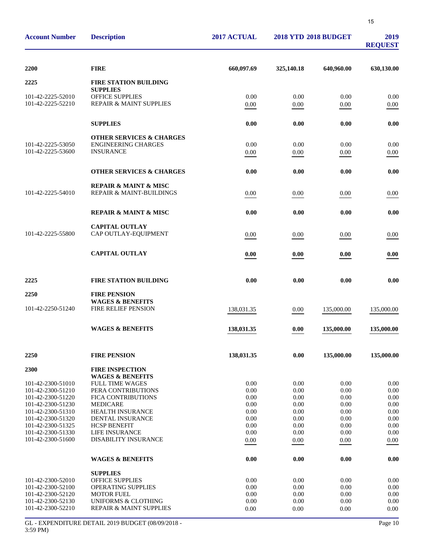| <b>Account Number</b>                                                                                 | <b>Description</b>                                                                                                                                       | 2017 ACTUAL                          | <b>2018 YTD 2018 BUDGET</b>          |                                      | 2019<br><b>REQUEST</b>               |
|-------------------------------------------------------------------------------------------------------|----------------------------------------------------------------------------------------------------------------------------------------------------------|--------------------------------------|--------------------------------------|--------------------------------------|--------------------------------------|
| 2200                                                                                                  | <b>FIRE</b>                                                                                                                                              | 660,097.69                           | 325,140.18                           | 640,960.00                           | 630,130.00                           |
| 2225                                                                                                  | <b>FIRE STATION BUILDING</b>                                                                                                                             |                                      |                                      |                                      |                                      |
| 101-42-2225-52010<br>101-42-2225-52210                                                                | <b>SUPPLIES</b><br>OFFICE SUPPLIES<br>REPAIR & MAINT SUPPLIES                                                                                            | 0.00<br>0.00                         | 0.00<br>0.00                         | 0.00<br>0.00                         | 0.00<br>0.00                         |
|                                                                                                       | <b>SUPPLIES</b>                                                                                                                                          | 0.00                                 | 0.00                                 | 0.00                                 | 0.00                                 |
| 101-42-2225-53050<br>101-42-2225-53600                                                                | <b>OTHER SERVICES &amp; CHARGES</b><br><b>ENGINEERING CHARGES</b><br><b>INSURANCE</b>                                                                    | 0.00<br>0.00                         | 0.00<br>0.00                         | 0.00<br>0.00                         | 0.00<br>0.00                         |
|                                                                                                       | <b>OTHER SERVICES &amp; CHARGES</b>                                                                                                                      | 0.00                                 | 0.00                                 | 0.00                                 | 0.00                                 |
| 101-42-2225-54010                                                                                     | <b>REPAIR &amp; MAINT &amp; MISC</b><br><b>REPAIR &amp; MAINT-BUILDINGS</b>                                                                              | 0.00                                 | 0.00                                 | 0.00                                 | 0.00                                 |
|                                                                                                       | <b>REPAIR &amp; MAINT &amp; MISC</b>                                                                                                                     | 0.00                                 | 0.00                                 | 0.00                                 | 0.00                                 |
| 101-42-2225-55800                                                                                     | <b>CAPITAL OUTLAY</b><br>CAP OUTLAY-EQUIPMENT                                                                                                            | 0.00                                 | 0.00                                 | 0.00                                 | 0.00                                 |
|                                                                                                       | <b>CAPITAL OUTLAY</b>                                                                                                                                    | 0.00                                 | 0.00                                 | 0.00                                 | 0.00                                 |
| 2225                                                                                                  | <b>FIRE STATION BUILDING</b>                                                                                                                             | 0.00                                 | 0.00                                 | 0.00                                 | 0.00                                 |
| 2250<br>101-42-2250-51240                                                                             | <b>FIRE PENSION</b><br><b>WAGES &amp; BENEFITS</b><br><b>FIRE RELIEF PENSION</b>                                                                         | 138,031.35                           | 0.00                                 | 135,000.00                           | 135,000.00                           |
|                                                                                                       | <b>WAGES &amp; BENEFITS</b>                                                                                                                              | 138,031.35                           | 0.00                                 | 135,000.00                           | 135,000.00                           |
| <b>2250</b>                                                                                           | <b>FIRE PENSION</b>                                                                                                                                      | 138,031.35                           | 0.00                                 | 135,000.00                           | 135,000.00                           |
| 2300<br>101-42-2300-51010                                                                             | <b>FIRE INSPECTION</b><br><b>WAGES &amp; BENEFITS</b><br><b>FULL TIME WAGES</b>                                                                          | 0.00                                 | 0.00                                 | 0.00                                 | 0.00                                 |
| 101-42-2300-51210<br>101-42-2300-51220<br>101-42-2300-51230                                           | PERA CONTRIBUTIONS<br>FICA CONTRIBUTIONS<br><b>MEDICARE</b>                                                                                              | 0.00<br>0.00<br>0.00                 | 0.00<br>0.00<br>0.00                 | 0.00<br>0.00<br>0.00                 | 0.00<br>0.00<br>0.00                 |
| 101-42-2300-51310<br>101-42-2300-51320<br>101-42-2300-51325<br>101-42-2300-51330                      | <b>HEALTH INSURANCE</b><br><b>DENTAL INSURANCE</b><br><b>HCSP BENEFIT</b><br>LIFE INSURANCE                                                              | 0.00<br>0.00<br>0.00<br>0.00         | 0.00<br>0.00<br>0.00<br>0.00         | 0.00<br>0.00<br>0.00<br>0.00         | 0.00<br>0.00<br>0.00<br>0.00         |
| 101-42-2300-51600                                                                                     | <b>DISABILITY INSURANCE</b>                                                                                                                              | 0.00                                 | 0.00                                 | 0.00                                 | 0.00                                 |
|                                                                                                       | <b>WAGES &amp; BENEFITS</b>                                                                                                                              | 0.00                                 | 0.00                                 | 0.00                                 | 0.00                                 |
| 101-42-2300-52010<br>101-42-2300-52100<br>101-42-2300-52120<br>101-42-2300-52130<br>101-42-2300-52210 | <b>SUPPLIES</b><br><b>OFFICE SUPPLIES</b><br><b>OPERATING SUPPLIES</b><br><b>MOTOR FUEL</b><br><b>UNIFORMS &amp; CLOTHING</b><br>REPAIR & MAINT SUPPLIES | 0.00<br>0.00<br>0.00<br>0.00<br>0.00 | 0.00<br>0.00<br>0.00<br>0.00<br>0.00 | 0.00<br>0.00<br>0.00<br>0.00<br>0.00 | 0.00<br>0.00<br>0.00<br>0.00<br>0.00 |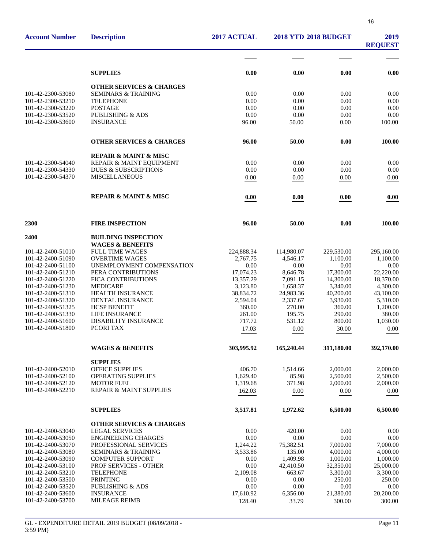| <b>Account Number</b>                  | <b>Description</b>                                        | 2017 ACTUAL           | <b>2018 YTD 2018 BUDGET</b> |                       | 2019<br><b>REQUEST</b> |
|----------------------------------------|-----------------------------------------------------------|-----------------------|-----------------------------|-----------------------|------------------------|
|                                        |                                                           |                       |                             |                       |                        |
|                                        | <b>SUPPLIES</b>                                           | 0.00                  | 0.00                        | 0.00                  | 0.00                   |
|                                        | <b>OTHER SERVICES &amp; CHARGES</b>                       |                       |                             |                       |                        |
| 101-42-2300-53080                      | <b>SEMINARS &amp; TRAINING</b>                            | 0.00                  | 0.00                        | 0.00                  | 0.00                   |
| 101-42-2300-53210                      | <b>TELEPHONE</b>                                          | 0.00                  | 0.00                        | 0.00                  | 0.00                   |
| 101-42-2300-53220                      | <b>POSTAGE</b>                                            | 0.00                  | 0.00                        | 0.00                  | 0.00                   |
| 101-42-2300-53520                      | <b>PUBLISHING &amp; ADS</b>                               | 0.00                  | 0.00                        | 0.00                  | 0.00                   |
| 101-42-2300-53600                      | <b>INSURANCE</b>                                          | 96.00                 | 50.00                       | 0.00                  | 100.00                 |
|                                        | <b>OTHER SERVICES &amp; CHARGES</b>                       | 96.00                 | 50.00                       | 0.00                  | 100.00                 |
|                                        | <b>REPAIR &amp; MAINT &amp; MISC</b>                      |                       |                             |                       |                        |
| 101-42-2300-54040                      | REPAIR & MAINT EQUIPMENT                                  | 0.00                  | 0.00                        | 0.00                  | 0.00                   |
| 101-42-2300-54330                      | <b>DUES &amp; SUBSCRIPTIONS</b>                           | 0.00                  | 0.00                        | 0.00                  | 0.00                   |
| 101-42-2300-54370                      | <b>MISCELLANEOUS</b>                                      | 0.00                  | 0.00                        | 0.00                  | 0.00                   |
|                                        | <b>REPAIR &amp; MAINT &amp; MISC</b>                      | 0.00                  | 0.00                        | 0.00                  | 0.00                   |
| 2300                                   | <b>FIRE INSPECTION</b>                                    | 96.00                 | 50.00                       | 0.00                  | 100.00                 |
|                                        |                                                           |                       |                             |                       |                        |
| 2400                                   | <b>BUILDING INSPECTION</b><br><b>WAGES &amp; BENEFITS</b> |                       |                             |                       |                        |
| 101-42-2400-51010                      | <b>FULL TIME WAGES</b>                                    | 224,888.34            | 114,980.07                  | 229,530.00            | 295,160.00             |
| 101-42-2400-51090                      | <b>OVERTIME WAGES</b>                                     | 2,767.75              | 4,546.17                    | 1,100.00              | 1,100.00               |
| 101-42-2400-51100                      | UNEMPLOYMENT COMPENSATION                                 | 0.00                  | 0.00                        | 0.00                  | 0.00                   |
| 101-42-2400-51210                      | PERA CONTRIBUTIONS                                        | 17,074.23             | 8,646.78                    | 17,300.00             | 22,220.00              |
| 101-42-2400-51220                      | FICA CONTRIBUTIONS                                        | 13,357.29             | 7,091.15                    | 14,300.00             | 18,370.00              |
| 101-42-2400-51230                      | <b>MEDICARE</b>                                           | 3,123.80              | 1,658.37                    | 3,340.00              | 4,300.00               |
| 101-42-2400-51310<br>101-42-2400-51320 | <b>HEALTH INSURANCE</b><br><b>DENTAL INSURANCE</b>        | 38,834.72<br>2,594.04 | 24,983.36<br>2,337.67       | 40,200.00<br>3,930.00 | 43,100.00<br>5,310.00  |
| 101-42-2400-51325                      | <b>HCSP BENEFIT</b>                                       | 360.00                | 270.00                      | 360.00                | 1,200.00               |
| 101-42-2400-51330                      | <b>LIFE INSURANCE</b>                                     | 261.00                | 195.75                      | 290.00                | 380.00                 |
| 101-42-2400-51600                      | <b>DISABILITY INSURANCE</b>                               | 717.72                | 531.12                      | 800.00                | 1,030.00               |
| 101-42-2400-51800                      | PCORI TAX                                                 | 17.03                 | 0.00                        | 30.00                 | 0.00                   |
|                                        | <b>WAGES &amp; BENEFITS</b>                               | 303,995.92            | 165,240.44                  | 311,180.00            | 392,170.00             |
|                                        | <b>SUPPLIES</b>                                           |                       |                             |                       |                        |
| 101-42-2400-52010                      | <b>OFFICE SUPPLIES</b>                                    | 406.70                | 1,514.66                    | 2,000.00              | 2,000.00               |
| 101-42-2400-52100                      | <b>OPERATING SUPPLIES</b>                                 | 1,629.40              | 85.98                       | 2,500.00              | 2,500.00               |
| 101-42-2400-52120                      | <b>MOTOR FUEL</b>                                         | 1,319.68              | 371.98                      | 2,000.00              | 2,000.00               |
| 101-42-2400-52210                      | REPAIR & MAINT SUPPLIES                                   | 162.03                | 0.00                        | 0.00                  | 0.00                   |
|                                        | <b>SUPPLIES</b>                                           | 3,517.81              | 1,972.62                    | 6,500.00              | 6,500.00               |
|                                        | <b>OTHER SERVICES &amp; CHARGES</b>                       |                       |                             |                       |                        |
| 101-42-2400-53040                      | <b>LEGAL SERVICES</b>                                     | 0.00                  | 420.00                      | 0.00                  | 0.00                   |
| 101-42-2400-53050                      | <b>ENGINEERING CHARGES</b>                                | 0.00                  | $0.00\,$                    | 0.00                  | 0.00                   |
| 101-42-2400-53070<br>101-42-2400-53080 | PROFESSIONAL SERVICES<br><b>SEMINARS &amp; TRAINING</b>   | 1,244.22<br>3,533.86  | 75,382.51<br>135.00         | 7,000.00<br>4,000.00  | 7,000.00<br>4,000.00   |
| 101-42-2400-53090                      | <b>COMPUTER SUPPORT</b>                                   | 0.00                  | 1,409.98                    | 1,000.00              | 1,000.00               |
| 101-42-2400-53100                      | PROF SERVICES - OTHER                                     | 0.00                  | 42,410.50                   | 32,350.00             | 25,000.00              |
| 101-42-2400-53210                      | <b>TELEPHONE</b>                                          | 2,109.08              | 663.67                      | 3,300.00              | 3,300.00               |
| 101-42-2400-53500                      | <b>PRINTING</b>                                           | 0.00                  | 0.00                        | 250.00                | 250.00                 |
| 101-42-2400-53520                      | <b>PUBLISHING &amp; ADS</b>                               | 0.00                  | 0.00                        | 0.00                  | 0.00                   |
| 101-42-2400-53600                      | <b>INSURANCE</b>                                          | 17,610.92             | 6,356.00                    | 21,380.00             | 20,200.00              |
| 101-42-2400-53700                      | MILEAGE REIMB                                             | 128.40                | 33.79                       | 300.00                | 300.00                 |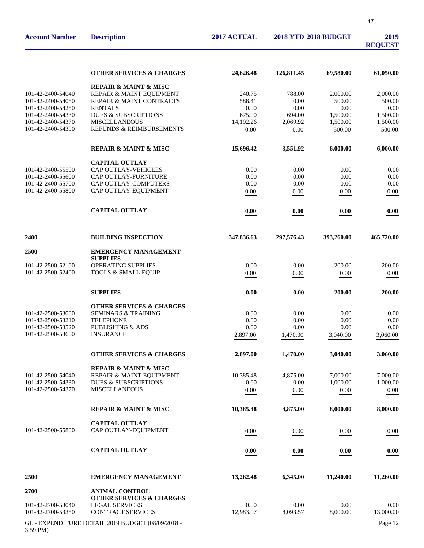| <b>Account Number</b>                  | <b>Description</b>                               | 2017 ACTUAL         | <b>2018 YTD 2018 BUDGET</b> |                      | 2019<br><b>REQUEST</b> |
|----------------------------------------|--------------------------------------------------|---------------------|-----------------------------|----------------------|------------------------|
|                                        |                                                  |                     |                             |                      |                        |
|                                        | <b>OTHER SERVICES &amp; CHARGES</b>              | 24,626.48           | 126,811.45                  | 69,580.00            | 61,050.00              |
|                                        | <b>REPAIR &amp; MAINT &amp; MISC</b>             |                     |                             |                      |                        |
| 101-42-2400-54040                      | REPAIR & MAINT EQUIPMENT                         | 240.75              | 788.00                      | 2,000.00             | 2,000.00               |
| 101-42-2400-54050                      | REPAIR & MAINT CONTRACTS                         | 588.41              | 0.00                        | 500.00               | 500.00                 |
| 101-42-2400-54250                      | <b>RENTALS</b>                                   | 0.00                | 0.00                        | 0.00                 | 0.00                   |
| 101-42-2400-54330<br>101-42-2400-54370 | <b>DUES &amp; SUBSCRIPTIONS</b><br>MISCELLANEOUS | 675.00<br>14,192.26 | 694.00<br>2,069.92          | 1,500.00<br>1,500.00 | 1,500.00<br>1,500.00   |
| 101-42-2400-54390                      | REFUNDS & REIMBURSEMENTS                         | 0.00                | 0.00                        | 500.00               | 500.00                 |
|                                        |                                                  |                     |                             |                      |                        |
|                                        | <b>REPAIR &amp; MAINT &amp; MISC</b>             | 15,696.42           | 3,551.92                    | 6,000.00             | 6,000.00               |
|                                        | <b>CAPITAL OUTLAY</b>                            |                     |                             |                      |                        |
| 101-42-2400-55500                      | CAP OUTLAY-VEHICLES                              | 0.00                | 0.00                        | 0.00                 | 0.00                   |
| 101-42-2400-55600                      | CAP OUTLAY-FURNITURE                             | 0.00                | 0.00                        | 0.00                 | 0.00                   |
| 101-42-2400-55700                      | <b>CAP OUTLAY-COMPUTERS</b>                      | 0.00                | 0.00                        | 0.00                 | 0.00                   |
| 101-42-2400-55800                      | CAP OUTLAY-EQUIPMENT                             | 0.00                | 0.00                        | 0.00                 | 0.00                   |
|                                        | <b>CAPITAL OUTLAY</b>                            | 0.00                | 0.00                        | 0.00                 | 0.00                   |
| 2400                                   | <b>BUILDING INSPECTION</b>                       | 347,836.63          | 297,576.43                  | 393,260.00           | 465,720.00             |
| 2500                                   | <b>EMERGENCY MANAGEMENT</b><br><b>SUPPLIES</b>   |                     |                             |                      |                        |
| 101-42-2500-52100                      | <b>OPERATING SUPPLIES</b>                        | 0.00                | 0.00                        | 200.00               | 200.00                 |
| 101-42-2500-52400                      | <b>TOOLS &amp; SMALL EQUIP</b>                   | 0.00                | 0.00                        | 0.00                 | 0.00                   |
|                                        |                                                  |                     |                             |                      |                        |
|                                        | <b>SUPPLIES</b>                                  | 0.00                | 0.00                        | 200.00               | 200.00                 |
|                                        | <b>OTHER SERVICES &amp; CHARGES</b>              |                     |                             |                      |                        |
| 101-42-2500-53080                      | <b>SEMINARS &amp; TRAINING</b>                   | 0.00                | 0.00                        | 0.00                 | 0.00                   |
| 101-42-2500-53210                      | <b>TELEPHONE</b>                                 | 0.00                | 0.00                        | 0.00                 | 0.00                   |
| 101-42-2500-53520                      | <b>PUBLISHING &amp; ADS</b><br><b>INSURANCE</b>  | 0.00                | 0.00                        | 0.00                 | 0.00                   |
| 101-42-2500-53600                      |                                                  | 2,897.00            | 1,470.00                    | 3,040.00             | 3,060.00               |
|                                        | <b>OTHER SERVICES &amp; CHARGES</b>              | 2,897.00            | 1,470.00                    | 3,040.00             | 3.060.00               |
|                                        | <b>REPAIR &amp; MAINT &amp; MISC</b>             |                     |                             |                      |                        |
| 101-42-2500-54040                      | REPAIR & MAINT EQUIPMENT                         | 10,385.48           | 4,875.00                    | 7,000.00             | 7,000.00               |
| 101-42-2500-54330                      | <b>DUES &amp; SUBSCRIPTIONS</b>                  | 0.00                | 0.00                        | 1,000.00             | 1,000.00               |
| 101-42-2500-54370                      | <b>MISCELLANEOUS</b>                             | 0.00                | 0.00                        | 0.00                 | 0.00                   |
|                                        | <b>REPAIR &amp; MAINT &amp; MISC</b>             | 10,385.48           | 4,875.00                    | 8,000.00             | 8,000.00               |
|                                        | <b>CAPITAL OUTLAY</b>                            |                     |                             |                      |                        |
| 101-42-2500-55800                      | CAP OUTLAY-EQUIPMENT                             | 0.00                | 0.00                        | 0.00                 | 0.00                   |
|                                        |                                                  |                     |                             |                      |                        |
|                                        | <b>CAPITAL OUTLAY</b>                            | 0.00                | 0.00                        | 0.00                 | 0.00                   |
| 2500                                   | <b>EMERGENCY MANAGEMENT</b>                      | 13,282.48           | 6,345.00                    | 11,240.00            | 11,260.00              |
| 2700                                   | <b>ANIMAL CONTROL</b>                            |                     |                             |                      |                        |
|                                        | <b>OTHER SERVICES &amp; CHARGES</b>              |                     |                             |                      |                        |
| 101-42-2700-53040                      | <b>LEGAL SERVICES</b>                            | 0.00                | 0.00                        | 0.00                 | 0.00                   |
| 101-42-2700-53350                      | <b>CONTRACT SERVICES</b>                         | 12,983.07           | 8,093.57                    | 8,000.00             | 13,000.00              |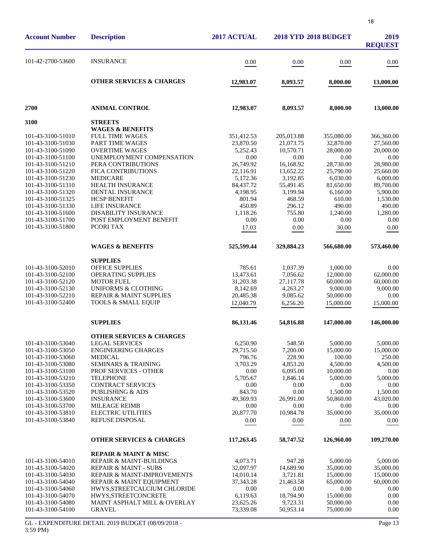| ٠ | ٠      |
|---|--------|
|   | v<br>٦ |
|   | $\sim$ |

| <b>Account Number</b>                                                                                                                                                                                                                                    | <b>Description</b>                                                                                                                                                                                                                                                                                                                      | 2017 ACTUAL                                                                                                                                |                                                                                                                                           | <b>2018 YTD 2018 BUDGET</b>                                                                                                                 | 2019<br><b>REQUEST</b>                                                                                                                        |
|----------------------------------------------------------------------------------------------------------------------------------------------------------------------------------------------------------------------------------------------------------|-----------------------------------------------------------------------------------------------------------------------------------------------------------------------------------------------------------------------------------------------------------------------------------------------------------------------------------------|--------------------------------------------------------------------------------------------------------------------------------------------|-------------------------------------------------------------------------------------------------------------------------------------------|---------------------------------------------------------------------------------------------------------------------------------------------|-----------------------------------------------------------------------------------------------------------------------------------------------|
| 101-42-2700-53600                                                                                                                                                                                                                                        | <b>INSURANCE</b>                                                                                                                                                                                                                                                                                                                        | 0.00                                                                                                                                       | 0.00                                                                                                                                      | 0.00                                                                                                                                        | 0.00                                                                                                                                          |
|                                                                                                                                                                                                                                                          | <b>OTHER SERVICES &amp; CHARGES</b>                                                                                                                                                                                                                                                                                                     | 12,983.07                                                                                                                                  | 8,093.57                                                                                                                                  | 8,000.00                                                                                                                                    | 13,000.00                                                                                                                                     |
| 2700                                                                                                                                                                                                                                                     | <b>ANIMAL CONTROL</b>                                                                                                                                                                                                                                                                                                                   | 12,983.07                                                                                                                                  | 8,093.57                                                                                                                                  | 8,000.00                                                                                                                                    | 13,000.00                                                                                                                                     |
| 3100                                                                                                                                                                                                                                                     | <b>STREETS</b>                                                                                                                                                                                                                                                                                                                          |                                                                                                                                            |                                                                                                                                           |                                                                                                                                             |                                                                                                                                               |
| 101-43-3100-51010<br>101-43-3100-51030<br>101-43-3100-51090<br>101-43-3100-51100<br>101-43-3100-51210<br>101-43-3100-51220<br>101-43-3100-51230<br>101-43-3100-51310<br>101-43-3100-51320<br>101-43-3100-51325<br>101-43-3100-51330<br>101-43-3100-51600 | <b>WAGES &amp; BENEFITS</b><br><b>FULL TIME WAGES</b><br>PART TIME WAGES<br><b>OVERTIME WAGES</b><br>UNEMPLOYMENT COMPENSATION<br>PERA CONTRIBUTIONS<br><b>FICA CONTRIBUTIONS</b><br><b>MEDICARE</b><br><b>HEALTH INSURANCE</b><br>DENTAL INSURANCE<br><b>HCSP BENEFIT</b><br>LIFE INSURANCE<br><b>DISABILITY INSURANCE</b>             | 351,412.53<br>23,870.50<br>5,252.43<br>0.00<br>26,749.92<br>22,116.91<br>5,172.36<br>84,437.72<br>4,198.95<br>801.94<br>450.89<br>1,118.26 | 205,013.88<br>21,073.75<br>10,570.71<br>0.00<br>16,168.92<br>13,652.22<br>3,192.85<br>55,491.45<br>3,199.94<br>468.59<br>296.12<br>755.80 | 355,080.00<br>32,870.00<br>28,000.00<br>0.00<br>28,730.00<br>25,790.00<br>6,030.00<br>81,650.00<br>6,160.00<br>610.00<br>490.00<br>1,240.00 | 366,360.00<br>27,560.00<br>20,000.00<br>0.00<br>28,980.00<br>25,660.00<br>6,000.00<br>89,700.00<br>5,900.00<br>1,530.00<br>490.00<br>1,280.00 |
| 101-43-3100-51700<br>101-43-3100-51800                                                                                                                                                                                                                   | POST EMPLOYMENT BENEFIT<br>PCORI TAX                                                                                                                                                                                                                                                                                                    | 0.00<br>17.03                                                                                                                              | 0.00<br>0.00                                                                                                                              | 0.00<br>30.00                                                                                                                               | 0.00<br>0.00                                                                                                                                  |
|                                                                                                                                                                                                                                                          | <b>WAGES &amp; BENEFITS</b>                                                                                                                                                                                                                                                                                                             | 525,599.44                                                                                                                                 | 329,884.23                                                                                                                                | 566,680.00                                                                                                                                  | 573,460.00                                                                                                                                    |
| 101-43-3100-52010<br>101-43-3100-52100<br>101-43-3100-52120<br>101-43-3100-52130<br>101-43-3100-52210<br>101-43-3100-52400                                                                                                                               | <b>SUPPLIES</b><br>OFFICE SUPPLIES<br><b>OPERATING SUPPLIES</b><br><b>MOTOR FUEL</b><br><b>UNIFORMS &amp; CLOTHING</b><br>REPAIR & MAINT SUPPLIES<br>TOOLS & SMALL EQUIP                                                                                                                                                                | 785.61<br>13,473.61<br>31,203.38<br>8,142.69<br>20,485.38<br>12,040.79                                                                     | 1,037.39<br>7,056.62<br>27,117.78<br>4,263.27<br>9,085.62<br>6,256.20                                                                     | 1,000.00<br>12,000.00<br>60,000.00<br>9,000.00<br>50,000.00<br>15,000.00                                                                    | 0.00<br>62,000.00<br>60,000.00<br>9,000.00<br>0.00<br>15,000.00                                                                               |
|                                                                                                                                                                                                                                                          | <b>SUPPLIES</b>                                                                                                                                                                                                                                                                                                                         | 86,131.46                                                                                                                                  | 54,816.88                                                                                                                                 | 147,000.00                                                                                                                                  | 146,000.00                                                                                                                                    |
| 101-43-3100-53040<br>101-43-3100-53050<br>101-43-3100-53060<br>101-43-3100-53080<br>101-43-3100-53100<br>101-43-3100-53210<br>101-43-3100-53350<br>101-43-3100-53520<br>101-43-3100-53600<br>101-43-3100-53700<br>101-43-3100-53810<br>101-43-3100-53840 | <b>OTHER SERVICES &amp; CHARGES</b><br><b>LEGAL SERVICES</b><br><b>ENGINEERING CHARGES</b><br><b>MEDICAL</b><br><b>SEMINARS &amp; TRAINING</b><br>PROF SERVICES - OTHER<br><b>TELEPHONE</b><br>CONTRACT SERVICES<br>PUBLISHING & ADS<br><b>INSURANCE</b><br><b>MILEAGE REIMB</b><br><b>ELECTRIC UTILITIES</b><br><b>REFUSE DISPOSAL</b> | 6,250.90<br>29,715.50<br>796.76<br>3,703.29<br>0.00<br>5,705.67<br>0.00<br>843.70<br>49,369.93<br>0.00<br>20,877.70<br>0.00                | 548.50<br>7,200.00<br>228.90<br>4,853.20<br>6,095.00<br>1,846.14<br>0.00<br>0.00<br>26,991.00<br>0.00<br>10,984.78<br>0.00                | 5,000.00<br>15,000.00<br>100.00<br>4,500.00<br>10,000.00<br>5,000.00<br>0.00<br>1,500.00<br>50,860.00<br>0.00<br>35,000.00<br>0.00          | 5,000.00<br>15,000.00<br>250.00<br>4,500.00<br>0.00<br>5,000.00<br>0.00<br>1,500.00<br>43,020.00<br>0.00<br>35,000.00<br>0.00                 |
|                                                                                                                                                                                                                                                          | <b>OTHER SERVICES &amp; CHARGES</b>                                                                                                                                                                                                                                                                                                     | 117,263.45                                                                                                                                 | 58,747.52                                                                                                                                 | 126,960.00                                                                                                                                  | 109,270.00                                                                                                                                    |
| 101-43-3100-54010<br>101-43-3100-54020<br>101-43-3100-54030<br>101-43-3100-54040<br>101-43-3100-54060<br>101-43-3100-54070<br>101-43-3100-54080<br>101-43-3100-54100                                                                                     | <b>REPAIR &amp; MAINT &amp; MISC</b><br><b>REPAIR &amp; MAINT-BUILDINGS</b><br><b>REPAIR &amp; MAINT - SUBS</b><br>REPAIR & MAINT-IMPROVEMENTS<br>REPAIR & MAINT EQUIPMENT<br>HWYS, STREETCALCIUM CHLORIDE<br>HWYS, STREETCONCRETE<br>MAINT ASPHALT MILL & OVERLAY<br><b>GRAVEL</b>                                                     | 4,073.71<br>32,097.97<br>14,010.14<br>37, 343. 28<br>0.00<br>6,119.63<br>23,625.26<br>73,339.08                                            | 947.28<br>14,689.90<br>3,721.81<br>21,463.58<br>0.00<br>18,794.90<br>9,723.31<br>50,953.14                                                | 5,000.00<br>35,000.00<br>15,000.00<br>65,000.00<br>0.00<br>15,000.00<br>50,000.00<br>75,000.00                                              | 5,000.00<br>35,000.00<br>15,000.00<br>60,000.00<br>0.00<br>0.00<br>0.00<br>0.00                                                               |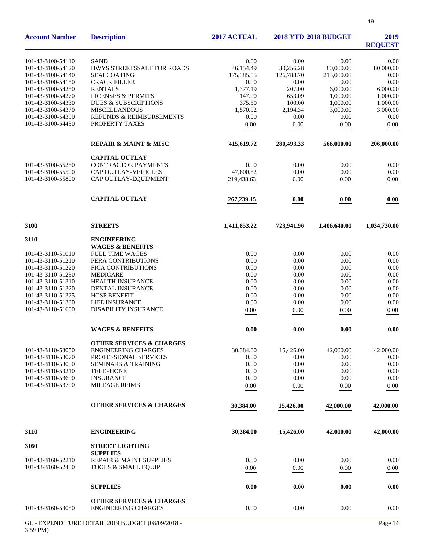| <b>Account Number</b>                  | <b>Description</b>                                                | 2017 ACTUAL       |                   | <b>2018 YTD 2018 BUDGET</b> | 2019<br><b>REQUEST</b> |
|----------------------------------------|-------------------------------------------------------------------|-------------------|-------------------|-----------------------------|------------------------|
| 101-43-3100-54110                      | <b>SAND</b>                                                       | 0.00              | 0.00              | 0.00                        | 0.00                   |
| 101-43-3100-54120                      | HWYS, STREETSSALT FOR ROADS                                       | 46,154.49         | 30,256.28         | 80,000.00                   | 80,000.00              |
| 101-43-3100-54140                      | <b>SEALCOATING</b>                                                | 175,385.55        | 126,788.70        | 215,000.00                  | 0.00                   |
| 101-43-3100-54150                      | <b>CRACK FILLER</b>                                               | 0.00              | 0.00              | 0.00                        | 0.00                   |
| 101-43-3100-54250                      | <b>RENTALS</b>                                                    | 1,377.19          | 207.00            | 6,000.00                    | 6,000.00               |
| 101-43-3100-54270                      | <b>LICENSES &amp; PERMITS</b>                                     | 147.00            | 653.09            | 1,000.00                    | 1,000.00               |
| 101-43-3100-54330                      | <b>DUES &amp; SUBSCRIPTIONS</b>                                   | 375.50            | 100.00            | 1,000.00                    | 1,000.00               |
| 101-43-3100-54370                      | <b>MISCELLANEOUS</b>                                              | 1,570.92          | 2,194.34          | 3,000.00                    | 3,000.00               |
| 101-43-3100-54390                      | REFUNDS & REIMBURSEMENTS                                          | 0.00              | 0.00              | 0.00                        | 0.00                   |
| 101-43-3100-54430                      | PROPERTY TAXES                                                    | 0.00              | 0.00              | 0.00                        | 0.00                   |
|                                        | <b>REPAIR &amp; MAINT &amp; MISC</b>                              | 415,619.72        | 280,493.33        | 566,000.00                  | 206,000.00             |
|                                        | <b>CAPITAL OUTLAY</b>                                             |                   |                   |                             |                        |
| 101-43-3100-55250                      | <b>CONTRACTOR PAYMENTS</b>                                        | 0.00              | 0.00              | 0.00                        | 0.00                   |
| 101-43-3100-55500                      | CAP OUTLAY-VEHICLES                                               | 47,800.52         | 0.00              | 0.00                        | 0.00                   |
| 101-43-3100-55800                      | CAP OUTLAY-EQUIPMENT                                              | 219,438.63        | $0.00\,$          | 0.00                        | 0.00                   |
|                                        | <b>CAPITAL OUTLAY</b>                                             | 267,239.15        | 0.00              | 0.00                        | 0.00                   |
| 3100                                   | <b>STREETS</b>                                                    | 1,411,853.22      | 723,941.96        | 1,406,640.00                | 1,034,730.00           |
| 3110                                   | <b>ENGINEERING</b>                                                |                   |                   |                             |                        |
|                                        | <b>WAGES &amp; BENEFITS</b>                                       |                   |                   |                             |                        |
| 101-43-3110-51010                      | <b>FULL TIME WAGES</b>                                            | 0.00              | 0.00              | 0.00                        | 0.00                   |
| 101-43-3110-51210                      | PERA CONTRIBUTIONS                                                | 0.00              | 0.00              | 0.00                        | 0.00                   |
| 101-43-3110-51220                      | FICA CONTRIBUTIONS                                                | 0.00              | 0.00              | 0.00                        | 0.00                   |
| 101-43-3110-51230                      | <b>MEDICARE</b>                                                   | 0.00              | 0.00              | 0.00                        | 0.00                   |
| 101-43-3110-51310                      | HEALTH INSURANCE                                                  | $0.00\,$          | 0.00              | 0.00                        | 0.00                   |
| 101-43-3110-51320                      | DENTAL INSURANCE                                                  | $0.00\,$          | 0.00              | 0.00                        | 0.00                   |
| 101-43-3110-51325                      | <b>HCSP BENEFIT</b>                                               | 0.00              | 0.00              | 0.00                        | 0.00                   |
| 101-43-3110-51330                      | <b>LIFE INSURANCE</b>                                             | 0.00              | 0.00              | 0.00                        | 0.00                   |
| 101-43-3110-51600                      | DISABILITY INSURANCE                                              | 0.00              | 0.00              | 0.00                        | 0.00                   |
|                                        | <b>WAGES &amp; BENEFITS</b>                                       | 0.00              | 0.00              | 0.00                        | 0.00                   |
|                                        |                                                                   |                   |                   |                             |                        |
|                                        | <b>OTHER SERVICES &amp; CHARGES</b><br><b>ENGINEERING CHARGES</b> |                   |                   |                             | 42,000.00              |
| 101-43-3110-53050<br>101-43-3110-53070 | PROFESSIONAL SERVICES                                             | 30,384.00<br>0.00 | 15,426.00<br>0.00 | 42,000.00<br>0.00           | 0.00                   |
| 101-43-3110-53080                      | <b>SEMINARS &amp; TRAINING</b>                                    | 0.00              | 0.00              | 0.00                        | 0.00                   |
| 101-43-3110-53210                      | <b>TELEPHONE</b>                                                  | 0.00              | 0.00              | 0.00                        | 0.00                   |
| 101-43-3110-53600                      | <b>INSURANCE</b>                                                  | 0.00              | 0.00              | 0.00                        | 0.00                   |
| 101-43-3110-53700                      | <b>MILEAGE REIMB</b>                                              | 0.00              | 0.00              | 0.00                        | 0.00                   |
|                                        | <b>OTHER SERVICES &amp; CHARGES</b>                               | 30,384.00         | 15,426.00         | 42,000.00                   | 42,000.00              |
| 3110                                   | <b>ENGINEERING</b>                                                | 30,384.00         | 15,426.00         | 42,000.00                   | 42,000.00              |
| 3160                                   | <b>STREET LIGHTING</b>                                            |                   |                   |                             |                        |
|                                        | <b>SUPPLIES</b>                                                   |                   |                   |                             |                        |
| 101-43-3160-52210                      | <b>REPAIR &amp; MAINT SUPPLIES</b>                                | 0.00              | 0.00              | 0.00                        | 0.00                   |
| 101-43-3160-52400                      | <b>TOOLS &amp; SMALL EQUIP</b>                                    | 0.00              | 0.00              | 0.00                        | 0.00                   |
|                                        | <b>SUPPLIES</b>                                                   | 0.00              | 0.00              | 0.00                        | 0.00                   |
|                                        | <b>OTHER SERVICES &amp; CHARGES</b>                               |                   |                   |                             |                        |
| 101-43-3160-53050                      | <b>ENGINEERING CHARGES</b>                                        | 0.00              | 0.00              | 0.00                        | 0.00                   |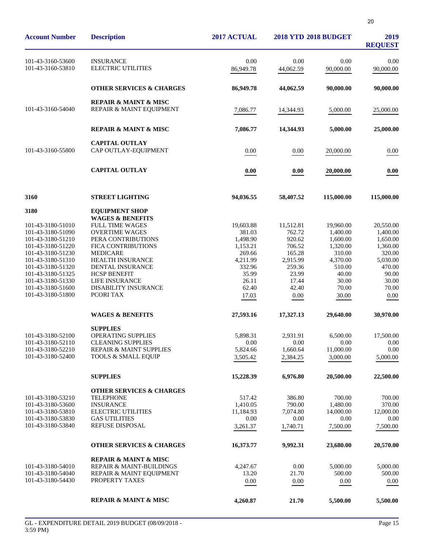| <b>Account Number</b>                                                                                                                                                                                                               | <b>Description</b>                                                                                                                                                                                                                                                  | 2017 ACTUAL                                                                                                     | <b>2018 YTD 2018 BUDGET</b>                                                                                |                                                                                                                   | 2019<br><b>REQUEST</b>                                                                                           |
|-------------------------------------------------------------------------------------------------------------------------------------------------------------------------------------------------------------------------------------|---------------------------------------------------------------------------------------------------------------------------------------------------------------------------------------------------------------------------------------------------------------------|-----------------------------------------------------------------------------------------------------------------|------------------------------------------------------------------------------------------------------------|-------------------------------------------------------------------------------------------------------------------|------------------------------------------------------------------------------------------------------------------|
| 101-43-3160-53600<br>101-43-3160-53810                                                                                                                                                                                              | <b>INSURANCE</b><br><b>ELECTRIC UTILITIES</b>                                                                                                                                                                                                                       | 0.00<br>86,949.78                                                                                               | 0.00<br>44,062.59                                                                                          | 0.00<br>90,000.00                                                                                                 | 0.00<br>90,000.00                                                                                                |
|                                                                                                                                                                                                                                     | <b>OTHER SERVICES &amp; CHARGES</b>                                                                                                                                                                                                                                 | 86,949.78                                                                                                       | 44,062.59                                                                                                  | 90,000.00                                                                                                         | 90,000.00                                                                                                        |
| 101-43-3160-54040                                                                                                                                                                                                                   | <b>REPAIR &amp; MAINT &amp; MISC</b><br>REPAIR & MAINT EQUIPMENT                                                                                                                                                                                                    | 7,086.77                                                                                                        | 14,344.93                                                                                                  | 5,000.00                                                                                                          | 25,000.00                                                                                                        |
|                                                                                                                                                                                                                                     | <b>REPAIR &amp; MAINT &amp; MISC</b>                                                                                                                                                                                                                                | 7,086.77                                                                                                        | 14,344.93                                                                                                  | 5,000.00                                                                                                          | 25,000.00                                                                                                        |
| 101-43-3160-55800                                                                                                                                                                                                                   | <b>CAPITAL OUTLAY</b><br>CAP OUTLAY-EQUIPMENT                                                                                                                                                                                                                       | 0.00                                                                                                            | 0.00                                                                                                       | 20,000.00                                                                                                         | 0.00                                                                                                             |
|                                                                                                                                                                                                                                     | <b>CAPITAL OUTLAY</b>                                                                                                                                                                                                                                               | 0.00                                                                                                            | 0.00                                                                                                       | 20,000.00                                                                                                         | 0.00                                                                                                             |
| 3160                                                                                                                                                                                                                                | <b>STREET LIGHTING</b>                                                                                                                                                                                                                                              | 94,036.55                                                                                                       | 58,407.52                                                                                                  | 115,000.00                                                                                                        | 115,000.00                                                                                                       |
| 3180                                                                                                                                                                                                                                | <b>EQUIPMENT SHOP</b>                                                                                                                                                                                                                                               |                                                                                                                 |                                                                                                            |                                                                                                                   |                                                                                                                  |
| 101-43-3180-51010<br>101-43-3180-51090<br>101-43-3180-51210<br>101-43-3180-51220<br>101-43-3180-51230<br>101-43-3180-51310<br>101-43-3180-51320<br>101-43-3180-51325<br>101-43-3180-51330<br>101-43-3180-51600<br>101-43-3180-51800 | <b>WAGES &amp; BENEFITS</b><br><b>FULL TIME WAGES</b><br><b>OVERTIME WAGES</b><br>PERA CONTRIBUTIONS<br>FICA CONTRIBUTIONS<br><b>MEDICARE</b><br>HEALTH INSURANCE<br>DENTAL INSURANCE<br><b>HCSP BENEFIT</b><br>LIFE INSURANCE<br>DISABILITY INSURANCE<br>PCORI TAX | 19,603.88<br>381.03<br>1,498.90<br>1,153.21<br>269.66<br>4,211.99<br>332.96<br>35.99<br>26.11<br>62.40<br>17.03 | 11,512.81<br>762.72<br>920.62<br>706.52<br>165.28<br>2,915.99<br>259.36<br>23.99<br>17.44<br>42.40<br>0.00 | 19,960.00<br>1,400.00<br>1,600.00<br>1,320.00<br>310.00<br>4,370.00<br>510.00<br>40.00<br>30.00<br>70.00<br>30.00 | 20,550.00<br>1,400.00<br>1,650.00<br>1,360.00<br>320.00<br>5,030.00<br>470.00<br>90.00<br>30.00<br>70.00<br>0.00 |
|                                                                                                                                                                                                                                     | <b>WAGES &amp; BENEFITS</b>                                                                                                                                                                                                                                         | 27,593.16                                                                                                       | 17,327.13                                                                                                  | 29,640.00                                                                                                         | 30,970.00                                                                                                        |
| 101-43-3180-52100<br>101-43-3180-52110<br>101-43-3180-52210<br>101-43-3180-52400                                                                                                                                                    | <b>SUPPLIES</b><br><b>OPERATING SUPPLIES</b><br><b>CLEANING SUPPLIES</b><br><b>REPAIR &amp; MAINT SUPPLIES</b><br><b>TOOLS &amp; SMALL EQUIP</b>                                                                                                                    | 5,898.31<br>0.00<br>5,824.66<br>3,505.42                                                                        | 2,931.91<br>0.00<br>1,660.64<br>2,384.25                                                                   | 6,500.00<br>$0.00\,$<br>11,000.00<br>3,000.00                                                                     | 17,500.00<br>0.00<br>0.00<br>5,000.00                                                                            |
|                                                                                                                                                                                                                                     | <b>SUPPLIES</b>                                                                                                                                                                                                                                                     | 15,228.39                                                                                                       | 6,976.80                                                                                                   | 20,500.00                                                                                                         | 22,500.00                                                                                                        |
| 101-43-3180-53210<br>101-43-3180-53600<br>101-43-3180-53810<br>101-43-3180-53830<br>101-43-3180-53840                                                                                                                               | <b>OTHER SERVICES &amp; CHARGES</b><br><b>TELEPHONE</b><br><b>INSURANCE</b><br><b>ELECTRIC UTILITIES</b><br><b>GAS UTILITIES</b><br>REFUSE DISPOSAL<br><b>OTHER SERVICES &amp; CHARGES</b>                                                                          | 517.42<br>1,410.05<br>11,184.93<br>0.00<br>3,261.37<br>16,373.77                                                | 386.80<br>790.00<br>7,074.80<br>0.00<br>1,740.71<br>9,992.31                                               | 700.00<br>1,480.00<br>14,000.00<br>0.00<br>7,500.00<br>23,680.00                                                  | 700.00<br>370.00<br>12,000.00<br>0.00<br>7,500.00<br>20,570.00                                                   |
| 101-43-3180-54010<br>101-43-3180-54040<br>101-43-3180-54430                                                                                                                                                                         | <b>REPAIR &amp; MAINT &amp; MISC</b><br>REPAIR & MAINT-BUILDINGS<br>REPAIR & MAINT EQUIPMENT<br>PROPERTY TAXES                                                                                                                                                      | 4,247.67<br>13.20<br>0.00                                                                                       | 0.00<br>21.70<br>$0.00\,$                                                                                  | 5,000.00<br>500.00<br>0.00                                                                                        | 5,000.00<br>500.00<br>0.00                                                                                       |

**REPAIR & MAINT & MISC 4,260.87 21.70 5,500.00 5,500.00**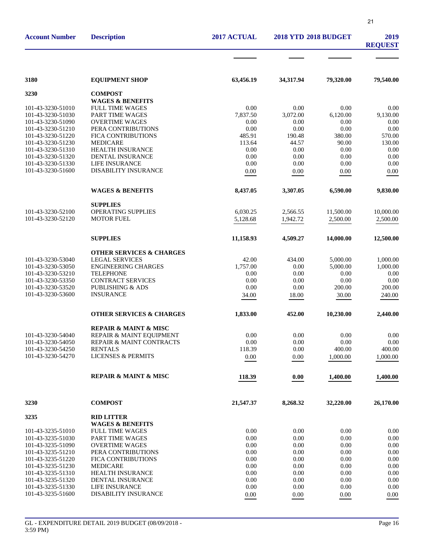|                                        |                                                 |                |                             | 21             |                        |
|----------------------------------------|-------------------------------------------------|----------------|-----------------------------|----------------|------------------------|
| <b>Account Number</b>                  | <b>Description</b>                              | 2017 ACTUAL    | <b>2018 YTD 2018 BUDGET</b> |                | 2019<br><b>REQUEST</b> |
|                                        |                                                 |                |                             |                |                        |
| 3180                                   | <b>EQUIPMENT SHOP</b>                           | 63,456.19      | 34,317.94                   | 79,320.00      | 79,540.00              |
| 3230                                   | <b>COMPOST</b>                                  |                |                             |                |                        |
|                                        | <b>WAGES &amp; BENEFITS</b>                     |                |                             |                |                        |
| 101-43-3230-51010                      | <b>FULL TIME WAGES</b>                          | 0.00           | 0.00                        | 0.00           | 0.00                   |
| 101-43-3230-51030                      | <b>PART TIME WAGES</b>                          | 7.837.50       | 3.072.00                    | 6,120.00       | 9,130.00               |
| 101-43-3230-51090                      | <b>OVERTIME WAGES</b>                           | 0.00           | 0.00                        | 0.00           | 0.00                   |
| 101-43-3230-51210<br>101-43-3230-51220 | PERA CONTRIBUTIONS<br>FICA CONTRIBUTIONS        | 0.00<br>485.91 | 0.00<br>190.48              | 0.00<br>380.00 | 0.00<br>570.00         |
| 101-43-3230-51230                      | <b>MEDICARE</b>                                 | 113.64         | 44.57                       | 90.00          | 130.00                 |
| 101-43-3230-51310                      | <b>HEALTH INSURANCE</b>                         | 0.00           | 0.00                        | 0.00           | 0.00                   |
| 101-43-3230-51320                      | DENTAL INSURANCE                                | 0.00           | 0.00                        | 0.00           | 0.00                   |
| 101-43-3230-51330                      | <b>LIFE INSURANCE</b>                           | 0.00           | 0.00                        | 0.00           | 0.00                   |
| 101-43-3230-51600                      | <b>DISABILITY INSURANCE</b>                     | 0.00           | 0.00                        | 0.00           | 0.00                   |
|                                        | <b>WAGES &amp; BENEFITS</b>                     | 8,437.05       | 3,307.05                    | 6,590.00       | 9,830.00               |
|                                        | <b>SUPPLIES</b>                                 |                |                             |                |                        |
| 101-43-3230-52100                      | <b>OPERATING SUPPLIES</b>                       | 6,030.25       | 2,566.55                    | 11,500.00      | 10,000.00              |
| 101-43-3230-52120                      | <b>MOTOR FUEL</b>                               | 5,128.68       | 1,942.72                    | 2,500.00       | 2,500.00               |
|                                        | <b>SUPPLIES</b>                                 | 11,158.93      | 4,509.27                    | 14,000.00      | 12,500.00              |
|                                        | <b>OTHER SERVICES &amp; CHARGES</b>             |                |                             |                |                        |
| 101-43-3230-53040                      | <b>LEGAL SERVICES</b>                           | 42.00          | 434.00                      | 5,000.00       | 1,000.00               |
| 101-43-3230-53050                      | <b>ENGINEERING CHARGES</b>                      | 1,757.00       | 0.00                        | 5,000.00       | 1,000.00               |
| 101-43-3230-53210                      | <b>TELEPHONE</b>                                | 0.00           | 0.00                        | 0.00           | 0.00                   |
| 101-43-3230-53350                      | <b>CONTRACT SERVICES</b>                        | 0.00           | 0.00                        | 0.00           | 0.00                   |
| 101-43-3230-53520                      | <b>PUBLISHING &amp; ADS</b>                     | 0.00           | 0.00                        | 200.00         | 200.00                 |
| 101-43-3230-53600                      | <b>INSURANCE</b>                                | 34.00          | 18.00                       | 30.00          | 240.00                 |
|                                        | <b>OTHER SERVICES &amp; CHARGES</b>             | 1,833.00       | 452.00                      | 10,230.00      | 2,440.00               |
|                                        | <b>REPAIR &amp; MAINT &amp; MISC</b>            |                |                             |                |                        |
| 101-43-3230-54040                      | REPAIR & MAINT EQUIPMENT                        | 0.00           | 0.00                        | 0.00           | 0.00                   |
| 101-43-3230-54050                      | <b>REPAIR &amp; MAINT CONTRACTS</b>             | 0.00           | 0.00                        | 0.00           | 0.00                   |
| 101-43-3230-54250<br>101-43-3230-54270 | <b>RENTALS</b><br><b>LICENSES &amp; PERMITS</b> | 118.39         | 0.00                        | 400.00         | 400.00                 |
|                                        |                                                 | 0.00           | $0.00\,$                    | 1,000.00       | 1,000.00               |
|                                        | <b>REPAIR &amp; MAINT &amp; MISC</b>            | 118.39         | 0.00                        | 1,400.00       | 1,400.00               |
| 3230                                   | <b>COMPOST</b>                                  | 21,547.37      | 8,268.32                    | 32,220.00      | 26,170.00              |
| 3235                                   | <b>RID LITTER</b>                               |                |                             |                |                        |
|                                        | <b>WAGES &amp; BENEFITS</b>                     |                |                             |                |                        |
| 101-43-3235-51010                      | <b>FULL TIME WAGES</b>                          | 0.00           | 0.00                        | 0.00           | 0.00                   |
| 101-43-3235-51030                      | PART TIME WAGES                                 | 0.00           | 0.00                        | 0.00           | 0.00                   |
| 101-43-3235-51090                      | <b>OVERTIME WAGES</b>                           | 0.00           | 0.00                        | 0.00           | 0.00                   |
| 101-43-3235-51210                      | PERA CONTRIBUTIONS                              | 0.00           | 0.00                        | 0.00           | 0.00                   |
| 101-43-3235-51220                      | FICA CONTRIBUTIONS                              | 0.00           | 0.00                        | 0.00           | 0.00                   |
| 101-43-3235-51230                      | <b>MEDICARE</b>                                 | 0.00           | 0.00                        | 0.00           | 0.00                   |
| 101-43-3235-51310                      | <b>HEALTH INSURANCE</b>                         | 0.00           | 0.00                        | 0.00           | 0.00                   |
| 101-43-3235-51320<br>101-43-3235-51330 | DENTAL INSURANCE<br>LIFE INSURANCE              | 0.00<br>0.00   | 0.00<br>0.00                | 0.00<br>0.00   | 0.00<br>0.00           |
| 101-43-3235-51600                      | DISABILITY INSURANCE                            | 0.00           | 0.00                        | 0.00           | 0.00                   |
|                                        |                                                 |                |                             |                |                        |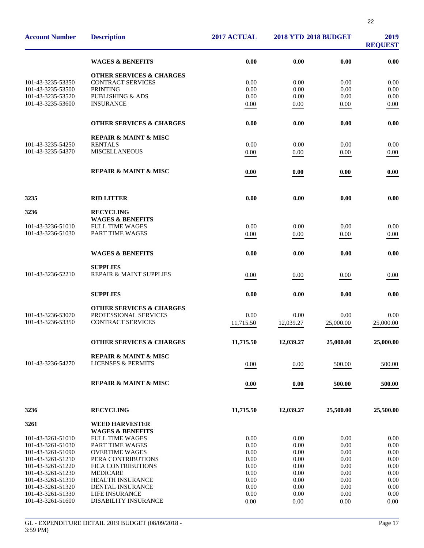| <b>Account Number</b>                  | <b>Description</b>                                    | 2017 ACTUAL  | <b>2018 YTD 2018 BUDGET</b> |              | 2019<br><b>REQUEST</b> |
|----------------------------------------|-------------------------------------------------------|--------------|-----------------------------|--------------|------------------------|
|                                        | <b>WAGES &amp; BENEFITS</b>                           | 0.00         | 0.00                        | 0.00         | 0.00                   |
|                                        | <b>OTHER SERVICES &amp; CHARGES</b>                   |              |                             |              |                        |
| 101-43-3235-53350                      | <b>CONTRACT SERVICES</b>                              | 0.00         | 0.00                        | 0.00         | 0.00                   |
| 101-43-3235-53500                      | <b>PRINTING</b>                                       | 0.00         | 0.00                        | 0.00         | 0.00                   |
| 101-43-3235-53520                      | PUBLISHING & ADS                                      | 0.00         | 0.00                        | 0.00         | 0.00                   |
| 101-43-3235-53600                      | <b>INSURANCE</b>                                      | 0.00         | 0.00                        | 0.00         | 0.00                   |
|                                        | <b>OTHER SERVICES &amp; CHARGES</b>                   | 0.00         | 0.00                        | 0.00         | 0.00                   |
|                                        | <b>REPAIR &amp; MAINT &amp; MISC</b>                  |              |                             |              |                        |
| 101-43-3235-54250                      | <b>RENTALS</b>                                        | 0.00         | 0.00                        | 0.00         | 0.00                   |
| 101-43-3235-54370                      | <b>MISCELLANEOUS</b>                                  | 0.00         | 0.00                        | 0.00         | 0.00                   |
|                                        | <b>REPAIR &amp; MAINT &amp; MISC</b>                  | 0.00         | 0.00                        | 0.00         | 0.00                   |
| 3235                                   | <b>RID LITTER</b>                                     | 0.00         | 0.00                        | 0.00         | 0.00                   |
| 3236                                   | <b>RECYCLING</b>                                      |              |                             |              |                        |
| 101-43-3236-51010                      | <b>WAGES &amp; BENEFITS</b><br><b>FULL TIME WAGES</b> | 0.00         | 0.00                        | 0.00         | 0.00                   |
| 101-43-3236-51030                      | PART TIME WAGES                                       | 0.00         | 0.00                        | 0.00         | 0.00                   |
|                                        |                                                       |              |                             |              |                        |
|                                        | <b>WAGES &amp; BENEFITS</b>                           | 0.00         | 0.00                        | 0.00         | 0.00                   |
|                                        | <b>SUPPLIES</b>                                       |              |                             |              |                        |
| 101-43-3236-52210                      | REPAIR & MAINT SUPPLIES                               | 0.00         | 0.00                        | 0.00         | 0.00                   |
|                                        | <b>SUPPLIES</b>                                       | 0.00         | 0.00                        | 0.00         | 0.00                   |
|                                        | <b>OTHER SERVICES &amp; CHARGES</b>                   |              |                             |              |                        |
| 101-43-3236-53070                      | PROFESSIONAL SERVICES                                 | 0.00         | 0.00                        | 0.00         | 0.00                   |
| 101-43-3236-53350                      | <b>CONTRACT SERVICES</b>                              | 11,715.50    | 12,039.27                   | 25,000.00    | 25,000.00              |
|                                        | <b>OTHER SERVICES &amp; CHARGES</b>                   | 11,715.50    | 12,039.27                   | 25,000.00    | 25,000.00              |
|                                        | <b>REPAIR &amp; MAINT &amp; MISC</b>                  |              |                             |              |                        |
| 101-43-3236-54270                      | <b>LICENSES &amp; PERMITS</b>                         | 0.00         | 0.00                        | 500.00       | 500.00                 |
|                                        | <b>REPAIR &amp; MAINT &amp; MISC</b>                  | 0.00         | 0.00                        | 500.00       | 500.00                 |
| 3236                                   | <b>RECYCLING</b>                                      | 11,715.50    | 12,039.27                   | 25,500.00    | 25,500.00              |
|                                        |                                                       |              |                             |              |                        |
| 3261                                   | <b>WEED HARVESTER</b>                                 |              |                             |              |                        |
|                                        | <b>WAGES &amp; BENEFITS</b>                           |              |                             |              |                        |
| 101-43-3261-51010                      | <b>FULL TIME WAGES</b><br>PART TIME WAGES             | 0.00         | 0.00<br>0.00                | 0.00<br>0.00 | 0.00<br>0.00           |
| 101-43-3261-51030<br>101-43-3261-51090 | <b>OVERTIME WAGES</b>                                 | 0.00<br>0.00 | 0.00                        | 0.00         | 0.00                   |
| 101-43-3261-51210                      | PERA CONTRIBUTIONS                                    | 0.00         | 0.00                        | 0.00         | 0.00                   |
| 101-43-3261-51220                      | <b>FICA CONTRIBUTIONS</b>                             | 0.00         | 0.00                        | 0.00         | 0.00                   |
| 101-43-3261-51230                      | <b>MEDICARE</b>                                       | 0.00         | 0.00                        | 0.00         | 0.00                   |
| 101-43-3261-51310                      | <b>HEALTH INSURANCE</b>                               | 0.00         | 0.00                        | 0.00         | 0.00                   |
| 101-43-3261-51320                      | DENTAL INSURANCE                                      | 0.00         | 0.00                        | 0.00         | 0.00                   |
| 101-43-3261-51330                      | <b>LIFE INSURANCE</b>                                 | 0.00         | 0.00                        | 0.00         | 0.00                   |
| 101-43-3261-51600                      | <b>DISABILITY INSURANCE</b>                           | 0.00         | 0.00                        | 0.00         | 0.00                   |
|                                        |                                                       |              |                             |              |                        |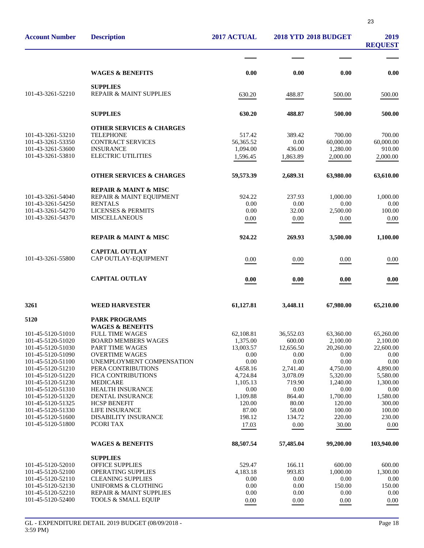| <b>Account Number</b>                  | <b>Description</b>                                        | 2017 ACTUAL      | <b>2018 YTD 2018 BUDGET</b> |                  | 2019<br><b>REQUEST</b> |
|----------------------------------------|-----------------------------------------------------------|------------------|-----------------------------|------------------|------------------------|
|                                        |                                                           |                  |                             |                  |                        |
|                                        | <b>WAGES &amp; BENEFITS</b>                               | 0.00             | 0.00                        | 0.00             | 0.00                   |
| 101-43-3261-52210                      | <b>SUPPLIES</b><br>REPAIR & MAINT SUPPLIES                | 630.20           | 488.87                      | 500.00           | 500.00                 |
|                                        |                                                           |                  |                             |                  |                        |
|                                        | <b>SUPPLIES</b>                                           | 630.20           | 488.87                      | 500.00           | 500.00                 |
| 101-43-3261-53210                      | <b>OTHER SERVICES &amp; CHARGES</b><br><b>TELEPHONE</b>   | 517.42           | 389.42                      | 700.00           | 700.00                 |
| 101-43-3261-53350                      | <b>CONTRACT SERVICES</b>                                  | 56,365.52        | 0.00                        | 60,000.00        | 60,000.00              |
| 101-43-3261-53600                      | <b>INSURANCE</b>                                          | 1,094.00         | 436.00                      | 1,280.00         | 910.00                 |
| 101-43-3261-53810                      | <b>ELECTRIC UTILITIES</b>                                 | 1,596.45         | 1,863.89                    | 2,000.00         | 2,000.00               |
|                                        | <b>OTHER SERVICES &amp; CHARGES</b>                       | 59,573.39        | 2,689.31                    | 63,980.00        | 63,610.00              |
|                                        | <b>REPAIR &amp; MAINT &amp; MISC</b>                      |                  |                             |                  |                        |
| 101-43-3261-54040                      | REPAIR & MAINT EQUIPMENT                                  | 924.22           | 237.93                      | 1,000.00         | 1,000.00               |
| 101-43-3261-54250                      | <b>RENTALS</b>                                            | 0.00             | 0.00                        | 0.00             | 0.00                   |
| 101-43-3261-54270                      | <b>LICENSES &amp; PERMITS</b>                             | 0.00             | 32.00                       | 2,500.00         | 100.00                 |
| 101-43-3261-54370                      | <b>MISCELLANEOUS</b>                                      | 0.00             | 0.00                        | 0.00             | 0.00                   |
|                                        | <b>REPAIR &amp; MAINT &amp; MISC</b>                      | 924.22           | 269.93                      | 3,500.00         | 1,100.00               |
|                                        | <b>CAPITAL OUTLAY</b>                                     |                  |                             |                  |                        |
| 101-43-3261-55800                      | CAP OUTLAY-EQUIPMENT                                      | 0.00             | 0.00                        | 0.00             | 0.00                   |
|                                        | <b>CAPITAL OUTLAY</b>                                     | 0.00             | 0.00                        | 0.00             | 0.00                   |
| 3261                                   | <b>WEED HARVESTER</b>                                     | 61,127.81        | 3,448.11                    | 67,980.00        | 65,210.00              |
| 5120                                   | <b>PARK PROGRAMS</b><br><b>WAGES &amp; BENEFITS</b>       |                  |                             |                  |                        |
| 101-45-5120-51010                      | <b>FULL TIME WAGES</b>                                    | 62,108.81        | 36,552.03                   | 63,360.00        | 65,260.00              |
| 101-45-5120-51020                      | <b>BOARD MEMBERS WAGES</b>                                | 1,375.00         | 600.00                      | 2,100.00         | 2,100.00               |
| 101-45-5120-51030                      | <b>PART TIME WAGES</b>                                    | 13,003.57        | 12,656.50                   | 20,260.00        | 22,600.00              |
| 101-45-5120-51090                      | <b>OVERTIME WAGES</b>                                     | 0.00             | 0.00                        | 0.00             | 0.00                   |
| 101-45-5120-51100                      | UNEMPLOYMENT COMPENSATION                                 | 0.00             | 0.00                        | 0.00             | 0.00                   |
| 101-45-5120-51210                      | PERA CONTRIBUTIONS                                        | 4,658.16         | 2,741.40                    | 4,750.00         | 4,890.00               |
| 101-45-5120-51220                      | FICA CONTRIBUTIONS                                        | 4,724.84         | 3,078.09                    | 5,320.00         | 5,580.00               |
| 101-45-5120-51230<br>101-45-5120-51310 | <b>MEDICARE</b><br>HEALTH INSURANCE                       | 1,105.13<br>0.00 | 719.90<br>0.00              | 1,240.00<br>0.00 | 1,300.00<br>0.00       |
| 101-45-5120-51320                      | DENTAL INSURANCE                                          | 1,109.88         | 864.40                      | 1,700.00         | 1,580.00               |
| 101-45-5120-51325                      | <b>HCSP BENEFIT</b>                                       | 120.00           | 80.00                       | 120.00           | 300.00                 |
| 101-45-5120-51330                      | LIFE INSURANCE                                            | 87.00            | 58.00                       | 100.00           | 100.00                 |
| 101-45-5120-51600                      | DISABILITY INSURANCE                                      | 198.12           | 134.72                      | 220.00           | 230.00                 |
| 101-45-5120-51800                      | PCORI TAX                                                 | 17.03            | 0.00                        | 30.00            | 0.00                   |
|                                        | <b>WAGES &amp; BENEFITS</b>                               | 88,507.54        | 57,485.04                   | 99,200.00        | 103,940.00             |
|                                        | <b>SUPPLIES</b>                                           |                  |                             |                  |                        |
| 101-45-5120-52010                      | <b>OFFICE SUPPLIES</b>                                    | 529.47           | 166.11                      | 600.00           | 600.00                 |
| 101-45-5120-52100                      | OPERATING SUPPLIES                                        | 4,183.18         | 993.83                      | 1,000.00         | 1,300.00               |
| 101-45-5120-52110                      | <b>CLEANING SUPPLIES</b>                                  | 0.00             | 0.00                        | 0.00             | 0.00                   |
| 101-45-5120-52130<br>101-45-5120-52210 | <b>UNIFORMS &amp; CLOTHING</b><br>REPAIR & MAINT SUPPLIES | 0.00<br>0.00     | 0.00<br>0.00                | 150.00<br>0.00   | 150.00<br>0.00         |
| 101-45-5120-52400                      | <b>TOOLS &amp; SMALL EQUIP</b>                            | 0.00             | 0.00                        | 0.00             | 0.00                   |
|                                        |                                                           |                  |                             |                  |                        |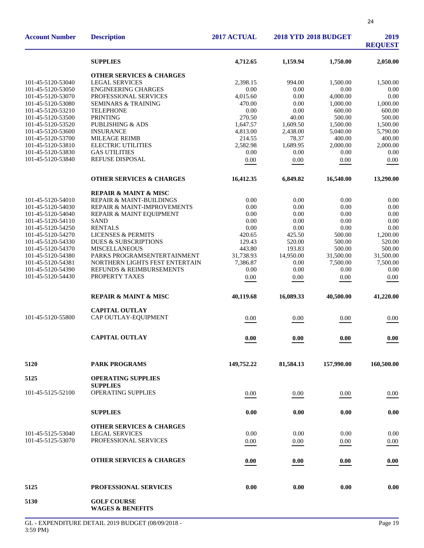| <b>Account Number</b> | <b>Description</b>                                | 2017 ACTUAL | <b>2018 YTD 2018 BUDGET</b> |            | 2019<br><b>REQUEST</b> |
|-----------------------|---------------------------------------------------|-------------|-----------------------------|------------|------------------------|
|                       | <b>SUPPLIES</b>                                   | 4,712.65    | 1,159.94                    | 1,750.00   | 2,050.00               |
|                       | <b>OTHER SERVICES &amp; CHARGES</b>               |             |                             |            |                        |
| 101-45-5120-53040     | <b>LEGAL SERVICES</b>                             | 2,398.15    | 994.00                      | 1,500.00   | 1,500.00               |
| 101-45-5120-53050     | <b>ENGINEERING CHARGES</b>                        | 0.00        | 0.00                        | 0.00       | 0.00                   |
| 101-45-5120-53070     | PROFESSIONAL SERVICES                             | 4,015.60    | 0.00                        | 4,000.00   | 0.00                   |
| 101-45-5120-53080     | <b>SEMINARS &amp; TRAINING</b>                    | 470.00      | 0.00                        | 1,000.00   | 1,000.00               |
| 101-45-5120-53210     | <b>TELEPHONE</b>                                  | 0.00        | 0.00                        | 600.00     | 600.00                 |
| 101-45-5120-53500     | <b>PRINTING</b>                                   | 270.50      | 40.00                       | 500.00     | 500.00                 |
| 101-45-5120-53520     | <b>PUBLISHING &amp; ADS</b>                       | 1,647.57    | 1,609.50                    | 1,500.00   | 1,500.00               |
| 101-45-5120-53600     | <b>INSURANCE</b>                                  | 4,813.00    | 2,438.00                    | 5,040.00   | 5,790.00               |
| 101-45-5120-53700     | <b>MILEAGE REIMB</b>                              | 214.55      | 78.37                       | 400.00     | 400.00                 |
| 101-45-5120-53810     | <b>ELECTRIC UTILITIES</b>                         | 2,582.98    | 1,689.95                    | 2,000.00   | 2,000.00               |
| 101-45-5120-53830     | <b>GAS UTILITIES</b>                              | 0.00        | 0.00                        | 0.00       | 0.00                   |
| 101-45-5120-53840     | REFUSE DISPOSAL                                   | 0.00        | 0.00                        | 0.00       | 0.00                   |
|                       | <b>OTHER SERVICES &amp; CHARGES</b>               | 16,412.35   | 6,849.82                    | 16,540.00  | 13,290.00              |
|                       | <b>REPAIR &amp; MAINT &amp; MISC</b>              |             |                             |            |                        |
| 101-45-5120-54010     | REPAIR & MAINT-BUILDINGS                          | 0.00        | 0.00                        | 0.00       | 0.00                   |
| 101-45-5120-54030     | REPAIR & MAINT-IMPROVEMENTS                       | 0.00        | 0.00                        | 0.00       | 0.00                   |
| 101-45-5120-54040     | REPAIR & MAINT EQUIPMENT                          | 0.00        | 0.00                        | 0.00       | 0.00                   |
| 101-45-5120-54110     | <b>SAND</b>                                       | 0.00        | 0.00                        | 0.00       | 0.00                   |
| 101-45-5120-54250     | <b>RENTALS</b>                                    | 0.00        | 0.00                        | 0.00       | 0.00                   |
| 101-45-5120-54270     | <b>LICENSES &amp; PERMITS</b>                     | 420.65      | 425.50                      | 500.00     | 1,200.00               |
| 101-45-5120-54330     | <b>DUES &amp; SUBSCRIPTIONS</b>                   | 129.43      | 520.00                      | 500.00     | 520.00                 |
| 101-45-5120-54370     | <b>MISCELLANEOUS</b>                              | 443.80      | 193.83                      | 500.00     | 500.00                 |
| 101-45-5120-54380     | PARKS PROGRAMSENTERTAINMENT                       | 31,738.93   | 14,950.00                   | 31,500.00  | 31,500.00              |
| 101-45-5120-54381     | NORTHERN LIGHTS FEST ENTERTAIN                    | 7,386.87    | 0.00                        | 7,500.00   | 7,500.00               |
| 101-45-5120-54390     | REFUNDS & REIMBURSEMENTS                          | 0.00        | 0.00                        | 0.00       | 0.00                   |
| 101-45-5120-54430     | PROPERTY TAXES                                    | 0.00        | 0.00                        | 0.00       | 0.00                   |
|                       | <b>REPAIR &amp; MAINT &amp; MISC</b>              | 40,119.68   | 16.089.33                   | 40,500.00  | 41,220.00              |
|                       | <b>CAPITAL OUTLAY</b>                             |             |                             |            |                        |
| 101-45-5120-55800     | CAP OUTLAY-EQUIPMENT                              | 0.00        | 0.00                        | 0.00       | 0.00                   |
|                       | <b>CAPITAL OUTLAY</b>                             | $0.00\,$    | $0.00\,$                    | 0.00       | 0.00                   |
| 5120                  | <b>PARK PROGRAMS</b>                              | 149,752.22  | 81,584.13                   | 157,990.00 | 160,500.00             |
| 5125                  | <b>OPERATING SUPPLIES</b>                         |             |                             |            |                        |
|                       | <b>SUPPLIES</b>                                   |             |                             |            |                        |
| 101-45-5125-52100     | OPERATING SUPPLIES                                | 0.00        | 0.00                        | 0.00       | $0.00\,$               |
|                       | <b>SUPPLIES</b>                                   | 0.00        | 0.00                        | 0.00       | 0.00                   |
|                       | <b>OTHER SERVICES &amp; CHARGES</b>               |             |                             |            |                        |
| 101-45-5125-53040     | <b>LEGAL SERVICES</b>                             | 0.00        | 0.00                        | 0.00       | 0.00                   |
| 101-45-5125-53070     | PROFESSIONAL SERVICES                             | 0.00        | 0.00                        | 0.00       | 0.00                   |
|                       |                                                   |             |                             |            |                        |
|                       | <b>OTHER SERVICES &amp; CHARGES</b>               | 0.00        | 0.00                        | 0.00       | 0.00                   |
| 5125                  | PROFESSIONAL SERVICES                             | 0.00        | 0.00                        | 0.00       | 0.00                   |
| 5130                  | <b>GOLF COURSE</b><br><b>WAGES &amp; BENEFITS</b> |             |                             |            |                        |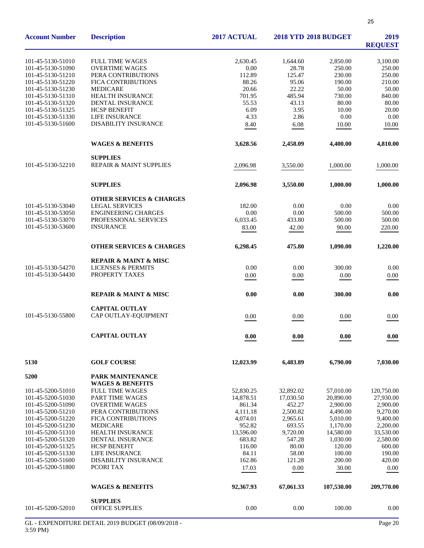| <b>Account Number</b>                  | <b>Description</b>                                   | 2017 ACTUAL        | <b>2018 YTD 2018 BUDGET</b> | 2019<br><b>REQUEST</b> |                      |
|----------------------------------------|------------------------------------------------------|--------------------|-----------------------------|------------------------|----------------------|
| 101-45-5130-51010                      | <b>FULL TIME WAGES</b>                               | 2,630.45           | 1,644.60                    | 2,850.00               | 3,100.00             |
| 101-45-5130-51090                      | <b>OVERTIME WAGES</b>                                | 0.00               | 28.78                       | 250.00                 | 250.00               |
| 101-45-5130-51210                      | PERA CONTRIBUTIONS                                   | 112.89             | 125.47                      | 230.00                 | 250.00               |
| 101-45-5130-51220                      | <b>FICA CONTRIBUTIONS</b>                            | 88.26              | 95.06                       | 190.00                 | 210.00               |
| 101-45-5130-51230                      | <b>MEDICARE</b>                                      | 20.66              | 22.22                       | 50.00                  | 50.00                |
| 101-45-5130-51310                      | HEALTH INSURANCE                                     | 701.95             | 485.94                      | 730.00                 | 840.00               |
| 101-45-5130-51320                      | DENTAL INSURANCE                                     | 55.53              | 43.13                       | 80.00                  | 80.00                |
| 101-45-5130-51325                      | <b>HCSP BENEFIT</b>                                  | 6.09               | 3.95                        | 10.00                  | 20.00                |
| 101-45-5130-51330<br>101-45-5130-51600 | <b>LIFE INSURANCE</b><br><b>DISABILITY INSURANCE</b> | 4.33               | 2.86                        | 0.00                   | 0.00                 |
|                                        |                                                      | 8.40               | 6.08                        | 10.00                  | 10.00                |
|                                        | <b>WAGES &amp; BENEFITS</b>                          | 3,628.56           | 2,458.09                    | 4,400.00               | 4,810.00             |
|                                        | <b>SUPPLIES</b>                                      |                    |                             |                        |                      |
| 101-45-5130-52210                      | REPAIR & MAINT SUPPLIES                              | 2,096.98           | 3,550.00                    | 1,000.00               | 1,000.00             |
|                                        | <b>SUPPLIES</b>                                      | 2,096.98           | 3,550.00                    | 1,000.00               | 1,000.00             |
|                                        | <b>OTHER SERVICES &amp; CHARGES</b>                  |                    |                             |                        |                      |
| 101-45-5130-53040                      | <b>LEGAL SERVICES</b>                                | 182.00             | 0.00                        | 0.00                   | 0.00                 |
| 101-45-5130-53050                      | <b>ENGINEERING CHARGES</b>                           | 0.00               | 0.00                        | 500.00                 | 500.00               |
| 101-45-5130-53070<br>101-45-5130-53600 | PROFESSIONAL SERVICES<br><b>INSURANCE</b>            | 6,033.45           | 433.80                      | 500.00                 | 500.00               |
|                                        |                                                      | 83.00              | 42.00                       | 90.00                  | 220.00               |
|                                        | <b>OTHER SERVICES &amp; CHARGES</b>                  | 6,298.45           | 475.80                      | 1,090.00               | 1,220.00             |
|                                        | <b>REPAIR &amp; MAINT &amp; MISC</b>                 |                    |                             |                        |                      |
| 101-45-5130-54270                      | <b>LICENSES &amp; PERMITS</b>                        | 0.00               | 0.00                        | 300.00                 | 0.00                 |
| 101-45-5130-54430                      | PROPERTY TAXES                                       | $0.00\,$           | 0.00                        | 0.00                   | 0.00                 |
|                                        | <b>REPAIR &amp; MAINT &amp; MISC</b>                 | 0.00               | 0.00                        | 300.00                 | 0.00                 |
|                                        | <b>CAPITAL OUTLAY</b>                                |                    |                             |                        |                      |
| 101-45-5130-55800                      | CAP OUTLAY-EQUIPMENT                                 | 0.00               | 0.00                        | 0.00                   | 0.00                 |
|                                        | <b>CAPITAL OUTLAY</b>                                | 0.00               | 0.00                        | 0.00                   | 0.00                 |
| 5130                                   | <b>GOLF COURSE</b>                                   | 12,023.99          | 6,483.89                    | 6,790.00               | 7,030.00             |
| 5200                                   | PARK MAINTENANCE                                     |                    |                             |                        |                      |
|                                        | <b>WAGES &amp; BENEFITS</b>                          |                    |                             |                        |                      |
| 101-45-5200-51010                      | <b>FULL TIME WAGES</b>                               | 52,830.25          | 32,892.02                   | 57,010.00              | 120,750.00           |
| 101-45-5200-51030                      | PART TIME WAGES                                      | 14,878.51          | 17,030.50                   | 20,890.00              | 27,930.00            |
| 101-45-5200-51090                      | <b>OVERTIME WAGES</b>                                | 861.34             | 452.27                      | 2,900.00               | 2,900.00             |
| 101-45-5200-51210                      | PERA CONTRIBUTIONS                                   | 4,111.18           | 2,500.82                    | 4,490.00               | 9,270.00             |
| 101-45-5200-51220<br>101-45-5200-51230 | <b>FICA CONTRIBUTIONS</b><br><b>MEDICARE</b>         | 4,074.01<br>952.82 | 2,965.61<br>693.55          | 5,010.00<br>1,170.00   | 9,400.00<br>2,200.00 |
| 101-45-5200-51310                      | <b>HEALTH INSURANCE</b>                              | 13,596.00          | 9,720.00                    | 14,580.00              | 33,530.00            |
| 101-45-5200-51320                      | DENTAL INSURANCE                                     | 683.82             | 547.28                      | 1,030.00               | 2,580.00             |
| 101-45-5200-51325                      | <b>HCSP BENEFIT</b>                                  | 116.00             | 80.00                       | 120.00                 | 600.00               |
| 101-45-5200-51330                      | <b>LIFE INSURANCE</b>                                | 84.11              | 58.00                       | 100.00                 | 190.00               |
| 101-45-5200-51600                      | <b>DISABILITY INSURANCE</b>                          | 162.86             | 121.28                      | 200.00                 | 420.00               |
| 101-45-5200-51800                      | PCORI TAX                                            | 17.03              | 0.00                        | 30.00                  | 0.00                 |
|                                        | <b>WAGES &amp; BENEFITS</b>                          | 92,367.93          | 67,061.33                   | 107,530.00             | 209,770.00           |
|                                        | <b>SUPPLIES</b>                                      |                    |                             |                        |                      |
| 101-45-5200-52010                      | <b>OFFICE SUPPLIES</b>                               | 0.00               | 0.00                        | 100.00                 | 0.00                 |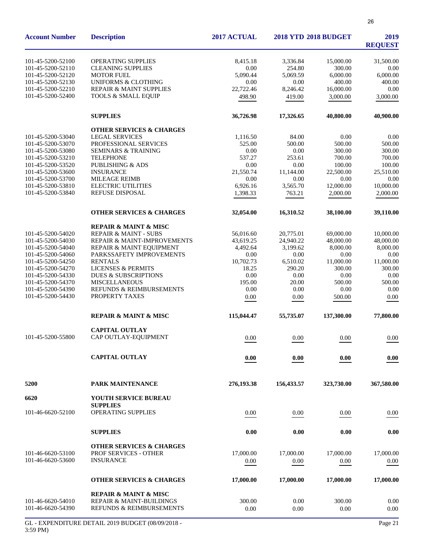| <b>Account Number</b> | <b>Description</b>                                           | 2017 ACTUAL        | <b>2018 YTD 2018 BUDGET</b> | 2019<br><b>REQUEST</b> |                |
|-----------------------|--------------------------------------------------------------|--------------------|-----------------------------|------------------------|----------------|
| 101-45-5200-52100     | <b>OPERATING SUPPLIES</b>                                    | 8,415.18           | 3,336.84                    | 15,000.00              | 31,500.00      |
| 101-45-5200-52110     | <b>CLEANING SUPPLIES</b>                                     | 0.00               | 254.80                      | 300.00                 | 0.00           |
| 101-45-5200-52120     | <b>MOTOR FUEL</b>                                            | 5.090.44           | 5,069.59                    | 6.000.00               | 6,000.00       |
| 101-45-5200-52130     | <b>UNIFORMS &amp; CLOTHING</b>                               | 0.00               | 0.00                        | 400.00                 | 400.00         |
| 101-45-5200-52210     | <b>REPAIR &amp; MAINT SUPPLIES</b>                           | 22,722.46          | 8,246.42                    | 16,000.00              | 0.00           |
| 101-45-5200-52400     | <b>TOOLS &amp; SMALL EQUIP</b>                               | 498.90             | 419.00                      | 3,000.00               | 3,000.00       |
|                       | <b>SUPPLIES</b>                                              | 36,726.98          | 17,326.65                   | 40,800.00              | 40,900.00      |
|                       |                                                              |                    |                             |                        |                |
| 101-45-5200-53040     | <b>OTHER SERVICES &amp; CHARGES</b><br><b>LEGAL SERVICES</b> |                    | 84.00                       | 0.00                   |                |
| 101-45-5200-53070     | PROFESSIONAL SERVICES                                        | 1,116.50<br>525.00 | 500.00                      | 500.00                 | 0.00<br>500.00 |
|                       |                                                              | 0.00               |                             |                        |                |
| 101-45-5200-53080     | <b>SEMINARS &amp; TRAINING</b>                               |                    | 0.00                        | 300.00                 | 300.00         |
| 101-45-5200-53210     | <b>TELEPHONE</b>                                             | 537.27             | 253.61                      | 700.00                 | 700.00         |
| 101-45-5200-53520     | PUBLISHING & ADS                                             | 0.00               | 0.00                        | 100.00                 | 100.00         |
| 101-45-5200-53600     | <b>INSURANCE</b>                                             | 21,550.74          | 11,144.00                   | 22,500.00              | 25,510.00      |
| 101-45-5200-53700     | <b>MILEAGE REIMB</b>                                         | 0.00               | 0.00                        | 0.00                   | 0.00           |
| 101-45-5200-53810     | <b>ELECTRIC UTILITIES</b>                                    | 6,926.16           | 3,565.70                    | 12,000.00              | 10,000.00      |
| 101-45-5200-53840     | REFUSE DISPOSAL                                              | 1,398.33           | 763.21                      | 2,000.00               | 2,000.00       |
|                       | <b>OTHER SERVICES &amp; CHARGES</b>                          | 32,054.00          | 16,310.52                   | 38,100.00              | 39,110.00      |
|                       | <b>REPAIR &amp; MAINT &amp; MISC</b>                         |                    |                             |                        |                |
| 101-45-5200-54020     | <b>REPAIR &amp; MAINT - SUBS</b>                             | 56,016.60          | 20,775.01                   | 69,000.00              | 10,000.00      |
| 101-45-5200-54030     | REPAIR & MAINT-IMPROVEMENTS                                  | 43,619.25          | 24,940.22                   | 48,000.00              | 48,000.00      |
| 101-45-5200-54040     | REPAIR & MAINT EQUIPMENT                                     | 4,492.64           | 3,199.62                    | 8,000.00               | 8,000.00       |
| 101-45-5200-54060     |                                                              |                    |                             |                        |                |
|                       | PARKSSAFETY IMPROVEMENTS                                     | 0.00               | 0.00                        | 0.00                   | 0.00           |
| 101-45-5200-54250     | <b>RENTALS</b>                                               | 10,702.73          | 6,510.02                    | 11,000.00              | 11,000.00      |
| 101-45-5200-54270     | <b>LICENSES &amp; PERMITS</b>                                | 18.25              | 290.20                      | 300.00                 | 300.00         |
| 101-45-5200-54330     | <b>DUES &amp; SUBSCRIPTIONS</b>                              | 0.00               | 0.00                        | 0.00                   | 0.00           |
| 101-45-5200-54370     | <b>MISCELLANEOUS</b>                                         | 195.00             | 20.00                       | 500.00                 | 500.00         |
| 101-45-5200-54390     | REFUNDS & REIMBURSEMENTS                                     | 0.00               | 0.00                        | 0.00                   | 0.00           |
| 101-45-5200-54430     | PROPERTY TAXES                                               | 0.00               | 0.00                        | 500.00                 | 0.00           |
|                       | <b>REPAIR &amp; MAINT &amp; MISC</b>                         | 115,044.47         | 55,735.07                   | 137,300.00             | 77,800.00      |
|                       | <b>CAPITAL OUTLAY</b>                                        |                    |                             |                        |                |
| 101-45-5200-55800     | CAP OUTLAY-EQUIPMENT                                         | 0.00               | 0.00                        | 0.00                   | 0.00           |
|                       | <b>CAPITAL OUTLAY</b>                                        | 0.00               | 0.00                        | 0.00                   | 0.00           |
| 5200                  | PARK MAINTENANCE                                             | 276,193.38         | 156,433.57                  | 323,730.00             | 367,580.00     |
| 6620                  | YOUTH SERVICE BUREAU                                         |                    |                             |                        |                |
|                       | <b>SUPPLIES</b>                                              |                    |                             |                        |                |
| 101-46-6620-52100     | OPERATING SUPPLIES                                           | 0.00               | 0.00                        | 0.00                   | 0.00           |
|                       | <b>SUPPLIES</b>                                              | 0.00               | 0.00                        | 0.00                   | 0.00           |
|                       |                                                              |                    |                             |                        |                |
|                       | <b>OTHER SERVICES &amp; CHARGES</b>                          |                    |                             |                        |                |
| 101-46-6620-53100     | PROF SERVICES - OTHER                                        | 17,000.00          | 17,000.00                   | 17,000.00              | 17,000.00      |
| 101-46-6620-53600     | <b>INSURANCE</b>                                             | 0.00               | 0.00                        | 0.00                   | 0.00           |
|                       | <b>OTHER SERVICES &amp; CHARGES</b>                          | 17,000.00          | 17,000.00                   | 17,000.00              | 17,000.00      |
|                       | <b>REPAIR &amp; MAINT &amp; MISC</b>                         |                    |                             |                        |                |
| 101-46-6620-54010     | <b>REPAIR &amp; MAINT-BUILDINGS</b>                          | 300.00             | 0.00                        | 300.00                 | 0.00           |
| 101-46-6620-54390     | REFUNDS & REIMBURSEMENTS                                     | 0.00               | 0.00                        | 0.00                   | 0.00           |
|                       |                                                              |                    |                             |                        |                |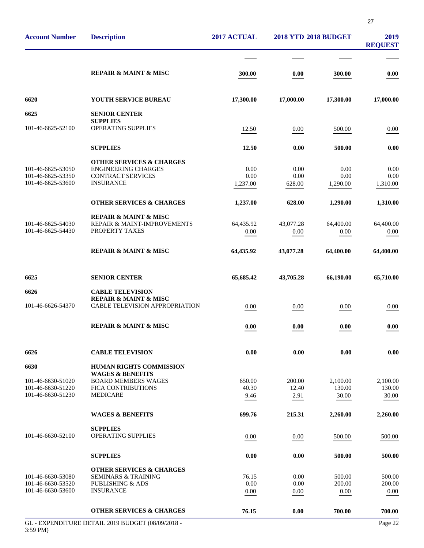| <b>Account Number</b> | <b>Description</b>                                            | 2017 ACTUAL | <b>2018 YTD 2018 BUDGET</b> |           | 2019<br><b>REQUEST</b> |
|-----------------------|---------------------------------------------------------------|-------------|-----------------------------|-----------|------------------------|
|                       |                                                               |             |                             |           |                        |
|                       | <b>REPAIR &amp; MAINT &amp; MISC</b>                          | 300.00      | 0.00                        | 300.00    | 0.00                   |
| 6620                  | YOUTH SERVICE BUREAU                                          | 17,300.00   | 17,000.00                   | 17,300.00 | 17,000.00              |
| 6625                  | <b>SENIOR CENTER</b>                                          |             |                             |           |                        |
| 101-46-6625-52100     | <b>SUPPLIES</b><br>OPERATING SUPPLIES                         | 12.50       | 0.00                        | 500.00    | 0.00                   |
|                       | <b>SUPPLIES</b>                                               | 12.50       | 0.00                        | 500.00    | 0.00                   |
|                       | <b>OTHER SERVICES &amp; CHARGES</b>                           |             |                             |           |                        |
| 101-46-6625-53050     | <b>ENGINEERING CHARGES</b>                                    | 0.00        | 0.00                        | 0.00      | 0.00                   |
| 101-46-6625-53350     | <b>CONTRACT SERVICES</b>                                      | 0.00        | 0.00                        | 0.00      | 0.00                   |
| 101-46-6625-53600     | <b>INSURANCE</b>                                              | 1,237.00    | 628.00                      | 1,290.00  | 1,310.00               |
|                       | <b>OTHER SERVICES &amp; CHARGES</b>                           | 1,237.00    | 628.00                      | 1,290.00  | 1,310.00               |
|                       | <b>REPAIR &amp; MAINT &amp; MISC</b>                          |             |                             |           |                        |
| 101-46-6625-54030     | REPAIR & MAINT-IMPROVEMENTS                                   | 64,435.92   | 43,077.28                   | 64,400.00 | 64,400.00              |
| 101-46-6625-54430     | PROPERTY TAXES                                                | 0.00        | 0.00                        | 0.00      | 0.00                   |
|                       | <b>REPAIR &amp; MAINT &amp; MISC</b>                          | 64,435.92   | 43,077.28                   | 64,400.00 | 64,400.00              |
| 6625                  | <b>SENIOR CENTER</b>                                          | 65,685.42   | 43,705.28                   | 66,190.00 | 65,710.00              |
| 6626                  | <b>CABLE TELEVISION</b>                                       |             |                             |           |                        |
|                       | <b>REPAIR &amp; MAINT &amp; MISC</b>                          |             |                             |           |                        |
| 101-46-6626-54370     | <b>CABLE TELEVISION APPROPRIATION</b>                         | 0.00        | 0.00                        | 0.00      | 0.00                   |
|                       | <b>REPAIR &amp; MAINT &amp; MISC</b>                          | 0.00        | 0.00                        | 0.00      | 0.00                   |
| 6626                  | <b>CABLE TELEVISION</b>                                       | 0.00        | 0.00                        | 0.00      | 0.00                   |
|                       |                                                               |             |                             |           |                        |
| 6630                  | <b>HUMAN RIGHTS COMMISSION</b><br><b>WAGES &amp; BENEFITS</b> |             |                             |           |                        |
| 101-46-6630-51020     | <b>BOARD MEMBERS WAGES</b>                                    | 650.00      | 200.00                      | 2,100.00  | 2,100.00               |
| 101-46-6630-51220     | <b>FICA CONTRIBUTIONS</b>                                     | 40.30       | 12.40                       | 130.00    | 130.00                 |
| 101-46-6630-51230     | <b>MEDICARE</b>                                               | 9.46        | 2.91                        | 30.00     | 30.00                  |
|                       | <b>WAGES &amp; BENEFITS</b>                                   | 699.76      | 215.31                      | 2,260.00  | 2,260.00               |
|                       | <b>SUPPLIES</b>                                               |             |                             |           |                        |
| 101-46-6630-52100     | <b>OPERATING SUPPLIES</b>                                     | 0.00        | 0.00                        | 500.00    | 500.00                 |
|                       |                                                               |             |                             |           |                        |
|                       | <b>SUPPLIES</b>                                               | 0.00        | 0.00                        | 500.00    | 500.00                 |
|                       | <b>OTHER SERVICES &amp; CHARGES</b>                           |             |                             |           |                        |
| 101-46-6630-53080     | <b>SEMINARS &amp; TRAINING</b>                                | 76.15       | 0.00                        | 500.00    | 500.00                 |
| 101-46-6630-53520     | <b>PUBLISHING &amp; ADS</b>                                   | 0.00        | 0.00                        | 200.00    | 200.00                 |
| 101-46-6630-53600     | <b>INSURANCE</b>                                              | 0.00        | 0.00                        | 0.00      | 0.00                   |
|                       | <b>OTHER SERVICES &amp; CHARGES</b>                           | 76.15       | 0.00                        | 700.00    | 700.00                 |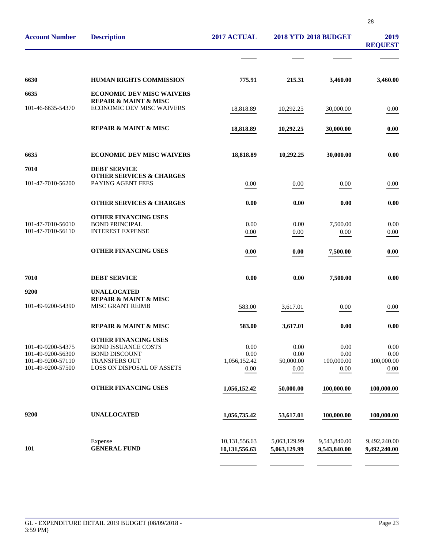| 2019<br><b>REQUEST</b>       | <b>2018 YTD 2018 BUDGET</b>  |                              | 2017 ACTUAL                    | <b>Description</b>                                                       | <b>Account Number</b>                  |
|------------------------------|------------------------------|------------------------------|--------------------------------|--------------------------------------------------------------------------|----------------------------------------|
|                              |                              |                              |                                |                                                                          |                                        |
| 3,460.00                     | 3,460.00                     | 215.31                       | 775.91                         | <b>HUMAN RIGHTS COMMISSION</b>                                           | 6630                                   |
|                              |                              |                              |                                | <b>ECONOMIC DEV MISC WAIVERS</b><br><b>REPAIR &amp; MAINT &amp; MISC</b> | 6635                                   |
| 0.00                         | 30,000.00                    | 10,292.25                    | 18,818.89                      | <b>ECONOMIC DEV MISC WAIVERS</b>                                         | 101-46-6635-54370                      |
| 0.00                         | 30,000.00                    | 10,292.25                    | 18,818.89                      | <b>REPAIR &amp; MAINT &amp; MISC</b>                                     |                                        |
| 0.00                         | 30,000.00                    | 10,292.25                    | 18,818.89                      | <b>ECONOMIC DEV MISC WAIVERS</b>                                         | 6635                                   |
|                              |                              |                              |                                | <b>DEBT SERVICE</b><br><b>OTHER SERVICES &amp; CHARGES</b>               | 7010                                   |
| 0.00                         | 0.00                         | 0.00                         | 0.00                           | PAYING AGENT FEES                                                        | 101-47-7010-56200                      |
| 0.00                         | 0.00                         | 0.00                         | 0.00                           | <b>OTHER SERVICES &amp; CHARGES</b>                                      |                                        |
| 0.00                         | 7,500.00                     | 0.00                         | 0.00                           | <b>OTHER FINANCING USES</b><br><b>BOND PRINCIPAL</b>                     |                                        |
| 0.00                         | 0.00                         | 0.00                         | 0.00                           | <b>INTEREST EXPENSE</b>                                                  | 101-47-7010-56010<br>101-47-7010-56110 |
| 0.00                         | 7,500.00                     | 0.00                         | 0.00                           | <b>OTHER FINANCING USES</b>                                              |                                        |
| 0.00                         | 7,500.00                     | 0.00                         | 0.00                           | <b>DEBT SERVICE</b>                                                      | 7010                                   |
|                              |                              |                              |                                | <b>UNALLOCATED</b>                                                       | 9200                                   |
| 0.00                         | 0.00                         | 3,617.01                     | 583.00                         | <b>REPAIR &amp; MAINT &amp; MISC</b><br>MISC GRANT REIMB                 | 101-49-9200-54390                      |
| 0.00                         | 0.00                         | 3,617.01                     | 583.00                         | <b>REPAIR &amp; MAINT &amp; MISC</b>                                     |                                        |
|                              |                              |                              |                                | <b>OTHER FINANCING USES</b>                                              |                                        |
| 0.00<br>0.00                 | 0.00<br>0.00                 | 0.00<br>0.00                 | 0.00<br>0.00                   | <b>BOND ISSUANCE COSTS</b><br><b>BOND DISCOUNT</b>                       | 101-49-9200-54375<br>101-49-9200-56300 |
| 100,000.00                   | 100,000.00                   | 50,000.00                    | 1,056,152.42                   | <b>TRANSFERS OUT</b>                                                     | 101-49-9200-57110                      |
| 0.00                         | 0.00                         | $0.00\,$                     | 0.00                           | LOSS ON DISPOSAL OF ASSETS                                               | 101-49-9200-57500                      |
| 100,000.00                   | 100,000.00                   | 50,000.00                    | 1,056,152.42                   | <b>OTHER FINANCING USES</b>                                              |                                        |
| 100,000.00                   | 100,000.00                   | 53,617.01                    | 1,056,735.42                   | <b>UNALLOCATED</b>                                                       | 9200                                   |
| 9,492,240.00<br>9,492,240.00 | 9,543,840.00<br>9,543,840.00 | 5,063,129.99<br>5,063,129.99 | 10,131,556.63<br>10,131,556.63 | Expense<br><b>GENERAL FUND</b>                                           | 101                                    |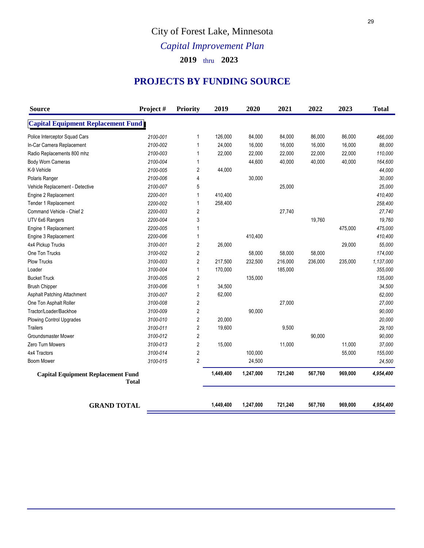# City of Forest Lake, Minnesota

# *Capital Improvement Plan*

**2019** thru **2023**

### **PROJECTS BY FUNDING SOURCE**

| <b>Source</b>                             | Project#     | Priority       | 2019      | 2020      | 2021    | 2022    | 2023    | <b>Total</b> |
|-------------------------------------------|--------------|----------------|-----------|-----------|---------|---------|---------|--------------|
| <b>Capital Equipment Replacement Fund</b> |              |                |           |           |         |         |         |              |
| Police Interceptor Squad Cars             | 2100-001     | 1              | 126,000   | 84,000    | 84,000  | 86,000  | 86,000  | 466,000      |
| In-Car Camera Replacement                 | 2100-002     | 1              | 24,000    | 16,000    | 16,000  | 16,000  | 16,000  | 88,000       |
| Radio Replacements 800 mhz                | 2100-003     | 1              | 22,000    | 22,000    | 22,000  | 22,000  | 22,000  | 110,000      |
| Body Worn Cameras                         | 2100-004     | 1              |           | 44,600    | 40,000  | 40,000  | 40,000  | 164,600      |
| K-9 Vehicle                               | 2100-005     | $\overline{2}$ | 44,000    |           |         |         |         | 44,000       |
| Polaris Ranger                            | 2100-006     | 4              |           | 30,000    |         |         |         | 30,000       |
| Vehicle Replacement - Detective           | 2100-007     | 5              |           |           | 25,000  |         |         | 25,000       |
| Engine 2 Replacement                      | 2200-001     | $\mathbf{1}$   | 410,400   |           |         |         |         | 410,400      |
| Tender 1 Replacement                      | 2200-002     | 1              | 258,400   |           |         |         |         | 258,400      |
| Command Vehicle - Chief 2                 | 2200-003     | $\overline{2}$ |           |           | 27,740  |         |         | 27,740       |
| UTV 6x6 Rangers                           | 2200-004     | 3              |           |           |         | 19,760  |         | 19,760       |
| Engine 1 Replacement                      | 2200-005     | 1              |           |           |         |         | 475,000 | 475,000      |
| Engine 3 Replacement                      | 2200-006     | 1              |           | 410,400   |         |         |         | 410,400      |
| 4x4 Pickup Trucks                         | 3100-001     | $\overline{2}$ | 26,000    |           |         |         | 29,000  | 55,000       |
| One Ton Trucks                            | 3100-002     | $\overline{2}$ |           | 58,000    | 58,000  | 58,000  |         | 174,000      |
| Plow Trucks                               | 3100-003     | $\sqrt{2}$     | 217,500   | 232,500   | 216,000 | 236,000 | 235,000 | 1,137,000    |
| Loader                                    | 3100-004     | $\mathbf 1$    | 170,000   |           | 185,000 |         |         | 355,000      |
| <b>Bucket Truck</b>                       | 3100-005     | $\overline{2}$ |           | 135,000   |         |         |         | 135,000      |
| <b>Brush Chipper</b>                      | 3100-006     | $\mathbf{1}$   | 34,500    |           |         |         |         | 34,500       |
| Asphalt Patching Attachment               | 3100-007     | $\overline{2}$ | 62,000    |           |         |         |         | 62,000       |
| One Ton Asphalt Roller                    | 3100-008     | $\sqrt{2}$     |           |           | 27,000  |         |         | 27,000       |
| Tractor/Loader/Backhoe                    | 3100-009     | $\overline{2}$ |           | 90,000    |         |         |         | 90,000       |
| Plowing Control Upgrades                  | 3100-010     | $\sqrt{2}$     | 20,000    |           |         |         |         | 20,000       |
| <b>Trailers</b>                           | 3100-011     | $\sqrt{2}$     | 19,600    |           | 9,500   |         |         | 29,100       |
| <b>Groundsmaster Mower</b>                | 3100-012     | $\overline{2}$ |           |           |         | 90,000  |         | 90,000       |
| Zero Turn Mowers                          | 3100-013     | $\sqrt{2}$     | 15,000    |           | 11,000  |         | 11,000  | 37,000       |
| 4x4 Tractors                              | 3100-014     | $\sqrt{2}$     |           | 100,000   |         |         | 55,000  | 155,000      |
| Boom Mower                                | 3100-015     | $\overline{2}$ |           | 24,500    |         |         |         | 24,500       |
| <b>Capital Equipment Replacement Fund</b> | <b>Total</b> |                | 1,449,400 | 1,247,000 | 721,240 | 567,760 | 969,000 | 4,954,400    |
| <b>GRAND TOTAL</b>                        |              |                | 1,449,400 | 1,247,000 | 721,240 | 567,760 | 969,000 | 4,954,400    |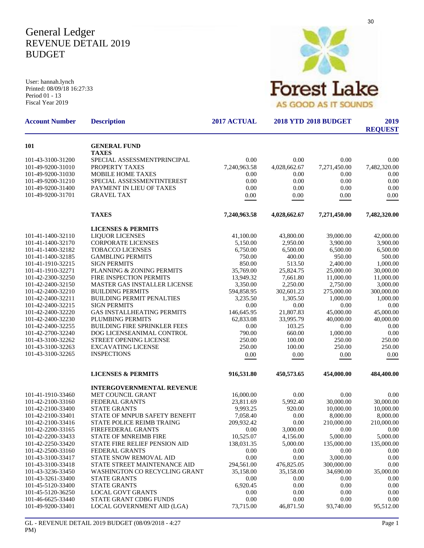## General Ledger REVENUE DETAIL 2019 BUDGET

User: hannah.lynch Printed: 08/09/18 16:27:33 Period 01 - 13 Fiscal Year 2019



| <b>Account Number</b>                  | <b>Description</b>                            | 2017 ACTUAL          | <b>2018 YTD 2018 BUDGET</b> | 2019<br><b>REQUEST</b> |                      |
|----------------------------------------|-----------------------------------------------|----------------------|-----------------------------|------------------------|----------------------|
| 101                                    | <b>GENERAL FUND</b>                           |                      |                             |                        |                      |
|                                        | <b>TAXES</b>                                  |                      |                             |                        |                      |
| 101-43-3100-31200<br>101-49-9200-31010 | SPECIAL ASSESSMENTPRINCIPAL<br>PROPERTY TAXES | 0.00                 | 0.00                        | 0.00                   | 0.00                 |
| 101-49-9200-31030                      | <b>MOBILE HOME TAXES</b>                      | 7,240,963.58<br>0.00 | 4,028,662.67<br>0.00        | 7,271,450.00<br>0.00   | 7,482,320.00<br>0.00 |
| 101-49-9200-31210                      | SPECIAL ASSESSMENTINTEREST                    | 0.00                 | 0.00                        | 0.00                   | 0.00                 |
| 101-49-9200-31400                      | PAYMENT IN LIEU OF TAXES                      | 0.00                 | 0.00                        | 0.00                   | 0.00                 |
| 101-49-9200-31701                      | <b>GRAVEL TAX</b>                             | 0.00                 | 0.00                        | 0.00                   | 0.00                 |
|                                        |                                               |                      |                             |                        |                      |
|                                        | <b>TAXES</b>                                  | 7,240,963.58         | 4,028,662.67                | 7,271,450.00           | 7,482,320.00         |
|                                        | <b>LICENSES &amp; PERMITS</b>                 |                      |                             |                        |                      |
| 101-41-1400-32110                      | <b>LIQUOR LICENSES</b>                        | 41,100.00            | 43,800.00                   | 39,000.00              | 42,000.00            |
| 101-41-1400-32170                      | <b>CORPORATE LICENSES</b>                     | 5,150.00             | 2,950.00                    | 3,900.00               | 3,900.00             |
| 101-41-1400-32182                      | <b>TOBACCO LICENSES</b>                       | 6,750.00             | 6,500.00                    | 6.500.00               | 6,500.00             |
| 101-41-1400-32185                      | <b>GAMBLING PERMITS</b>                       | 750.00               | 400.00                      | 950.00                 | 500.00               |
| 101-41-1910-32215                      | <b>SIGN PERMITS</b>                           | 850.00               | 513.50                      | 2,400.00               | 1,000.00             |
| 101-41-1910-32271                      | PLANNING & ZONING PERMITS                     | 35,769.00            | 25,824.75                   | 25,000.00              | 30,000.00            |
| 101-42-2300-32250                      | FIRE INSPECTION PERMITS                       | 13,949.32            | 7,661.80                    | 11,000.00              | 11,000.00            |
| 101-42-2400-32150                      | MASTER GAS INSTALLER LICENSE                  | 3,350.00             | 2,250.00                    | 2,750.00               | 3,000.00             |
| 101-42-2400-32210                      | <b>BUILDING PERMITS</b>                       | 594,858.95           | 302,601.23                  | 275,000.00             | 300,000.00           |
| 101-42-2400-32211                      | <b>BUILDING PERMIT PENALTIES</b>              | 3,235.50             | 1,305.50                    | 1,000.00               | 1,000.00             |
| 101-42-2400-32215                      | <b>SIGN PERMITS</b>                           | 0.00                 | 0.00                        | 0.00                   | 0.00                 |
| 101-42-2400-32220                      | <b>GAS INSTALLHEATING PERMITS</b>             | 146,645.95           | 21,807.83                   | 45,000.00              | 45,000.00            |
| 101-42-2400-32230                      | PLUMBING PERMITS                              | 62,833.08            | 33,995.79                   | 40,000.00              | 40,000.00            |
| 101-42-2400-32255                      | <b>BUILDING FIRE SPRINKLER FEES</b>           | 0.00                 | 103.25                      | 0.00                   | 0.00                 |
| 101-42-2700-32240                      | DOG LICENSEANIMAL CONTROL                     | 790.00               | 660.00                      | 1,000.00               | 0.00                 |
| 101-43-3100-32262                      | STREET OPENING LICENSE                        | 250.00               | 100.00                      | 250.00                 | 250.00               |
| 101-43-3100-32263                      | <b>EXCAVATING LICENSE</b>                     | 250.00               | 100.00                      | 250.00                 | 250.00               |
| 101-43-3100-32265                      | <b>INSPECTIONS</b>                            | 0.00                 | 0.00                        | 0.00                   | 0.00                 |
|                                        | <b>LICENSES &amp; PERMITS</b>                 | 916,531.80           | 450,573.65                  | 454,000.00             | 484,400.00           |
|                                        | <b>INTERGOVERNMENTAL REVENUE</b>              |                      |                             |                        |                      |
| 101-41-1910-33460                      | MET COUNCIL GRANT                             | 16,000.00            | 0.00                        | 0.00                   | 0.00                 |
| 101-42-2100-33160                      | <b>FEDERAL GRANTS</b>                         | 23,811.69            | 5,992.40                    | 30,000.00              | 30,000.00            |
| 101-42-2100-33400                      | <b>STATE GRANTS</b>                           | 9,993.25             | 920.00                      | 10,000.00              | 10,000.00            |
| 101-42-2100-33401                      | STATE OF MNPUB SAFETY BENEFIT                 | 7,058.40             | 0.00                        | 8,000.00               | 8,000.00             |
| 101-42-2100-33416                      | STATE POLICE REIMB TRAING                     | 209,932.42           | 0.00                        | 210,000.00             | 210,000.00           |
| 101-42-2200-33165                      | FIREFEDERAL GRANTS                            | 0.00                 | 3,000.00                    | 0.00                   | 0.00                 |
| 101-42-2200-33433                      | <b>STATE OF MNREIMB FIRE</b>                  | 10,525.07            | 4,156.00                    | 5,000.00               | 5,000.00             |
| 101-42-2250-33420                      | <b>STATE FIRE RELIEF PENSION AID</b>          | 138,031.35           | 5,000.00                    | 135,000.00             | 135,000.00           |
| 101-42-2500-33160                      | <b>FEDERAL GRANTS</b>                         | 0.00                 | 0.00                        | 0.00                   | 0.00                 |
| 101-43-3100-33417                      | STATE SNOW REMOVAL AID                        | 0.00                 | 0.00                        | 3,000.00               | 0.00                 |
| 101-43-3100-33418                      | STATE STREET MAINTENANCE AID                  | 294,561.00           | 476,825.05                  | 300,000.00             | 0.00                 |
| 101-43-3236-33450                      | WASHINGTON CO RECYCLING GRANT                 | 35,158.00            | 35,158.00                   | 34,690.00              | 35,000.00            |
| 101-43-3261-33400                      | <b>STATE GRANTS</b>                           | 0.00                 | 0.00                        | 0.00                   | 0.00                 |
| 101-45-5120-33400                      | <b>STATE GRANTS</b>                           | 6,920.45             | 0.00                        | 0.00                   | 0.00                 |
| 101-45-5120-36250                      | <b>LOCAL GOVT GRANTS</b>                      | 0.00                 | 0.00                        | 0.00                   | 0.00                 |
| 101-46-6625-33440<br>101-49-9200-33401 | STATE GRANT CDBG FUNDS                        | 0.00                 | 0.00                        | 0.00                   | 0.00                 |
|                                        | LOCAL GOVERNMENT AID (LGA)                    | 73,715.00            | 46,871.50                   | 93,740.00              | 95,512.00            |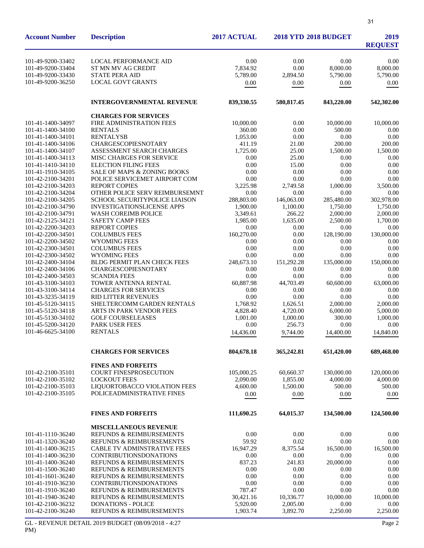| <b>Account Number</b>                  | <b>Description</b>                                         | 2017 ACTUAL        |                   | <b>2018 YTD 2018 BUDGET</b> | 2019<br><b>REQUEST</b> |
|----------------------------------------|------------------------------------------------------------|--------------------|-------------------|-----------------------------|------------------------|
| 101-49-9200-33402                      | <b>LOCAL PERFORMANCE AID</b>                               | 0.00               | 0.00              | 0.00                        | 0.00                   |
| 101-49-9200-33404                      | ST MN MV AG CREDIT                                         | 7,834.92           | 0.00              | 8,000.00                    | 8,000.00               |
| 101-49-9200-33430                      | <b>STATE PERA AID</b>                                      | 5,789.00           | 2,894.50          | 5,790.00                    | 5,790.00               |
| 101-49-9200-36250                      | <b>LOCAL GOVT GRANTS</b>                                   | 0.00               | 0.00              | 0.00                        | 0.00                   |
|                                        | <b>INTERGOVERNMENTAL REVENUE</b>                           | 839,330.55         | 580,817.45        | 843,220.00                  | 542,302.00             |
|                                        | <b>CHARGES FOR SERVICES</b>                                |                    |                   |                             |                        |
| 101-41-1400-34097                      | FIRE ADMINISTRATION FEES                                   | 10,000.00          | 0.00              | 10,000.00                   | 10,000.00              |
| 101-41-1400-34100                      | <b>RENTALS</b>                                             | 360.00             | 0.00              | 500.00                      | 0.00                   |
| 101-41-1400-34101                      | <b>RENTALYSB</b>                                           | 1,053.00           | 0.00              | 0.00                        | 0.00                   |
| 101-41-1400-34106<br>101-41-1400-34107 | <b>CHARGESCOPIESNOTARY</b><br>ASSESSMENT SEARCH CHARGES    | 411.19<br>1,725.00 | 21.00<br>25.00    | 200.00                      | 200.00<br>1,500.00     |
| 101-41-1400-34113                      | MISC CHARGES FOR SERVICE                                   | 0.00               | 25.00             | 1,500.00<br>0.00            | 0.00                   |
| 101-41-1410-34110                      | <b>ELECTION FILING FEES</b>                                | 0.00               | 15.00             | 0.00                        | 0.00                   |
| 101-41-1910-34105                      | <b>SALE OF MAPS &amp; ZONING BOOKS</b>                     | 0.00               | 0.00              | 0.00                        | 0.00                   |
| 101-42-2100-34201                      | POLICE SERVICEMET AIRPORT COM                              | 0.00               | 0.00              | 0.00                        | 0.00                   |
| 101-42-2100-34203                      | <b>REPORT COPIES</b>                                       | 3,225.98           | 2,749.58          | 1,000.00                    | 3.500.00               |
| 101-42-2100-34204                      | OTHER POLICE SERV REIMBURSEMNT                             | 0.00               | 0.00              | 0.00                        | 0.00                   |
| 101-42-2100-34205                      | <b>SCHOOL SECURITYPOLICE LIAISON</b>                       | 288,803.00         | 146,063.00        | 285,480.00                  | 302,978.00             |
| 101-42-2100-34790                      | <b>INVESTIGATIONSLICENSE APPS</b>                          | 1,900.00           | 1,100.00          | 1.750.00                    | 1,750.00               |
| 101-42-2100-34791                      | <b>WASH COREIMB POLICE</b>                                 | 3,349.61           | 266.22            | 2,000.00                    | 2,000.00               |
| 101-42-2125-34121                      | <b>SAFETY CAMP FEES</b>                                    | 1,985.00           | 1,635.00          | 2.500.00                    | 1,700.00               |
| 101-42-2200-34203                      | <b>REPORT COPIES</b>                                       | 0.00               | 0.00              | 0.00                        | 0.00                   |
| 101-42-2200-34501                      | <b>COLUMBUS FEES</b>                                       | 160,270.00         | 0.00              | 128,190.00                  | 130,000.00             |
| 101-42-2200-34502                      | <b>WYOMING FEES</b>                                        | 0.00               | 0.00              | 0.00                        | 0.00                   |
| 101-42-2300-34501                      | <b>COLUMBUS FEES</b>                                       | 0.00               | 0.00              | 0.00                        | 0.00                   |
| 101-42-2300-34502                      | <b>WYOMING FEES</b>                                        | 0.00               | 0.00              | 0.00                        | 0.00                   |
| 101-42-2400-34104                      | <b>BLDG PERMIT PLAN CHECK FEES</b>                         | 248,673.10         | 151,292.28        | 135,000.00                  | 150,000.00             |
| 101-42-2400-34106                      | <b>CHARGESCOPIESNOTARY</b>                                 | 0.00               | 0.00              | 0.00                        | 0.00                   |
| 101-42-2400-34503<br>101-43-3100-34103 | <b>SCANDIA FEES</b><br>TOWER ANTENNA RENTAL                | 0.00<br>60,887.98  | 0.00<br>44,703.49 | 0.00<br>60,600.00           | 0.00<br>63,000.00      |
| 101-43-3100-34114                      | <b>CHARGES FOR SERVICES</b>                                | 0.00               | 0.00              | 0.00                        | 0.00                   |
| 101-43-3235-34119                      | <b>RID LITTER REVENUES</b>                                 | 0.00               | 0.00              | 0.00                        | 0.00                   |
| 101-45-5120-34115                      | SHELTERCOMM GARDEN RENTALS                                 | 1,768.92           | 1.626.51          | 2,000.00                    | 2,000.00               |
| 101-45-5120-34118                      | ARTS IN PARK VENDOR FEES                                   | 4,828.40           | 4,720.00          | 6,000.00                    | 5,000.00               |
| 101-45-5130-34102                      | <b>GOLF COURSELEASES</b>                                   | 1,001.00           | 1,000.00          | 300.00                      | 1,000.00               |
| 101-45-5200-34120                      | PARK USER FEES                                             | 0.00               | 256.73            | 0.00                        | 0.00                   |
| 101-46-6625-34100                      | <b>RENTALS</b>                                             | 14.436.00          | 9,744.00          | 14,400.00                   | 14,840.00              |
|                                        | <b>CHARGES FOR SERVICES</b>                                | 804,678.18         | 365,242.81        | 651,420.00                  | 689,468.00             |
|                                        |                                                            |                    |                   |                             |                        |
| 101-42-2100-35101                      | <b>FINES AND FORFEITS</b><br><b>COURT FINESPROSECUTION</b> | 105,000.25         | 60,660.37         | 130,000.00                  | 120,000.00             |
| 101-42-2100-35102                      | <b>LOCKOUT FEES</b>                                        | 2.090.00           | 1,855.00          | 4.000.00                    | 4,000.00               |
| 101-42-2100-35103                      | LIQUORTOBACCO VIOLATION FEES                               | 4,600.00           | 1,500.00          | 500.00                      | 500.00                 |
| 101-42-2100-35105                      | POLICEADMINISTRATIVE FINES                                 | 0.00               | 0.00              | 0.00                        | 0.00                   |
|                                        | <b>FINES AND FORFEITS</b>                                  | 111,690.25         | 64,015.37         | 134,500.00                  | 124,500.00             |
|                                        |                                                            |                    |                   |                             |                        |
|                                        | <b>MISCELLANEOUS REVENUE</b>                               |                    |                   |                             |                        |
| 101-41-1110-36240                      | REFUNDS & REIMBURSEMENTS                                   | 0.00               | 0.00              | 0.00                        | 0.00                   |
| 101-41-1320-36240                      | REFUNDS & REIMBURSEMENTS                                   | 59.92              | 0.02              | 0.00                        | 0.00                   |
| 101-41-1400-36215                      | <b>CABLE TV ADMINSTRATIVE FEES</b>                         | 16,947.29          | 8,375.54          | 16,500.00                   | 16,500.00              |
| 101-41-1400-36230                      | <b>CONTRIBUTIONSDONATIONS</b>                              | 0.00               | 0.00              | 0.00                        | 0.00                   |
| 101-41-1400-36240                      | REFUNDS & REIMBURSEMENTS                                   | 837.23             | 241.83            | 20,000.00                   | 0.00                   |
| 101-41-1500-36240                      | REFUNDS & REIMBURSEMENTS                                   | 0.00               | 0.00              | 0.00                        | 0.00                   |
| 101-41-1601-36240<br>101-41-1910-36230 | REFUNDS & REIMBURSEMENTS<br><b>CONTRIBUTIONSDONATIONS</b>  | 0.00<br>0.00       | 0.00<br>0.00      | 0.00<br>0.00                | 0.00<br>0.00           |
| 101-41-1910-36240                      | REFUNDS & REIMBURSEMENTS                                   | 787.47             | 0.00              | 0.00                        | 0.00                   |
| 101-41-1940-36240                      | REFUNDS & REIMBURSEMENTS                                   | 30,421.16          | 10,336.77         | 10,000.00                   | 10,000.00              |
| 101-42-2100-36232                      | <b>DONATIONS - POLICE</b>                                  | 5,920.00           | 2,005.00          | 0.00                        | 0.00                   |
| 101-42-2100-36240                      | REFUNDS & REIMBURSEMENTS                                   | 1,903.74           | 3,892.70          | 2,250.00                    | 2,250.00               |
|                                        |                                                            |                    |                   |                             |                        |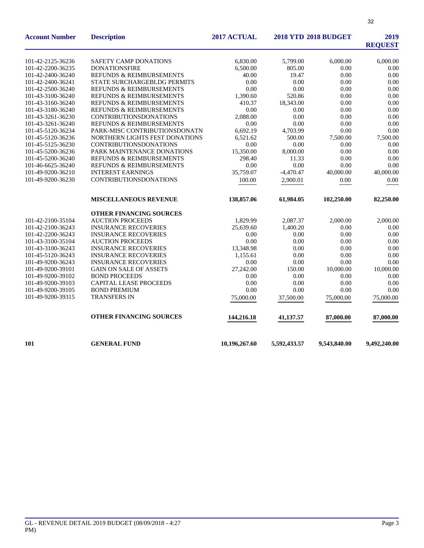| <b>Account Number</b> | <b>Description</b>                  | 2017 ACTUAL   |              | <b>2018 YTD 2018 BUDGET</b> | 2019<br><b>REQUEST</b> |
|-----------------------|-------------------------------------|---------------|--------------|-----------------------------|------------------------|
| 101-42-2125-36236     | <b>SAFETY CAMP DONATIONS</b>        | 6.830.00      | 5,799.00     | 6,000.00                    | 6,000.00               |
| 101-42-2200-36235     | <b>DONATIONSFIRE</b>                | 6,500.00      | 805.00       | 0.00                        | 0.00                   |
| 101-42-2400-36240     | <b>REFUNDS &amp; REIMBURSEMENTS</b> | 40.00         | 19.47        | 0.00                        | 0.00                   |
| 101-42-2400-36241     | STATE SURCHARGEBLDG PERMITS         | 0.00          | 0.00         | 0.00                        | 0.00                   |
| 101-42-2500-36240     | <b>REFUNDS &amp; REIMBURSEMENTS</b> | 0.00          | 0.00         | 0.00                        | 0.00                   |
| 101-43-3100-36240     | REFUNDS & REIMBURSEMENTS            | 1,390.60      | 520.86       | 0.00                        | 0.00                   |
| 101-43-3160-36240     | <b>REFUNDS &amp; REIMBURSEMENTS</b> | 410.37        | 18,343.00    | 0.00                        | 0.00                   |
| 101-43-3180-36240     | REFUNDS & REIMBURSEMENTS            | 0.00          | 0.00         | 0.00                        | 0.00                   |
| 101-43-3261-36230     | <b>CONTRIBUTIONSDONATIONS</b>       | 2,088.00      | 0.00         | 0.00                        | 0.00                   |
| 101-43-3261-36240     | REFUNDS & REIMBURSEMENTS            | 0.00          | 0.00         | 0.00                        | 0.00                   |
| 101-45-5120-36234     | PARK-MISC CONTRIBUTIONSDONATN       | 6,692.19      | 4,703.99     | 0.00                        | 0.00                   |
| 101-45-5120-36236     | NORTHERN LIGHTS FEST DONATIONS      | 6,521.62      | 500.00       | 7,500.00                    | 7,500.00               |
| 101-45-5125-36230     | <b>CONTRIBUTIONSDONATIONS</b>       | 0.00          | 0.00         | 0.00                        | 0.00                   |
| 101-45-5200-36236     | PARK MAINTENANCE DONATIONS          | 15,350.00     | 8,000.00     | 0.00                        | 0.00                   |
| 101-45-5200-36240     | REFUNDS & REIMBURSEMENTS            | 298.40        | 11.33        | 0.00                        | 0.00                   |
| 101-46-6625-36240     | REFUNDS & REIMBURSEMENTS            | 0.00          | 0.00         | 0.00                        | 0.00                   |
| 101-49-9200-36210     | <b>INTEREST EARNINGS</b>            | 35,759.07     | $-4.470.47$  | 40,000.00                   | 40,000.00              |
| 101-49-9200-36230     | <b>CONTRIBUTIONSDONATIONS</b>       | 100.00        | 2,900.01     | 0.00                        | 0.00                   |
|                       | <b>MISCELLANEOUS REVENUE</b>        | 138,857.06    | 61,984.05    | 102,250.00                  | 82,250.00              |
|                       | OTHER FINANCING SOURCES             |               |              |                             |                        |
| 101-42-2100-35104     | <b>AUCTION PROCEEDS</b>             | 1,829.99      | 2,087.37     | 2,000.00                    | 2,000.00               |
| 101-42-2100-36243     | <b>INSURANCE RECOVERIES</b>         | 25,639.60     | 1,400.20     | 0.00                        | 0.00                   |
| 101-42-2200-36243     | <b>INSURANCE RECOVERIES</b>         | 0.00          | 0.00         | 0.00                        | 0.00                   |
| 101-43-3100-35104     | <b>AUCTION PROCEEDS</b>             | 0.00          | 0.00         | 0.00                        | 0.00                   |
| 101-43-3100-36243     | <b>INSURANCE RECOVERIES</b>         | 13,348.98     | 0.00         | 0.00                        | 0.00                   |
| 101-45-5120-36243     | <b>INSURANCE RECOVERIES</b>         | 1,155.61      | 0.00         | 0.00                        | 0.00                   |
| 101-49-9200-36243     | <b>INSURANCE RECOVERIES</b>         | 0.00          | 0.00         | 0.00                        | 0.00                   |
| 101-49-9200-39101     | <b>GAIN ON SALE OF ASSETS</b>       | 27,242.00     | 150.00       | 10,000.00                   | 10,000.00              |
| 101-49-9200-39102     | <b>BOND PROCEEDS</b>                | 0.00          | 0.00         | 0.00                        | 0.00                   |
| 101-49-9200-39103     | CAPITAL LEASE PROCEEDS              | 0.00          | 0.00         | 0.00                        | 0.00                   |
| 101-49-9200-39105     | <b>BOND PREMIUM</b>                 | 0.00          | 0.00         | 0.00                        | 0.00                   |
| 101-49-9200-39315     | TRANSFERS IN                        | 75,000.00     | 37,500.00    | 75,000.00                   | 75,000.00              |
|                       | OTHER FINANCING SOURCES             | 144,216.18    | 41,137.57    | 87,000.00                   | 87,000.00              |
| 101                   | <b>GENERAL FUND</b>                 | 10,196,267.60 | 5,592,433.57 | 9,543,840.00                | 9,492,240.00           |